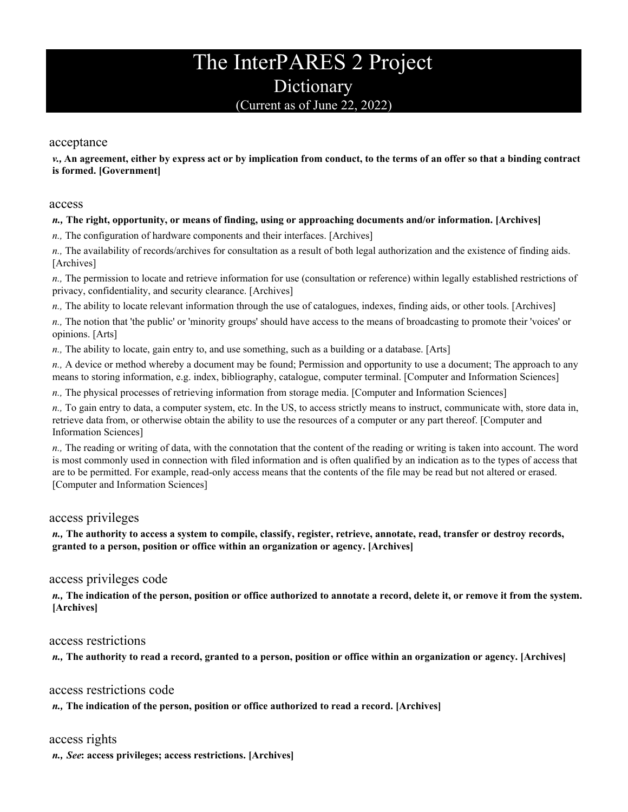# The InterPARES 2 Project **Dictionary** (Current as of June 22, 2022)

### acceptance

*v.,* **An agreement, either by express act or by implication from conduct, to the terms of an offer so that a binding contract is formed. [Government]** 

#### access

### *n.,* **The right, opportunity, or means of finding, using or approaching documents and/or information. [Archives]**

*n.,* The configuration of hardware components and their interfaces. [Archives]

*n.,* The availability of records/archives for consultation as a result of both legal authorization and the existence of finding aids. [Archives]

*n.,* The permission to locate and retrieve information for use (consultation or reference) within legally established restrictions of privacy, confidentiality, and security clearance. [Archives]

*n.,* The ability to locate relevant information through the use of catalogues, indexes, finding aids, or other tools. [Archives]

*n.,* The notion that 'the public' or 'minority groups' should have access to the means of broadcasting to promote their 'voices' or opinions. [Arts]

*n.,* The ability to locate, gain entry to, and use something, such as a building or a database. [Arts]

*n.,* A device or method whereby a document may be found; Permission and opportunity to use a document; The approach to any means to storing information, e.g. index, bibliography, catalogue, computer terminal. [Computer and Information Sciences]

*n.,* The physical processes of retrieving information from storage media. [Computer and Information Sciences]

*n.,* To gain entry to data, a computer system, etc. In the US, to access strictly means to instruct, communicate with, store data in, retrieve data from, or otherwise obtain the ability to use the resources of a computer or any part thereof. [Computer and Information Sciences]

*n.,* The reading or writing of data, with the connotation that the content of the reading or writing is taken into account. The word is most commonly used in connection with filed information and is often qualified by an indication as to the types of access that are to be permitted. For example, read-only access means that the contents of the file may be read but not altered or erased. [Computer and Information Sciences]

# access privileges

*n.,* **The authority to access a system to compile, classify, register, retrieve, annotate, read, transfer or destroy records, granted to a person, position or office within an organization or agency. [Archives]** 

# access privileges code

*n.,* **The indication of the person, position or office authorized to annotate a record, delete it, or remove it from the system. [Archives]** 

### access restrictions

*n.,* **The authority to read a record, granted to a person, position or office within an organization or agency. [Archives]** 

### access restrictions code

*n.,* **The indication of the person, position or office authorized to read a record. [Archives]** 

# access rights

*n., See***: access privileges; access restrictions. [Archives]**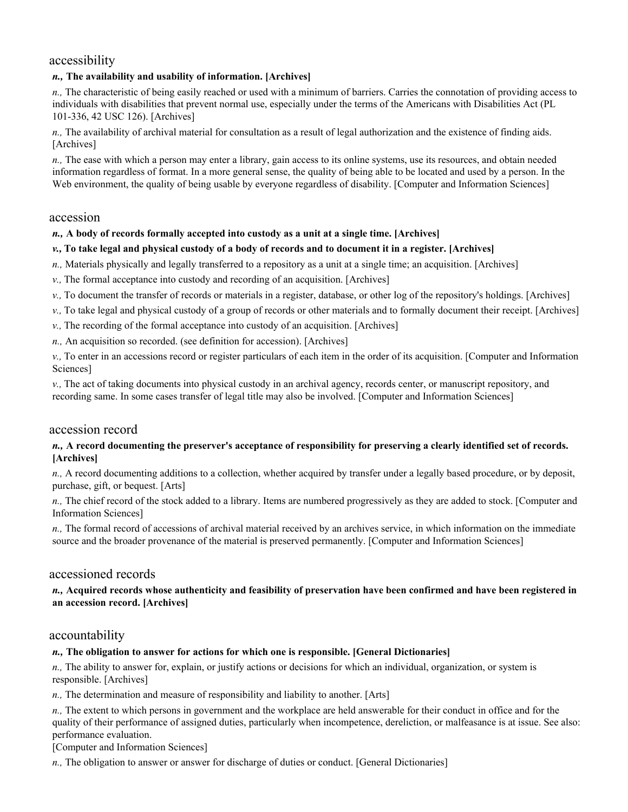# accessibility

### *n.,* **The availability and usability of information. [Archives]**

*n.,* The characteristic of being easily reached or used with a minimum of barriers. Carries the connotation of providing access to individuals with disabilities that prevent normal use, especially under the terms of the Americans with Disabilities Act (PL 101-336, 42 USC 126). [Archives]

*n.,* The availability of archival material for consultation as a result of legal authorization and the existence of finding aids. [Archives]

*n.,* The ease with which a person may enter a library, gain access to its online systems, use its resources, and obtain needed information regardless of format. In a more general sense, the quality of being able to be located and used by a person. In the Web environment, the quality of being usable by everyone regardless of disability. [Computer and Information Sciences]

### accession

#### *n.,* **A body of records formally accepted into custody as a unit at a single time. [Archives]**

#### *v.,* **To take legal and physical custody of a body of records and to document it in a register. [Archives]**

- *n.,* Materials physically and legally transferred to a repository as a unit at a single time; an acquisition. [Archives]
- *v.,* The formal acceptance into custody and recording of an acquisition. [Archives]
- *v.,* To document the transfer of records or materials in a register, database, or other log of the repository's holdings. [Archives]
- *v.,* To take legal and physical custody of a group of records or other materials and to formally document their receipt. [Archives]
- *v.,* The recording of the formal acceptance into custody of an acquisition. [Archives]
- *n.,* An acquisition so recorded. (see definition for accession). [Archives]

*v.,* To enter in an accessions record or register particulars of each item in the order of its acquisition. [Computer and Information Sciences]

*v.,* The act of taking documents into physical custody in an archival agency, records center, or manuscript repository, and recording same. In some cases transfer of legal title may also be involved. [Computer and Information Sciences]

### accession record

#### *n.,* **A record documenting the preserver's acceptance of responsibility for preserving a clearly identified set of records. [Archives]**

*n.,* A record documenting additions to a collection, whether acquired by transfer under a legally based procedure, or by deposit, purchase, gift, or bequest. [Arts]

*n.,* The chief record of the stock added to a library. Items are numbered progressively as they are added to stock. [Computer and Information Sciences]

*n.,* The formal record of accessions of archival material received by an archives service, in which information on the immediate source and the broader provenance of the material is preserved permanently. [Computer and Information Sciences]

### accessioned records

#### *n.,* **Acquired records whose authenticity and feasibility of preservation have been confirmed and have been registered in an accession record. [Archives]**

### accountability

### *n.,* **The obligation to answer for actions for which one is responsible. [General Dictionaries]**

*n.,* The ability to answer for, explain, or justify actions or decisions for which an individual, organization, or system is responsible. [Archives]

*n.,* The determination and measure of responsibility and liability to another. [Arts]

*n.,* The extent to which persons in government and the workplace are held answerable for their conduct in office and for the quality of their performance of assigned duties, particularly when incompetence, dereliction, or malfeasance is at issue. See also: performance evaluation.

[Computer and Information Sciences]

*n.,* The obligation to answer or answer for discharge of duties or conduct. [General Dictionaries]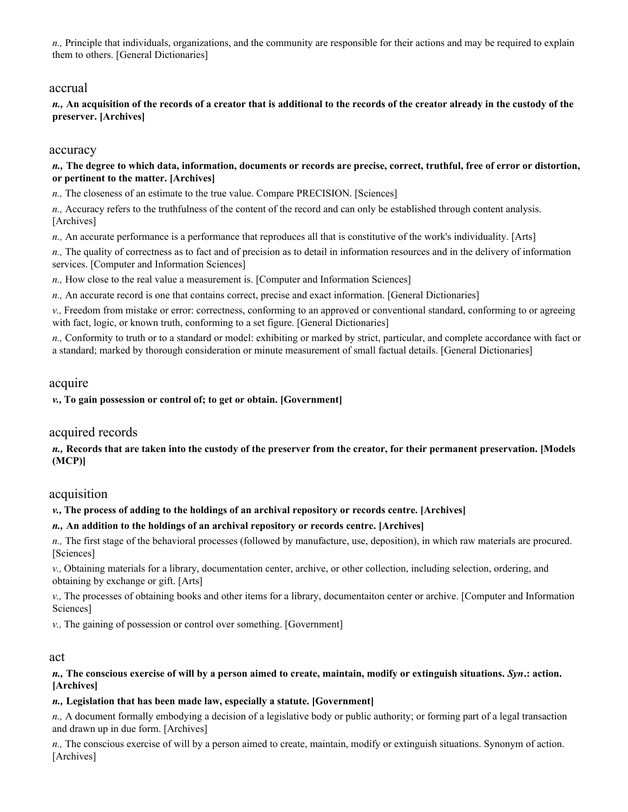*n.,* Principle that individuals, organizations, and the community are responsible for their actions and may be required to explain them to others. [General Dictionaries]

### accrual

*n.,* **An acquisition of the records of a creator that is additional to the records of the creator already in the custody of the preserver. [Archives]** 

### accuracy

#### *n.,* **The degree to which data, information, documents or records are precise, correct, truthful, free of error or distortion, or pertinent to the matter. [Archives]**

*n.,* The closeness of an estimate to the true value. Compare PRECISION. [Sciences]

*n.,* Accuracy refers to the truthfulness of the content of the record and can only be established through content analysis. [Archives]

*n.,* An accurate performance is a performance that reproduces all that is constitutive of the work's individuality. [Arts]

*n.,* The quality of correctness as to fact and of precision as to detail in information resources and in the delivery of information services. [Computer and Information Sciences]

*n.,* How close to the real value a measurement is. [Computer and Information Sciences]

*n.,* An accurate record is one that contains correct, precise and exact information. [General Dictionaries]

*v.,* Freedom from mistake or error: correctness, conforming to an approved or conventional standard, conforming to or agreeing with fact, logic, or known truth, conforming to a set figure. [General Dictionaries]

*n.,* Conformity to truth or to a standard or model: exhibiting or marked by strict, particular, and complete accordance with fact or a standard; marked by thorough consideration or minute measurement of small factual details. [General Dictionaries]

### acquire

*v.,* **To gain possession or control of; to get or obtain. [Government]** 

# acquired records

*n.,* **Records that are taken into the custody of the preserver from the creator, for their permanent preservation. [Models (MCP)]** 

# acquisition

*v.,* **The process of adding to the holdings of an archival repository or records centre. [Archives]** 

### *n.,* **An addition to the holdings of an archival repository or records centre. [Archives]**

*n.,* The first stage of the behavioral processes (followed by manufacture, use, deposition), in which raw materials are procured. [Sciences]

*v.,* Obtaining materials for a library, documentation center, archive, or other collection, including selection, ordering, and obtaining by exchange or gift. [Arts]

*v.,* The processes of obtaining books and other items for a library, documentaiton center or archive. [Computer and Information Sciences]

*v.,* The gaining of possession or control over something. [Government]

### act

### *n.,* **The conscious exercise of will by a person aimed to create, maintain, modify or extinguish situations.** *Syn***.: action. [Archives]**

### *n.,* **Legislation that has been made law, especially a statute. [Government]**

*n.,* A document formally embodying a decision of a legislative body or public authority; or forming part of a legal transaction and drawn up in due form. [Archives]

*n.,* The conscious exercise of will by a person aimed to create, maintain, modify or extinguish situations. Synonym of action. [Archives]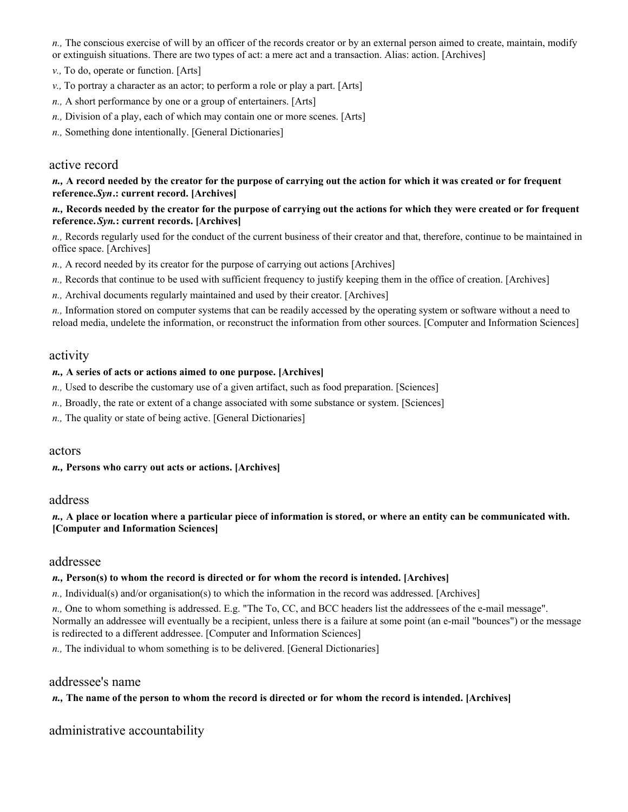*n.,* The conscious exercise of will by an officer of the records creator or by an external person aimed to create, maintain, modify or extinguish situations. There are two types of act: a mere act and a transaction. Alias: action. [Archives]

- *v.,* To do, operate or function. [Arts]
- *v.,* To portray a character as an actor; to perform a role or play a part. [Arts]
- *n.,* A short performance by one or a group of entertainers. [Arts]
- *n.,* Division of a play, each of which may contain one or more scenes. [Arts]
- *n.,* Something done intentionally. [General Dictionaries]

# active record

### *n.,* **A record needed by the creator for the purpose of carrying out the action for which it was created or for frequent reference.** *Syn***.: current record. [Archives]**

### *n.,* **Records needed by the creator for the purpose of carrying out the actions for which they were created or for frequent reference.** *Syn.***: current records. [Archives]**

*n.,* Records regularly used for the conduct of the current business of their creator and that, therefore, continue to be maintained in office space. [Archives]

- *n.,* A record needed by its creator for the purpose of carrying out actions [Archives]
- *n.,* Records that continue to be used with sufficient frequency to justify keeping them in the office of creation. [Archives]
- *n.,* Archival documents regularly maintained and used by their creator. [Archives]

*n.,* Information stored on computer systems that can be readily accessed by the operating system or software without a need to reload media, undelete the information, or reconstruct the information from other sources. [Computer and Information Sciences]

### activity

### *n.,* **A series of acts or actions aimed to one purpose. [Archives]**

- *n.*, Used to describe the customary use of a given artifact, such as food preparation. [Sciences]
- *n.,* Broadly, the rate or extent of a change associated with some substance or system. [Sciences]
- *n.,* The quality or state of being active. [General Dictionaries]

### actors

*n.,* **Persons who carry out acts or actions. [Archives]** 

# address

*n.,* **A place or location where a particular piece of information is stored, or where an entity can be communicated with. [Computer and Information Sciences]** 

# addressee

# *n.,* **Person(s) to whom the record is directed or for whom the record is intended. [Archives]**

*n.,* Individual(s) and/or organisation(s) to which the information in the record was addressed. [Archives]

*n.,* One to whom something is addressed. E.g. "The To, CC, and BCC headers list the addressees of the e-mail message". Normally an addressee will eventually be a recipient, unless there is a failure at some point (an e-mail "bounces") or the message is redirected to a different addressee. [Computer and Information Sciences]

*n.,* The individual to whom something is to be delivered. [General Dictionaries]

# addressee's name

# *n.,* **The name of the person to whom the record is directed or for whom the record is intended. [Archives]**

administrative accountability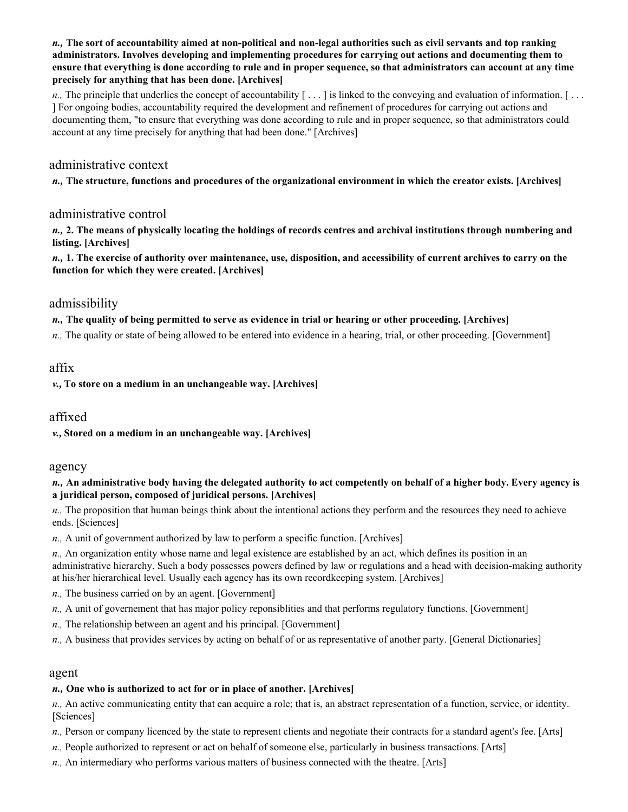*n.,* **The sort of accountability aimed at non-political and non-legal authorities such as civil servants and top ranking administrators. Involves developing and implementing procedures for carrying out actions and documenting them to ensure that everything is done according to rule and in proper sequence, so that administrators can account at any time precisely for anything that has been done. [Archives]** 

*n.*, The principle that underlies the concept of accountability [...] is linked to the conveying and evaluation of information. [... ] For ongoing bodies, accountability required the development and refinement of procedures for carrying out actions and documenting them, "to ensure that everything was done according to rule and in proper sequence, so that administrators could account at any time precisely for anything that had been done." [Archives]

### administrative context

*n.,* **The structure, functions and procedures of the organizational environment in which the creator exists. [Archives]** 

### administrative control

*n.,* **2. The means of physically locating the holdings of records centres and archival institutions through numbering and listing. [Archives]** 

*n.,* **1. The exercise of authority over maintenance, use, disposition, and accessibility of current archives to carry on the function for which they were created. [Archives]** 

### admissibility

*n.,* **The quality of being permitted to serve as evidence in trial or hearing or other proceeding. [Archives]** 

*n.*, The quality or state of being allowed to be entered into evidence in a hearing, trial, or other proceeding. [Government]

### affix

*v.,* **To store on a medium in an unchangeable way. [Archives]** 

# affixed

*v.,* **Stored on a medium in an unchangeable way. [Archives]** 

#### agency

#### *n.,* **An administrative body having the delegated authority to act competently on behalf of a higher body. Every agency is a juridical person, composed of juridical persons. [Archives]**

*n.,* The proposition that human beings think about the intentional actions they perform and the resources they need to achieve ends. [Sciences]

*n.,* A unit of government authorized by law to perform a specific function. [Archives]

*n.,* An organization entity whose name and legal existence are established by an act, which defines its position in an administrative hierarchy. Such a body possesses powers defined by law or regulations and a head with decision-making authority at his/her hierarchical level. Usually each agency has its own recordkeeping system. [Archives]

- *n.,* The business carried on by an agent. [Government]
- *n.,* A unit of governement that has major policy reponsiblities and that performs regulatory functions. [Government]
- *n.,* The relationship between an agent and his principal. [Government]
- *n.,* A business that provides services by acting on behalf of or as representative of another party. [General Dictionaries]

#### agent

#### *n.,* **One who is authorized to act for or in place of another. [Archives]**

*n.,* An active communicating entity that can acquire a role; that is, an abstract representation of a function, service, or identity. [Sciences]

*n.*, Person or company licenced by the state to represent clients and negotiate their contracts for a standard agent's fee. [Arts]

- *n.,* People authorized to represent or act on behalf of someone else, particularly in business transactions. [Arts]
- *n.,* An intermediary who performs various matters of business connected with the theatre. [Arts]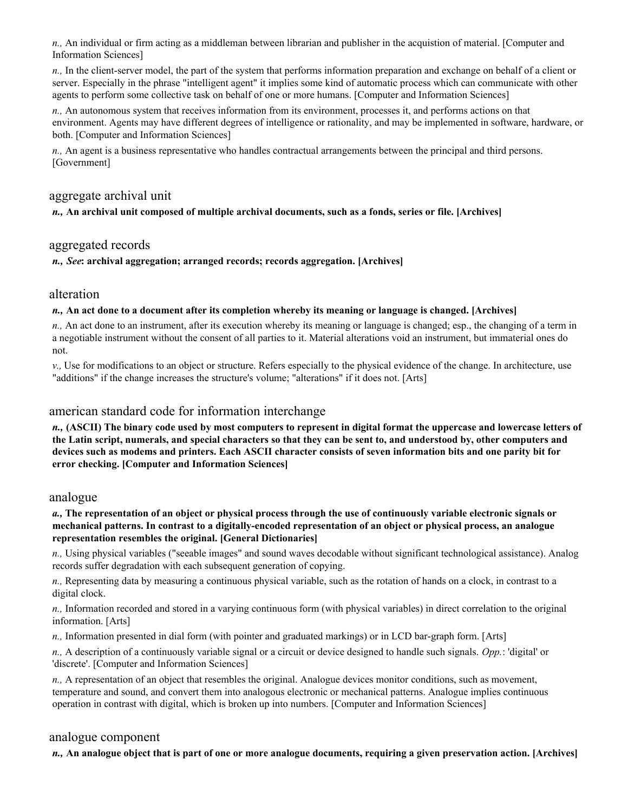*n.,* An individual or firm acting as a middleman between librarian and publisher in the acquistion of material. [Computer and Information Sciences]

*n.,* In the client-server model, the part of the system that performs information preparation and exchange on behalf of a client or server. Especially in the phrase "intelligent agent" it implies some kind of automatic process which can communicate with other agents to perform some collective task on behalf of one or more humans. [Computer and Information Sciences]

*n.,* An autonomous system that receives information from its environment, processes it, and performs actions on that environment. Agents may have different degrees of intelligence or rationality, and may be implemented in software, hardware, or both. [Computer and Information Sciences]

*n.,* An agent is a business representative who handles contractual arrangements between the principal and third persons. [Government]

# aggregate archival unit

*n.,* **An archival unit composed of multiple archival documents, such as a fonds, series or file. [Archives]** 

### aggregated records

*n., See***: archival aggregation; arranged records; records aggregation. [Archives]** 

### alteration

#### *n.,* **An act done to a document after its completion whereby its meaning or language is changed. [Archives]**

*n.,* An act done to an instrument, after its execution whereby its meaning or language is changed; esp., the changing of a term in a negotiable instrument without the consent of all parties to it. Material alterations void an instrument, but immaterial ones do not.

*v.,* Use for modifications to an object or structure. Refers especially to the physical evidence of the change. In architecture, use "additions" if the change increases the structure's volume; "alterations" if it does not. [Arts]

# american standard code for information interchange

*n.,* **(ASCII) The binary code used by most computers to represent in digital format the uppercase and lowercase letters of the Latin script, numerals, and special characters so that they can be sent to, and understood by, other computers and devices such as modems and printers. Each ASCII character consists of seven information bits and one parity bit for error checking. [Computer and Information Sciences]** 

### analogue

#### *a.,* **The representation of an object or physical process through the use of continuously variable electronic signals or mechanical patterns. In contrast to a digitally-encoded representation of an object or physical process, an analogue representation resembles the original. [General Dictionaries]**

*n.,* Using physical variables ("seeable images" and sound waves decodable without significant technological assistance). Analog records suffer degradation with each subsequent generation of copying.

*n.,* Representing data by measuring a continuous physical variable, such as the rotation of hands on a clock, in contrast to a digital clock.

*n.,* Information recorded and stored in a varying continuous form (with physical variables) in direct correlation to the original information. [Arts]

*n.,* Information presented in dial form (with pointer and graduated markings) or in LCD bar-graph form. [Arts]

*n.,* A description of a continuously variable signal or a circuit or device designed to handle such signals. *Opp.*: 'digital' or 'discrete'. [Computer and Information Sciences]

*n.,* A representation of an object that resembles the original. Analogue devices monitor conditions, such as movement, temperature and sound, and convert them into analogous electronic or mechanical patterns. Analogue implies continuous operation in contrast with digital, which is broken up into numbers. [Computer and Information Sciences]

### analogue component

*n.,* **An analogue object that is part of one or more analogue documents, requiring a given preservation action. [Archives]**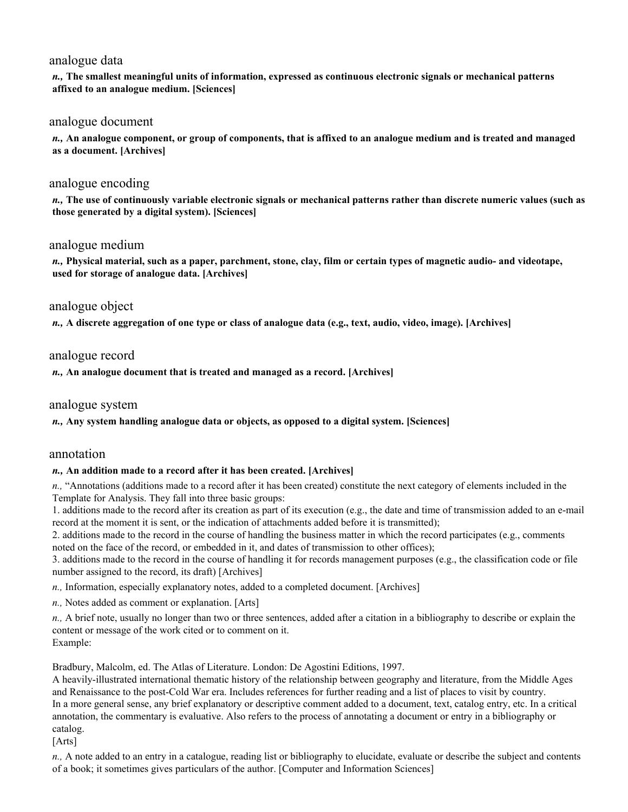# analogue data

*n.,* **The smallest meaningful units of information, expressed as continuous electronic signals or mechanical patterns affixed to an analogue medium. [Sciences]** 

### analogue document

*n.,* **An analogue component, or group of components, that is affixed to an analogue medium and is treated and managed as a document. [Archives]** 

# analogue encoding

*n.,* **The use of continuously variable electronic signals or mechanical patterns rather than discrete numeric values (such as those generated by a digital system). [Sciences]** 

# analogue medium

*n.,* **Physical material, such as a paper, parchment, stone, clay, film or certain types of magnetic audio- and videotape, used for storage of analogue data. [Archives]** 

### analogue object

*n.,* **A discrete aggregation of one type or class of analogue data (e.g., text, audio, video, image). [Archives]** 

# analogue record

*n.,* **An analogue document that is treated and managed as a record. [Archives]** 

### analogue system

### *n.,* **Any system handling analogue data or objects, as opposed to a digital system. [Sciences]**

### annotation

### *n.,* **An addition made to a record after it has been created. [Archives]**

*n.,* "Annotations (additions made to a record after it has been created) constitute the next category of elements included in the Template for Analysis. They fall into three basic groups:

1. additions made to the record after its creation as part of its execution (e.g., the date and time of transmission added to an e-mail record at the moment it is sent, or the indication of attachments added before it is transmitted);

2. additions made to the record in the course of handling the business matter in which the record participates (e.g., comments noted on the face of the record, or embedded in it, and dates of transmission to other offices);

3. additions made to the record in the course of handling it for records management purposes (e.g., the classification code or file number assigned to the record, its draft) [Archives]

*n.,* Information, especially explanatory notes, added to a completed document. [Archives]

*n.,* Notes added as comment or explanation. [Arts]

*n.,* A brief note, usually no longer than two or three sentences, added after a citation in a bibliography to describe or explain the content or message of the work cited or to comment on it. Example:

Bradbury, Malcolm, ed. The Atlas of Literature. London: De Agostini Editions, 1997.

A heavily-illustrated international thematic history of the relationship between geography and literature, from the Middle Ages and Renaissance to the post-Cold War era. Includes references for further reading and a list of places to visit by country. In a more general sense, any brief explanatory or descriptive comment added to a document, text, catalog entry, etc. In a critical annotation, the commentary is evaluative. Also refers to the process of annotating a document or entry in a bibliography or catalog.

[Arts]

*n.,* A note added to an entry in a catalogue, reading list or bibliography to elucidate, evaluate or describe the subject and contents of a book; it sometimes gives particulars of the author. [Computer and Information Sciences]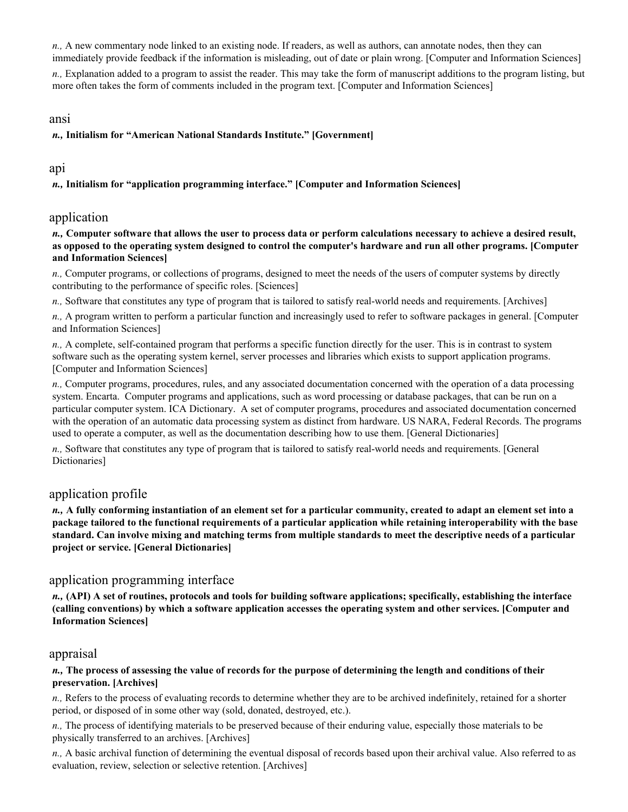*n.,* A new commentary node linked to an existing node. If readers, as well as authors, can annotate nodes, then they can immediately provide feedback if the information is misleading, out of date or plain wrong. [Computer and Information Sciences]

*n.,* Explanation added to a program to assist the reader. This may take the form of manuscript additions to the program listing, but more often takes the form of comments included in the program text. [Computer and Information Sciences]

### ansi

*n.,* **Initialism for "American National Standards Institute." [Government]** 

# api

*n.,* **Initialism for "application programming interface." [Computer and Information Sciences]** 

# application

*n.,* **Computer software that allows the user to process data or perform calculations necessary to achieve a desired result, as opposed to the operating system designed to control the computer's hardware and run all other programs. [Computer and Information Sciences]** 

*n.,* Computer programs, or collections of programs, designed to meet the needs of the users of computer systems by directly contributing to the performance of specific roles. [Sciences]

*n.,* Software that constitutes any type of program that is tailored to satisfy real-world needs and requirements. [Archives]

*n.,* A program written to perform a particular function and increasingly used to refer to software packages in general. [Computer and Information Sciences]

*n.,* A complete, self-contained program that performs a specific function directly for the user. This is in contrast to system software such as the operating system kernel, server processes and libraries which exists to support application programs. [Computer and Information Sciences]

*n.,* Computer programs, procedures, rules, and any associated documentation concerned with the operation of a data processing system. Encarta. Computer programs and applications, such as word processing or database packages, that can be run on a particular computer system. ICA Dictionary. A set of computer programs, procedures and associated documentation concerned with the operation of an automatic data processing system as distinct from hardware. US NARA, Federal Records. The programs used to operate a computer, as well as the documentation describing how to use them. [General Dictionaries]

*n.,* Software that constitutes any type of program that is tailored to satisfy real-world needs and requirements. [General Dictionaries]

# application profile

*n.,* **A fully conforming instantiation of an element set for a particular community, created to adapt an element set into a package tailored to the functional requirements of a particular application while retaining interoperability with the base standard. Can involve mixing and matching terms from multiple standards to meet the descriptive needs of a particular project or service. [General Dictionaries]** 

# application programming interface

*n.,* **(API) A set of routines, protocols and tools for building software applications; specifically, establishing the interface (calling conventions) by which a software application accesses the operating system and other services. [Computer and Information Sciences]** 

### appraisal

### *n.,* **The process of assessing the value of records for the purpose of determining the length and conditions of their preservation. [Archives]**

*n.,* Refers to the process of evaluating records to determine whether they are to be archived indefinitely, retained for a shorter period, or disposed of in some other way (sold, donated, destroyed, etc.).

*n.,* The process of identifying materials to be preserved because of their enduring value, especially those materials to be physically transferred to an archives. [Archives]

*n.,* A basic archival function of determining the eventual disposal of records based upon their archival value. Also referred to as evaluation, review, selection or selective retention. [Archives]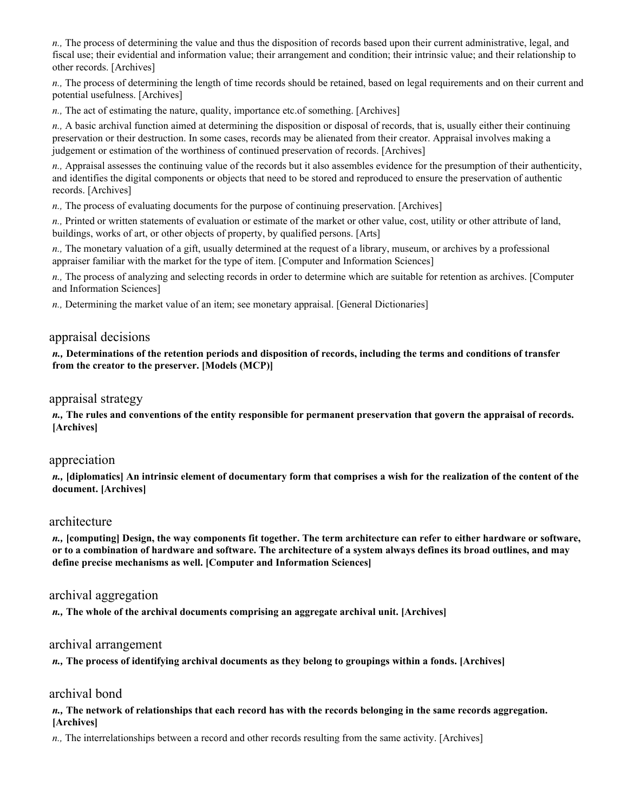*n.,* The process of determining the value and thus the disposition of records based upon their current administrative, legal, and fiscal use; their evidential and information value; their arrangement and condition; their intrinsic value; and their relationship to other records. [Archives]

*n.,* The process of determining the length of time records should be retained, based on legal requirements and on their current and potential usefulness. [Archives]

*n.,* The act of estimating the nature, quality, importance etc.of something. [Archives]

*n.,* A basic archival function aimed at determining the disposition or disposal of records, that is, usually either their continuing preservation or their destruction. In some cases, records may be alienated from their creator. Appraisal involves making a judgement or estimation of the worthiness of continued preservation of records. [Archives]

*n.,* Appraisal assesses the continuing value of the records but it also assembles evidence for the presumption of their authenticity, and identifies the digital components or objects that need to be stored and reproduced to ensure the preservation of authentic records. [Archives]

*n.,* The process of evaluating documents for the purpose of continuing preservation. [Archives]

*n.,* Printed or written statements of evaluation or estimate of the market or other value, cost, utility or other attribute of land, buildings, works of art, or other objects of property, by qualified persons. [Arts]

*n.,* The monetary valuation of a gift, usually determined at the request of a library, museum, or archives by a professional appraiser familiar with the market for the type of item. [Computer and Information Sciences]

*n.,* The process of analyzing and selecting records in order to determine which are suitable for retention as archives. [Computer and Information Sciences]

*n.,* Determining the market value of an item; see monetary appraisal. [General Dictionaries]

#### appraisal decisions

*n.,* **Determinations of the retention periods and disposition of records, including the terms and conditions of transfer from the creator to the preserver. [Models (MCP)]** 

#### appraisal strategy

*n.,* **The rules and conventions of the entity responsible for permanent preservation that govern the appraisal of records. [Archives]** 

#### appreciation

*n.,* **[diplomatics] An intrinsic element of documentary form that comprises a wish for the realization of the content of the document. [Archives]** 

#### architecture

*n.,* **[computing] Design, the way components fit together. The term architecture can refer to either hardware or software, or to a combination of hardware and software. The architecture of a system always defines its broad outlines, and may define precise mechanisms as well. [Computer and Information Sciences]** 

# archival aggregation

*n.,* **The whole of the archival documents comprising an aggregate archival unit. [Archives]** 

#### archival arrangement

*n.,* **The process of identifying archival documents as they belong to groupings within a fonds. [Archives]** 

### archival bond

*n.,* **The network of relationships that each record has with the records belonging in the same records aggregation. [Archives]** 

*n.,* The interrelationships between a record and other records resulting from the same activity. [Archives]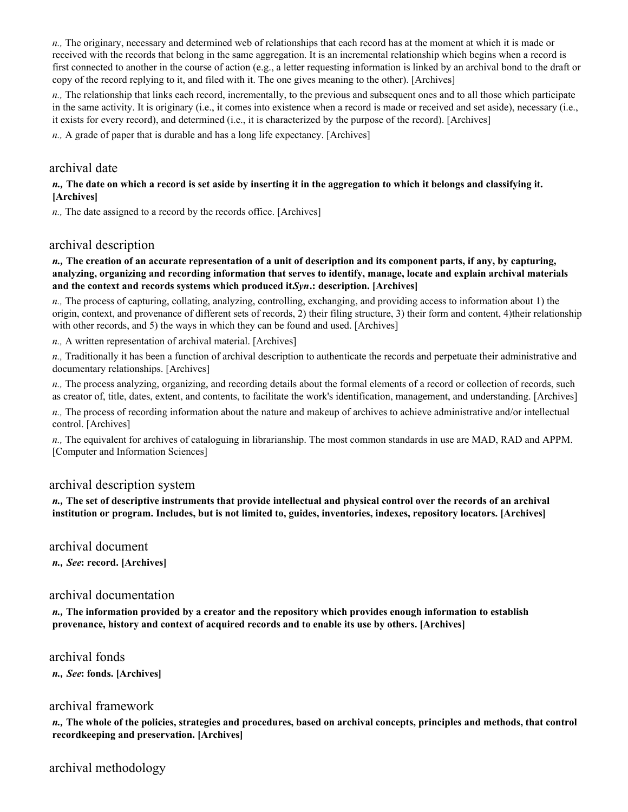*n.,* The originary, necessary and determined web of relationships that each record has at the moment at which it is made or received with the records that belong in the same aggregation. It is an incremental relationship which begins when a record is first connected to another in the course of action (e.g., a letter requesting information is linked by an archival bond to the draft or copy of the record replying to it, and filed with it. The one gives meaning to the other). [Archives]

*n.,* The relationship that links each record, incrementally, to the previous and subsequent ones and to all those which participate in the same activity. It is originary (i.e., it comes into existence when a record is made or received and set aside), necessary (i.e., it exists for every record), and determined (i.e., it is characterized by the purpose of the record). [Archives]

*n.,* A grade of paper that is durable and has a long life expectancy. [Archives]

### archival date

#### *n.,* **The date on which a record is set aside by inserting it in the aggregation to which it belongs and classifying it. [Archives]**

*n.,* The date assigned to a record by the records office. [Archives]

### archival description

#### *n.,* **The creation of an accurate representation of a unit of description and its component parts, if any, by capturing, analyzing, organizing and recording information that serves to identify, manage, locate and explain archival materials** and the context and records systems which produced it. Syn.: description. [Archives]

*n.,* The process of capturing, collating, analyzing, controlling, exchanging, and providing access to information about 1) the origin, context, and provenance of different sets of records, 2) their filing structure, 3) their form and content, 4)their relationship with other records, and 5) the ways in which they can be found and used. [Archives]

*n.,* A written representation of archival material. [Archives]

*n.,* Traditionally it has been a function of archival description to authenticate the records and perpetuate their administrative and documentary relationships. [Archives]

*n.*, The process analyzing, organizing, and recording details about the formal elements of a record or collection of records, such as creator of, title, dates, extent, and contents, to facilitate the work's identification, management, and understanding. [Archives]

*n.,* The process of recording information about the nature and makeup of archives to achieve administrative and/or intellectual control. [Archives]

*n.,* The equivalent for archives of cataloguing in librarianship. The most common standards in use are MAD, RAD and APPM. [Computer and Information Sciences]

### archival description system

*n.,* **The set of descriptive instruments that provide intellectual and physical control over the records of an archival institution or program. Includes, but is not limited to, guides, inventories, indexes, repository locators. [Archives]** 

archival document *n., See***: record. [Archives]** 

# archival documentation

*n.,* **The information provided by a creator and the repository which provides enough information to establish provenance, history and context of acquired records and to enable its use by others. [Archives]** 

archival fonds *n., See***: fonds. [Archives]** 

# archival framework

*n.,* **The whole of the policies, strategies and procedures, based on archival concepts, principles and methods, that control recordkeeping and preservation. [Archives]** 

archival methodology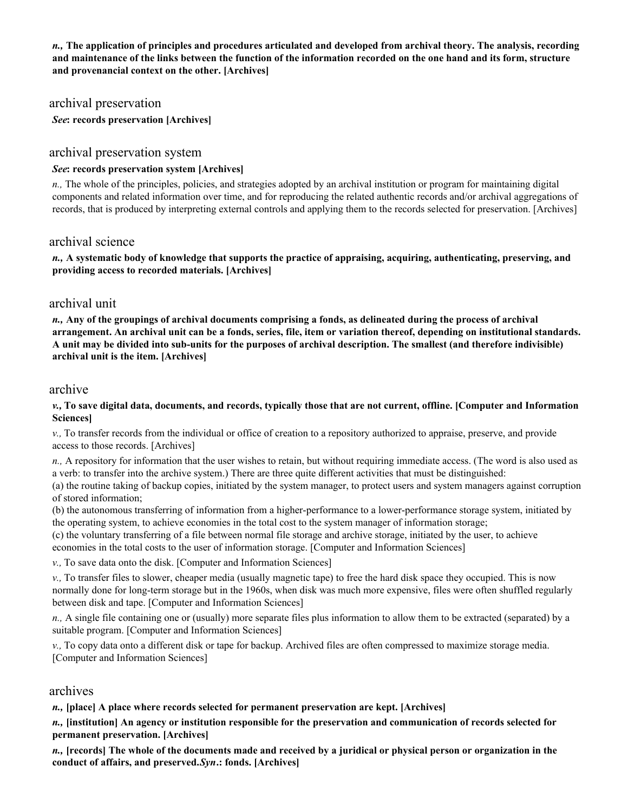*n.,* **The application of principles and procedures articulated and developed from archival theory. The analysis, recording and maintenance of the links between the function of the information recorded on the one hand and its form, structure and provenancial context on the other. [Archives]** 

### archival preservation

*See***: records preservation [Archives]** 

### archival preservation system

#### *See***: records preservation system [Archives]**

*n.,* The whole of the principles, policies, and strategies adopted by an archival institution or program for maintaining digital components and related information over time, and for reproducing the related authentic records and/or archival aggregations of records, that is produced by interpreting external controls and applying them to the records selected for preservation. [Archives]

### archival science

*n.,* **A systematic body of knowledge that supports the practice of appraising, acquiring, authenticating, preserving, and providing access to recorded materials. [Archives]** 

### archival unit

*n.,* **Any of the groupings of archival documents comprising a fonds, as delineated during the process of archival arrangement. An archival unit can be a fonds, series, file, item or variation thereof, depending on institutional standards. A unit may be divided into sub-units for the purposes of archival description. The smallest (and therefore indivisible) archival unit is the item. [Archives]** 

### archive

*v.,* **To save digital data, documents, and records, typically those that are not current, offline. [Computer and Information Sciences]** 

*v.,* To transfer records from the individual or office of creation to a repository authorized to appraise, preserve, and provide access to those records. [Archives]

*n.,* A repository for information that the user wishes to retain, but without requiring immediate access. (The word is also used as a verb: to transfer into the archive system.) There are three quite different activities that must be distinguished:

(a) the routine taking of backup copies, initiated by the system manager, to protect users and system managers against corruption of stored information;

(b) the autonomous transferring of information from a higher-performance to a lower-performance storage system, initiated by the operating system, to achieve economies in the total cost to the system manager of information storage;

(c) the voluntary transferring of a file between normal file storage and archive storage, initiated by the user, to achieve

economies in the total costs to the user of information storage. [Computer and Information Sciences]

*v.,* To save data onto the disk. [Computer and Information Sciences]

*v.,* To transfer files to slower, cheaper media (usually magnetic tape) to free the hard disk space they occupied. This is now normally done for long-term storage but in the 1960s, when disk was much more expensive, files were often shuffled regularly between disk and tape. [Computer and Information Sciences]

*n.,* A single file containing one or (usually) more separate files plus information to allow them to be extracted (separated) by a suitable program. [Computer and Information Sciences]

*v.,* To copy data onto a different disk or tape for backup. Archived files are often compressed to maximize storage media. [Computer and Information Sciences]

# archives

*n.,* **[place] A place where records selected for permanent preservation are kept. [Archives]** 

*n.,* **[institution] An agency or institution responsible for the preservation and communication of records selected for permanent preservation. [Archives]** 

*n.,* **[records] The whole of the documents made and received by a juridical or physical person or organization in the conduct of affairs, and preserved.** *Syn***.: fonds. [Archives]**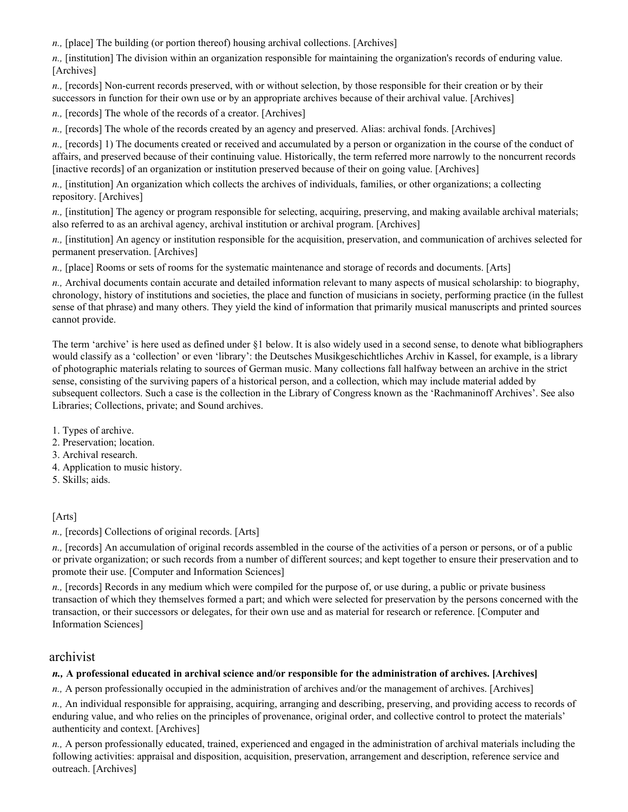*n.*, [place] The building (or portion thereof) housing archival collections. [Archives]

*n.,* [institution] The division within an organization responsible for maintaining the organization's records of enduring value. [Archives]

*n.,* [records] Non-current records preserved, with or without selection, by those responsible for their creation or by their successors in function for their own use or by an appropriate archives because of their archival value. [Archives]

*n.,* [records] The whole of the records of a creator. [Archives]

*n.,* [records] The whole of the records created by an agency and preserved. Alias: archival fonds. [Archives]

*n.,* [records] 1) The documents created or received and accumulated by a person or organization in the course of the conduct of affairs, and preserved because of their continuing value. Historically, the term referred more narrowly to the noncurrent records [inactive records] of an organization or institution preserved because of their on going value. [Archives]

*n.,* [institution] An organization which collects the archives of individuals, families, or other organizations; a collecting repository. [Archives]

*n.,* [institution] The agency or program responsible for selecting, acquiring, preserving, and making available archival materials; also referred to as an archival agency, archival institution or archival program. [Archives]

*n.,* [institution] An agency or institution responsible for the acquisition, preservation, and communication of archives selected for permanent preservation. [Archives]

*n.,* [place] Rooms or sets of rooms for the systematic maintenance and storage of records and documents. [Arts]

*n.,* Archival documents contain accurate and detailed information relevant to many aspects of musical scholarship: to biography, chronology, history of institutions and societies, the place and function of musicians in society, performing practice (in the fullest sense of that phrase) and many others. They yield the kind of information that primarily musical manuscripts and printed sources cannot provide.

The term 'archive' is here used as defined under §1 below. It is also widely used in a second sense, to denote what bibliographers would classify as a 'collection' or even 'library': the Deutsches Musikgeschichtliches Archiv in Kassel, for example, is a library of photographic materials relating to sources of German music. Many collections fall halfway between an archive in the strict sense, consisting of the surviving papers of a historical person, and a collection, which may include material added by subsequent collectors. Such a case is the collection in the Library of Congress known as the 'Rachmaninoff Archives'. See also Libraries; Collections, private; and Sound archives.

1. Types of archive.

- 2. Preservation; location.
- 3. Archival research.
- 4. Application to music history.
- 5. Skills; aids.

#### [Arts]

*n.,* [records] Collections of original records. [Arts]

*n.,* [records] An accumulation of original records assembled in the course of the activities of a person or persons, or of a public or private organization; or such records from a number of different sources; and kept together to ensure their preservation and to promote their use. [Computer and Information Sciences]

*n.,* [records] Records in any medium which were compiled for the purpose of, or use during, a public or private business transaction of which they themselves formed a part; and which were selected for preservation by the persons concerned with the transaction, or their successors or delegates, for their own use and as material for research or reference. [Computer and Information Sciences]

# archivist

#### *n.,* **A professional educated in archival science and/or responsible for the administration of archives. [Archives]**

*n.,* A person professionally occupied in the administration of archives and/or the management of archives. [Archives]

*n.,* An individual responsible for appraising, acquiring, arranging and describing, preserving, and providing access to records of enduring value, and who relies on the principles of provenance, original order, and collective control to protect the materials' authenticity and context. [Archives]

*n.,* A person professionally educated, trained, experienced and engaged in the administration of archival materials including the following activities: appraisal and disposition, acquisition, preservation, arrangement and description, reference service and outreach. [Archives]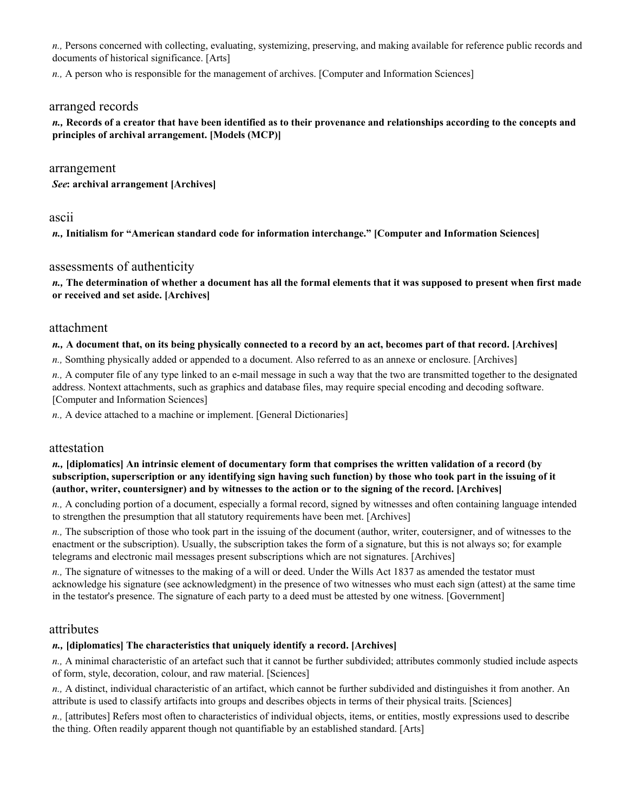*n.,* Persons concerned with collecting, evaluating, systemizing, preserving, and making available for reference public records and documents of historical significance. [Arts]

*n.,* A person who is responsible for the management of archives. [Computer and Information Sciences]

#### arranged records

#### *n.,* **Records of a creator that have been identified as to their provenance and relationships according to the concepts and principles of archival arrangement. [Models (MCP)]**

#### arrangement

*See***: archival arrangement [Archives]** 

#### ascii

*n.,* **Initialism for "American standard code for information interchange." [Computer and Information Sciences]** 

### assessments of authenticity

*n.,* **The determination of whether a document has all the formal elements that it was supposed to present when first made or received and set aside. [Archives]** 

#### attachment

#### *n.,* **A document that, on its being physically connected to a record by an act, becomes part of that record. [Archives]**

*n.,* Somthing physically added or appended to a document. Also referred to as an annexe or enclosure. [Archives]

*n.,* A computer file of any type linked to an e-mail message in such a way that the two are transmitted together to the designated address. Nontext attachments, such as graphics and database files, may require special encoding and decoding software. [Computer and Information Sciences]

*n.,* A device attached to a machine or implement. [General Dictionaries]

#### attestation

#### *n.,* **[diplomatics] An intrinsic element of documentary form that comprises the written validation of a record (by subscription, superscription or any identifying sign having such function) by those who took part in the issuing of it (author, writer, countersigner) and by witnesses to the action or to the signing of the record. [Archives]**

*n.,* A concluding portion of a document, especially a formal record, signed by witnesses and often containing language intended to strengthen the presumption that all statutory requirements have been met. [Archives]

*n.,* The subscription of those who took part in the issuing of the document (author, writer, coutersigner, and of witnesses to the enactment or the subscription). Usually, the subscription takes the form of a signature, but this is not always so; for example telegrams and electronic mail messages present subscriptions which are not signatures. [Archives]

*n.,* The signature of witnesses to the making of a will or deed. Under the Wills Act 1837 as amended the testator must acknowledge his signature (see acknowledgment) in the presence of two witnesses who must each sign (attest) at the same time in the testator's presence. The signature of each party to a deed must be attested by one witness. [Government]

#### attributes

#### *n.,* **[diplomatics] The characteristics that uniquely identify a record. [Archives]**

*n.,* A minimal characteristic of an artefact such that it cannot be further subdivided; attributes commonly studied include aspects of form, style, decoration, colour, and raw material. [Sciences]

*n.,* A distinct, individual characteristic of an artifact, which cannot be further subdivided and distinguishes it from another. An attribute is used to classify artifacts into groups and describes objects in terms of their physical traits. [Sciences]

*n.,* [attributes] Refers most often to characteristics of individual objects, items, or entities, mostly expressions used to describe the thing. Often readily apparent though not quantifiable by an established standard. [Arts]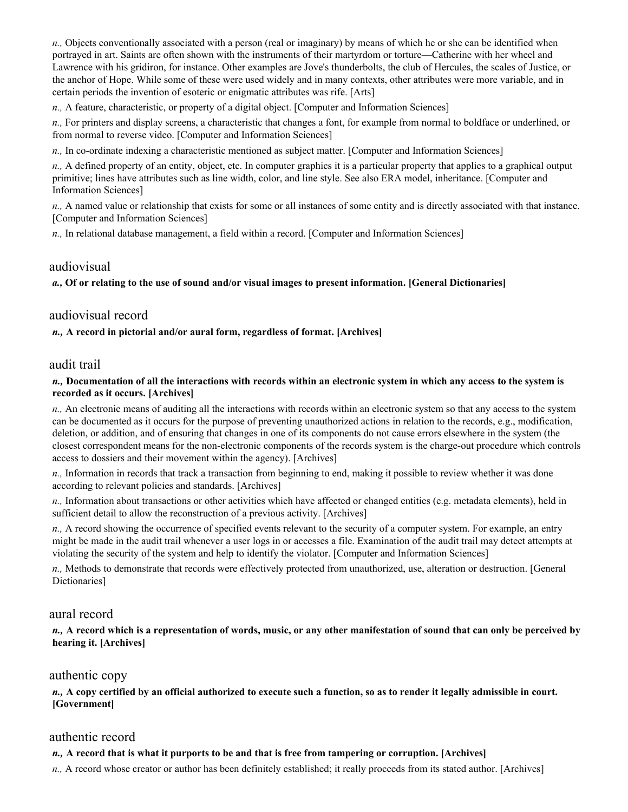*n.,* Objects conventionally associated with a person (real or imaginary) by means of which he or she can be identified when portrayed in art. Saints are often shown with the instruments of their martyrdom or torture—Catherine with her wheel and Lawrence with his gridiron, for instance. Other examples are Jove's thunderbolts, the club of Hercules, the scales of Justice, or the anchor of Hope. While some of these were used widely and in many contexts, other attributes were more variable, and in certain periods the invention of esoteric or enigmatic attributes was rife. [Arts]

*n.,* A feature, characteristic, or property of a digital object. [Computer and Information Sciences]

*n.,* For printers and display screens, a characteristic that changes a font, for example from normal to boldface or underlined, or from normal to reverse video. [Computer and Information Sciences]

*n.,* In co-ordinate indexing a characteristic mentioned as subject matter. [Computer and Information Sciences]

*n.,* A defined property of an entity, object, etc. In computer graphics it is a particular property that applies to a graphical output primitive; lines have attributes such as line width, color, and line style. See also ERA model, inheritance. [Computer and Information Sciences]

*n.,* A named value or relationship that exists for some or all instances of some entity and is directly associated with that instance. [Computer and Information Sciences]

*n.,* In relational database management, a field within a record. [Computer and Information Sciences]

# audiovisual

*a.,* **Of or relating to the use of sound and/or visual images to present information. [General Dictionaries]** 

### audiovisual record

*n.,* **A record in pictorial and/or aural form, regardless of format. [Archives]** 

### audit trail

#### *n.,* **Documentation of all the interactions with records within an electronic system in which any access to the system is recorded as it occurs. [Archives]**

*n.,* An electronic means of auditing all the interactions with records within an electronic system so that any access to the system can be documented as it occurs for the purpose of preventing unauthorized actions in relation to the records, e.g., modification, deletion, or addition, and of ensuring that changes in one of its components do not cause errors elsewhere in the system (the closest correspondent means for the non-electronic components of the records system is the charge-out procedure which controls access to dossiers and their movement within the agency). [Archives]

*n.,* Information in records that track a transaction from beginning to end, making it possible to review whether it was done according to relevant policies and standards. [Archives]

*n.,* Information about transactions or other activities which have affected or changed entities (e.g. metadata elements), held in sufficient detail to allow the reconstruction of a previous activity. [Archives]

*n.,* A record showing the occurrence of specified events relevant to the security of a computer system. For example, an entry might be made in the audit trail whenever a user logs in or accesses a file. Examination of the audit trail may detect attempts at violating the security of the system and help to identify the violator. [Computer and Information Sciences]

*n.,* Methods to demonstrate that records were effectively protected from unauthorized, use, alteration or destruction. [General Dictionaries]

### aural record

*n.,* **A record which is a representation of words, music, or any other manifestation of sound that can only be perceived by hearing it. [Archives]** 

### authentic copy

*n.,* **A copy certified by an official authorized to execute such a function, so as to render it legally admissible in court. [Government]** 

# authentic record

### *n.,* **A record that is what it purports to be and that is free from tampering or corruption. [Archives]**

*n.,* A record whose creator or author has been definitely established; it really proceeds from its stated author. [Archives]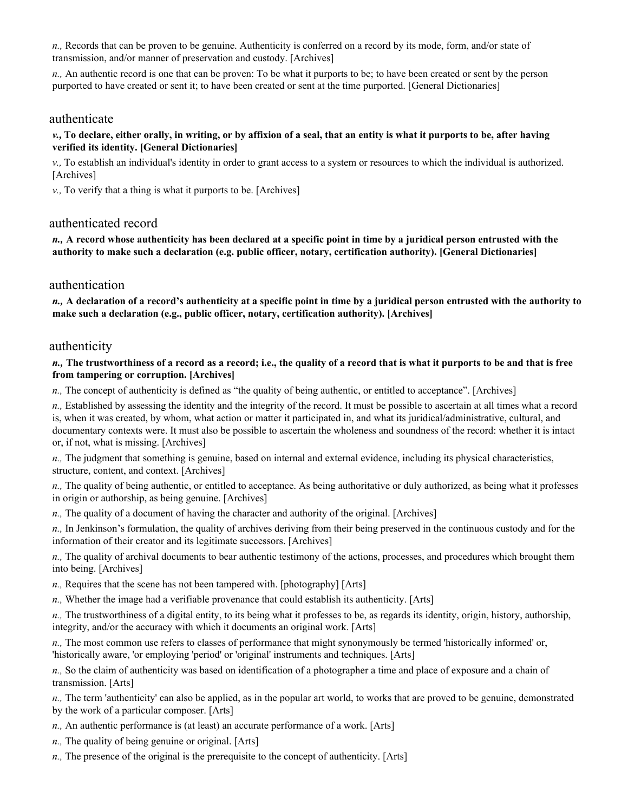*n.,* Records that can be proven to be genuine. Authenticity is conferred on a record by its mode, form, and/or state of transmission, and/or manner of preservation and custody. [Archives]

*n.,* An authentic record is one that can be proven: To be what it purports to be; to have been created or sent by the person purported to have created or sent it; to have been created or sent at the time purported. [General Dictionaries]

### authenticate

#### *v.,* **To declare, either orally, in writing, or by affixion of a seal, that an entity is what it purports to be, after having verified its identity. [General Dictionaries]**

*v.,* To establish an individual's identity in order to grant access to a system or resources to which the individual is authorized. [Archives]

*v.,* To verify that a thing is what it purports to be. [Archives]

### authenticated record

*n.,* **A record whose authenticity has been declared at a specific point in time by a juridical person entrusted with the authority to make such a declaration (e.g. public officer, notary, certification authority). [General Dictionaries]** 

#### authentication

*n.,* **A declaration of a record's authenticity at a specific point in time by a juridical person entrusted with the authority to make such a declaration (e.g., public officer, notary, certification authority). [Archives]** 

#### authenticity

#### *n.,* **The trustworthiness of a record as a record; i.e., the quality of a record that is what it purports to be and that is free from tampering or corruption. [Archives]**

*n.,* The concept of authenticity is defined as "the quality of being authentic, or entitled to acceptance". [Archives]

*n.,* Established by assessing the identity and the integrity of the record. It must be possible to ascertain at all times what a record is, when it was created, by whom, what action or matter it participated in, and what its juridical/administrative, cultural, and documentary contexts were. It must also be possible to ascertain the wholeness and soundness of the record: whether it is intact or, if not, what is missing. [Archives]

*n.,* The judgment that something is genuine, based on internal and external evidence, including its physical characteristics, structure, content, and context. [Archives]

- *n.,* The quality of being authentic, or entitled to acceptance. As being authoritative or duly authorized, as being what it professes in origin or authorship, as being genuine. [Archives]
- *n.,* The quality of a document of having the character and authority of the original. [Archives]

*n.,* In Jenkinson's formulation, the quality of archives deriving from their being preserved in the continuous custody and for the information of their creator and its legitimate successors. [Archives]

*n.,* The quality of archival documents to bear authentic testimony of the actions, processes, and procedures which brought them into being. [Archives]

*n.,* Requires that the scene has not been tampered with. [photography] [Arts]

*n.,* Whether the image had a verifiable provenance that could establish its authenticity. [Arts]

*n.,* The trustworthiness of a digital entity, to its being what it professes to be, as regards its identity, origin, history, authorship, integrity, and/or the accuracy with which it documents an original work. [Arts]

*n.,* The most common use refers to classes of performance that might synonymously be termed 'historically informed' or, 'historically aware, 'or employing 'period' or 'original' instruments and techniques. [Arts]

*n.,* So the claim of authenticity was based on identification of a photographer a time and place of exposure and a chain of transmission. [Arts]

*n.,* The term 'authenticity' can also be applied, as in the popular art world, to works that are proved to be genuine, demonstrated by the work of a particular composer. [Arts]

- *n.,* An authentic performance is (at least) an accurate performance of a work. [Arts]
- *n.,* The quality of being genuine or original. [Arts]
- *n.,* The presence of the original is the prerequisite to the concept of authenticity. [Arts]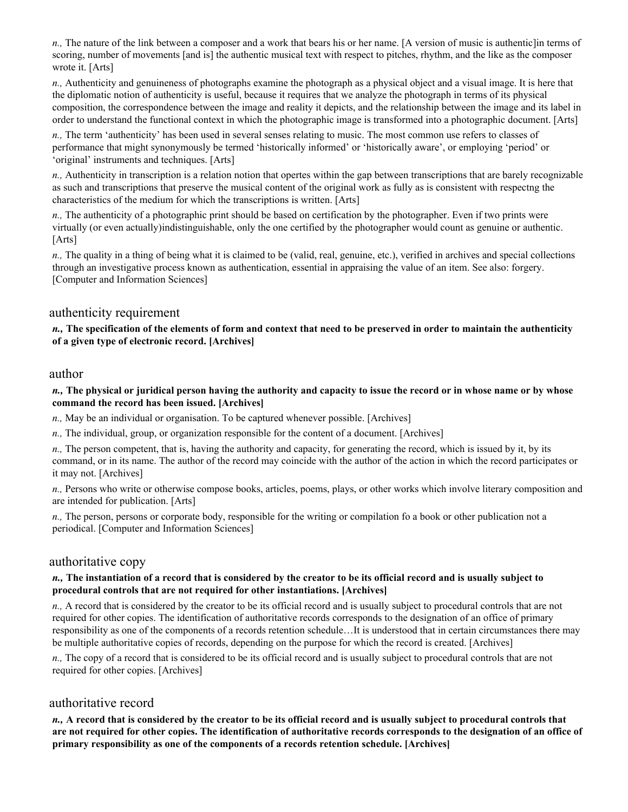*n.,* The nature of the link between a composer and a work that bears his or her name. [A version of music is authentic]in terms of scoring, number of movements [and is] the authentic musical text with respect to pitches, rhythm, and the like as the composer wrote it. [Arts]

*n.,* Authenticity and genuineness of photographs examine the photograph as a physical object and a visual image. It is here that the diplomatic notion of authenticity is useful, because it requires that we analyze the photograph in terms of its physical composition, the correspondence between the image and reality it depicts, and the relationship between the image and its label in order to understand the functional context in which the photographic image is transformed into a photographic document. [Arts]

*n.,* The term 'authenticity' has been used in several senses relating to music. The most common use refers to classes of performance that might synonymously be termed 'historically informed' or 'historically aware', or employing 'period' or 'original' instruments and techniques. [Arts]

*n.,* Authenticity in transcription is a relation notion that opertes within the gap between transcriptions that are barely recognizable as such and transcriptions that preserve the musical content of the original work as fully as is consistent with respectng the characteristics of the medium for which the transcriptions is written. [Arts]

*n.,* The authenticity of a photographic print should be based on certification by the photographer. Even if two prints were virtually (or even actually)indistinguishable, only the one certified by the photographer would count as genuine or authentic. [Arts]

*n.,* The quality in a thing of being what it is claimed to be (valid, real, genuine, etc.), verified in archives and special collections through an investigative process known as authentication, essential in appraising the value of an item. See also: forgery. [Computer and Information Sciences]

# authenticity requirement

*n.,* **The specification of the elements of form and context that need to be preserved in order to maintain the authenticity of a given type of electronic record. [Archives]** 

### author

*n.,* **The physical or juridical person having the authority and capacity to issue the record or in whose name or by whose command the record has been issued. [Archives]** 

*n.,* May be an individual or organisation. To be captured whenever possible. [Archives]

*n.,* The individual, group, or organization responsible for the content of a document. [Archives]

*n.,* The person competent, that is, having the authority and capacity, for generating the record, which is issued by it, by its command, or in its name. The author of the record may coincide with the author of the action in which the record participates or it may not. [Archives]

*n.,* Persons who write or otherwise compose books, articles, poems, plays, or other works which involve literary composition and are intended for publication. [Arts]

*n.,* The person, persons or corporate body, responsible for the writing or compilation fo a book or other publication not a periodical. [Computer and Information Sciences]

### authoritative copy

#### *n.,* **The instantiation of a record that is considered by the creator to be its official record and is usually subject to procedural controls that are not required for other instantiations. [Archives]**

*n.,* A record that is considered by the creator to be its official record and is usually subject to procedural controls that are not required for other copies. The identification of authoritative records corresponds to the designation of an office of primary responsibility as one of the components of a records retention schedule…It is understood that in certain circumstances there may be multiple authoritative copies of records, depending on the purpose for which the record is created. [Archives]

*n.,* The copy of a record that is considered to be its official record and is usually subject to procedural controls that are not required for other copies. [Archives]

### authoritative record

*n.,* **A record that is considered by the creator to be its official record and is usually subject to procedural controls that are not required for other copies. The identification of authoritative records corresponds to the designation of an office of primary responsibility as one of the components of a records retention schedule. [Archives]**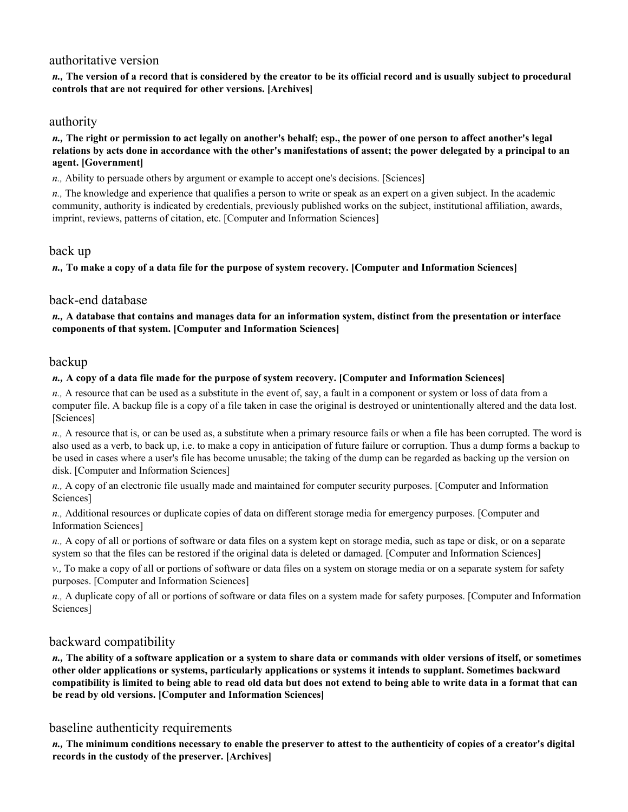# authoritative version

*n.,* **The version of a record that is considered by the creator to be its official record and is usually subject to procedural controls that are not required for other versions. [Archives]** 

# authority

*n.,* **The right or permission to act legally on another's behalf; esp., the power of one person to affect another's legal relations by acts done in accordance with the other's manifestations of assent; the power delegated by a principal to an agent. [Government]** 

*n.,* Ability to persuade others by argument or example to accept one's decisions. [Sciences]

*n.,* The knowledge and experience that qualifies a person to write or speak as an expert on a given subject. In the academic community, authority is indicated by credentials, previously published works on the subject, institutional affiliation, awards, imprint, reviews, patterns of citation, etc. [Computer and Information Sciences]

### back up

*n.,* **To make a copy of a data file for the purpose of system recovery. [Computer and Information Sciences]** 

# back-end database

*n.,* **A database that contains and manages data for an information system, distinct from the presentation or interface components of that system. [Computer and Information Sciences]** 

### backup

#### *n.,* **A copy of a data file made for the purpose of system recovery. [Computer and Information Sciences]**

*n.,* A resource that can be used as a substitute in the event of, say, a fault in a component or system or loss of data from a computer file. A backup file is a copy of a file taken in case the original is destroyed or unintentionally altered and the data lost. [Sciences]

*n.,* A resource that is, or can be used as, a substitute when a primary resource fails or when a file has been corrupted. The word is also used as a verb, to back up, i.e. to make a copy in anticipation of future failure or corruption. Thus a dump forms a backup to be used in cases where a user's file has become unusable; the taking of the dump can be regarded as backing up the version on disk. [Computer and Information Sciences]

*n.,* A copy of an electronic file usually made and maintained for computer security purposes. [Computer and Information Sciences]

*n.,* Additional resources or duplicate copies of data on different storage media for emergency purposes. [Computer and Information Sciences]

*n.,* A copy of all or portions of software or data files on a system kept on storage media, such as tape or disk, or on a separate system so that the files can be restored if the original data is deleted or damaged. [Computer and Information Sciences]

*v.,* To make a copy of all or portions of software or data files on a system on storage media or on a separate system for safety purposes. [Computer and Information Sciences]

*n.,* A duplicate copy of all or portions of software or data files on a system made for safety purposes. [Computer and Information Sciences]

# backward compatibility

*n.,* **The ability of a software application or a system to share data or commands with older versions of itself, or sometimes other older applications or systems, particularly applications or systems it intends to supplant. Sometimes backward compatibility is limited to being able to read old data but does not extend to being able to write data in a format that can be read by old versions. [Computer and Information Sciences]** 

### baseline authenticity requirements

*n.,* **The minimum conditions necessary to enable the preserver to attest to the authenticity of copies of a creator's digital records in the custody of the preserver. [Archives]**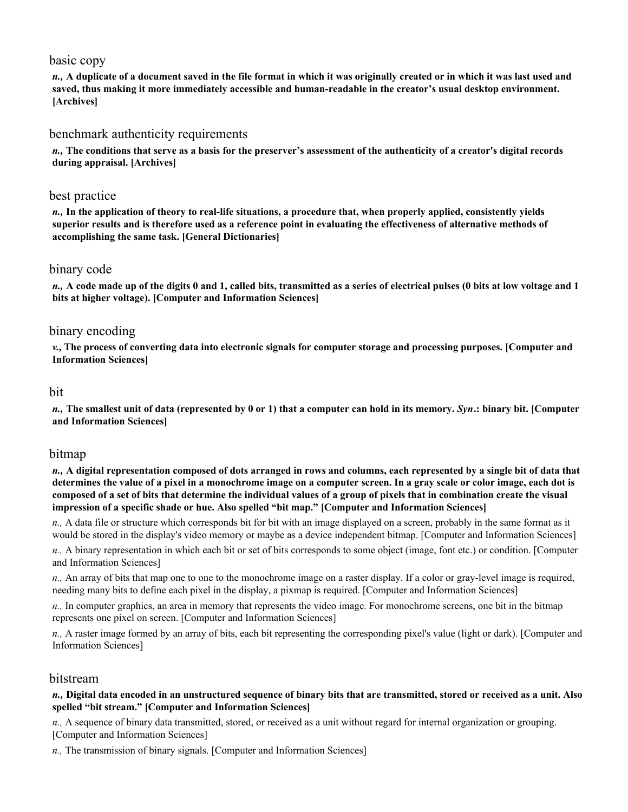# basic copy

*n.,* **A duplicate of a document saved in the file format in which it was originally created or in which it was last used and saved, thus making it more immediately accessible and human-readable in the creator's usual desktop environment. [Archives]** 

### benchmark authenticity requirements

*n.,* **The conditions that serve as a basis for the preserver's assessment of the authenticity of a creator's digital records during appraisal. [Archives]** 

### best practice

*n.,* **In the application of theory to real-life situations, a procedure that, when properly applied, consistently yields superior results and is therefore used as a reference point in evaluating the effectiveness of alternative methods of accomplishing the same task. [General Dictionaries]** 

### binary code

*n.,* **A code made up of the digits 0 and 1, called bits, transmitted as a series of electrical pulses (0 bits at low voltage and 1 bits at higher voltage). [Computer and Information Sciences]** 

# binary encoding

*v.,* **The process of converting data into electronic signals for computer storage and processing purposes. [Computer and Information Sciences]** 

#### bit

*n.,* **The smallest unit of data (represented by 0 or 1) that a computer can hold in its memory.** *Syn***.: binary bit. [Computer and Information Sciences]** 

### bitmap

*n.,* **A digital representation composed of dots arranged in rows and columns, each represented by a single bit of data that determines the value of a pixel in a monochrome image on a computer screen. In a gray scale or color image, each dot is composed of a set of bits that determine the individual values of a group of pixels that in combination create the visual impression of a specific shade or hue. Also spelled "bit map." [Computer and Information Sciences]** 

*n.,* A data file or structure which corresponds bit for bit with an image displayed on a screen, probably in the same format as it would be stored in the display's video memory or maybe as a device independent bitmap. [Computer and Information Sciences]

*n.,* A binary representation in which each bit or set of bits corresponds to some object (image, font etc.) or condition. [Computer and Information Sciences]

*n.,* An array of bits that map one to one to the monochrome image on a raster display. If a color or gray-level image is required, needing many bits to define each pixel in the display, a pixmap is required. [Computer and Information Sciences]

*n.,* In computer graphics, an area in memory that represents the video image. For monochrome screens, one bit in the bitmap represents one pixel on screen. [Computer and Information Sciences]

*n.,* A raster image formed by an array of bits, each bit representing the corresponding pixel's value (light or dark). [Computer and Information Sciences]

### bitstream

#### *n.,* **Digital data encoded in an unstructured sequence of binary bits that are transmitted, stored or received as a unit. Also spelled "bit stream." [Computer and Information Sciences]**

*n.,* A sequence of binary data transmitted, stored, or received as a unit without regard for internal organization or grouping. [Computer and Information Sciences]

*n.,* The transmission of binary signals. [Computer and Information Sciences]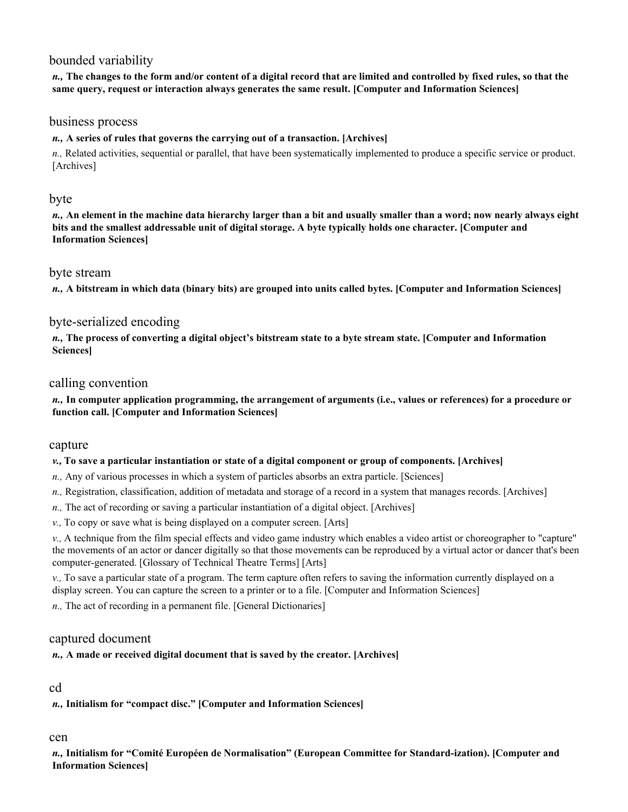# bounded variability

*n.,* **The changes to the form and/or content of a digital record that are limited and controlled by fixed rules, so that the same query, request or interaction always generates the same result. [Computer and Information Sciences]** 

### business process

### *n.,* **A series of rules that governs the carrying out of a transaction. [Archives]**

*n.,* Related activities, sequential or parallel, that have been systematically implemented to produce a specific service or product. [Archives]

# byte

*n.,* **An element in the machine data hierarchy larger than a bit and usually smaller than a word; now nearly always eight bits and the smallest addressable unit of digital storage. A byte typically holds one character. [Computer and Information Sciences]** 

### byte stream

*n.,* **A bitstream in which data (binary bits) are grouped into units called bytes. [Computer and Information Sciences]** 

# byte-serialized encoding

*n.,* **The process of converting a digital object's bitstream state to a byte stream state. [Computer and Information Sciences]** 

# calling convention

*n.,* **In computer application programming, the arrangement of arguments (i.e., values or references) for a procedure or function call. [Computer and Information Sciences]** 

### capture

#### *v.,* **To save a particular instantiation or state of a digital component or group of components. [Archives]**

- *n.,* Any of various processes in which a system of particles absorbs an extra particle. [Sciences]
- *n.,* Registration, classification, addition of metadata and storage of a record in a system that manages records. [Archives]
- *n.,* The act of recording or saving a particular instantiation of a digital object. [Archives]
- *v.,* To copy or save what is being displayed on a computer screen. [Arts]

*v.,* A technique from the film special effects and video game industry which enables a video artist or choreographer to "capture" the movements of an actor or dancer digitally so that those movements can be reproduced by a virtual actor or dancer that's been computer-generated. [Glossary of Technical Theatre Terms] [Arts]

*v.,* To save a particular state of a program. The term capture often refers to saving the information currently displayed on a display screen. You can capture the screen to a printer or to a file. [Computer and Information Sciences]

*n.,* The act of recording in a permanent file. [General Dictionaries]

### captured document

### *n.,* **A made or received digital document that is saved by the creator. [Archives]**

# cd

```
n., Initialism for "compact disc." [Computer and Information Sciences]
```
# cen

*n.,* **Initialism for "Comité Européen de Normalisation" (European Committee for Standard-ization). [Computer and Information Sciences]**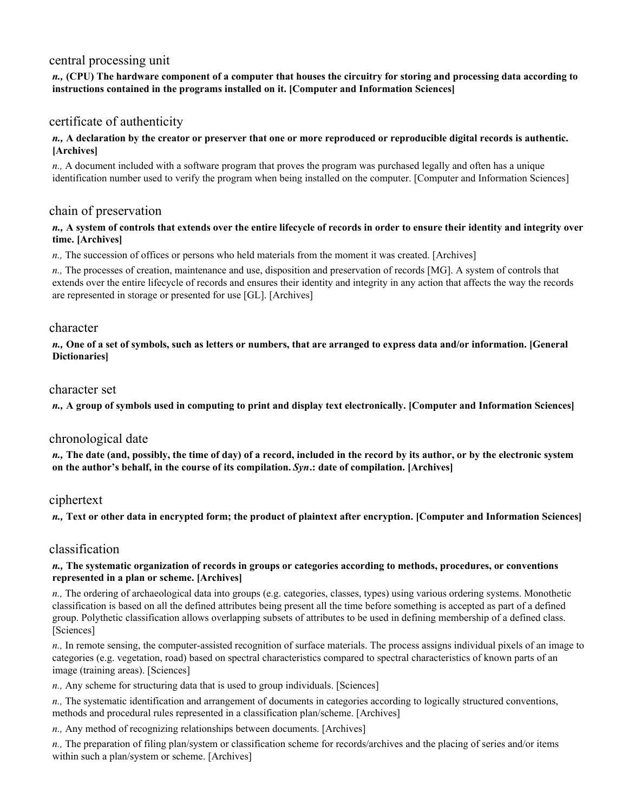# central processing unit

#### *n.,* **(CPU) The hardware component of a computer that houses the circuitry for storing and processing data according to instructions contained in the programs installed on it. [Computer and Information Sciences]**

# certificate of authenticity

#### *n.,* **A declaration by the creator or preserver that one or more reproduced or reproducible digital records is authentic. [Archives]**

*n.,* A document included with a software program that proves the program was purchased legally and often has a unique identification number used to verify the program when being installed on the computer. [Computer and Information Sciences]

### chain of preservation

#### *n.,* **A system of controls that extends over the entire lifecycle of records in order to ensure their identity and integrity over time. [Archives]**

*n.,* The succession of offices or persons who held materials from the moment it was created. [Archives]

*n.,* The processes of creation, maintenance and use, disposition and preservation of records [MG]. A system of controls that extends over the entire lifecycle of records and ensures their identity and integrity in any action that affects the way the records are represented in storage or presented for use [GL]. [Archives]

### character

*n.,* **One of a set of symbols, such as letters or numbers, that are arranged to express data and/or information. [General Dictionaries]** 

#### character set

*n.,* **A group of symbols used in computing to print and display text electronically. [Computer and Information Sciences]** 

### chronological date

*n.,* **The date (and, possibly, the time of day) of a record, included in the record by its author, or by the electronic system on the author's behalf, in the course of its compilation.** *Syn***.: date of compilation. [Archives]** 

### ciphertext

*n.,* **Text or other data in encrypted form; the product of plaintext after encryption. [Computer and Information Sciences]** 

# classification

#### *n.,* **The systematic organization of records in groups or categories according to methods, procedures, or conventions represented in a plan or scheme. [Archives]**

*n.,* The ordering of archaeological data into groups (e.g. categories, classes, types) using various ordering systems. Monothetic classification is based on all the defined attributes being present all the time before something is accepted as part of a defined group. Polythetic classification allows overlapping subsets of attributes to be used in defining membership of a defined class. [Sciences]

*n.,* In remote sensing, the computer-assisted recognition of surface materials. The process assigns individual pixels of an image to categories (e.g. vegetation, road) based on spectral characteristics compared to spectral characteristics of known parts of an image (training areas). [Sciences]

*n.,* Any scheme for structuring data that is used to group individuals. [Sciences]

*n.,* The systematic identification and arrangement of documents in categories according to logically structured conventions, methods and procedural rules represented in a classification plan/scheme. [Archives]

*n.,* Any method of recognizing relationships between documents. [Archives]

*n.,* The preparation of filing plan/system or classification scheme for records/archives and the placing of series and/or items within such a plan/system or scheme. [Archives]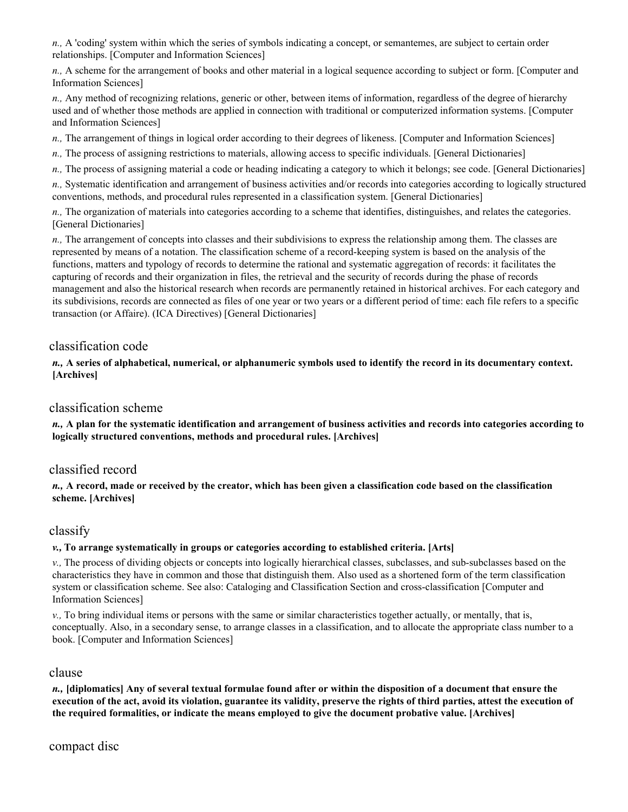*n.,* A 'coding' system within which the series of symbols indicating a concept, or semantemes, are subject to certain order relationships. [Computer and Information Sciences]

*n.,* A scheme for the arrangement of books and other material in a logical sequence according to subject or form. [Computer and Information Sciences]

*n.,* Any method of recognizing relations, generic or other, between items of information, regardless of the degree of hierarchy used and of whether those methods are applied in connection with traditional or computerized information systems. [Computer and Information Sciences]

*n.,* The arrangement of things in logical order according to their degrees of likeness. [Computer and Information Sciences]

*n.,* The process of assigning restrictions to materials, allowing access to specific individuals. [General Dictionaries]

*n.,* The process of assigning material a code or heading indicating a category to which it belongs; see code. [General Dictionaries]

*n.,* Systematic identification and arrangement of business activities and/or records into categories according to logically structured conventions, methods, and procedural rules represented in a classification system. [General Dictionaries]

*n.,* The organization of materials into categories according to a scheme that identifies, distinguishes, and relates the categories. [General Dictionaries]

*n.,* The arrangement of concepts into classes and their subdivisions to express the relationship among them. The classes are represented by means of a notation. The classification scheme of a record-keeping system is based on the analysis of the functions, matters and typology of records to determine the rational and systematic aggregation of records: it facilitates the capturing of records and their organization in files, the retrieval and the security of records during the phase of records management and also the historical research when records are permanently retained in historical archives. For each category and its subdivisions, records are connected as files of one year or two years or a different period of time: each file refers to a specific transaction (or Affaire). (ICA Directives) [General Dictionaries]

# classification code

*n.,* **A series of alphabetical, numerical, or alphanumeric symbols used to identify the record in its documentary context. [Archives]** 

# classification scheme

*n.,* **A plan for the systematic identification and arrangement of business activities and records into categories according to logically structured conventions, methods and procedural rules. [Archives]** 

# classified record

*n.,* **A record, made or received by the creator, which has been given a classification code based on the classification scheme. [Archives]** 

### classify

#### *v.,* **To arrange systematically in groups or categories according to established criteria. [Arts]**

*v.,* The process of dividing objects or concepts into logically hierarchical classes, subclasses, and sub-subclasses based on the characteristics they have in common and those that distinguish them. Also used as a shortened form of the term classification system or classification scheme. See also: Cataloging and Classification Section and cross-classification [Computer and Information Sciences]

*v.,* To bring individual items or persons with the same or similar characteristics together actually, or mentally, that is, conceptually. Also, in a secondary sense, to arrange classes in a classification, and to allocate the appropriate class number to a book. [Computer and Information Sciences]

### clause

*n.,* **[diplomatics] Any of several textual formulae found after or within the disposition of a document that ensure the execution of the act, avoid its violation, guarantee its validity, preserve the rights of third parties, attest the execution of the required formalities, or indicate the means employed to give the document probative value. [Archives]**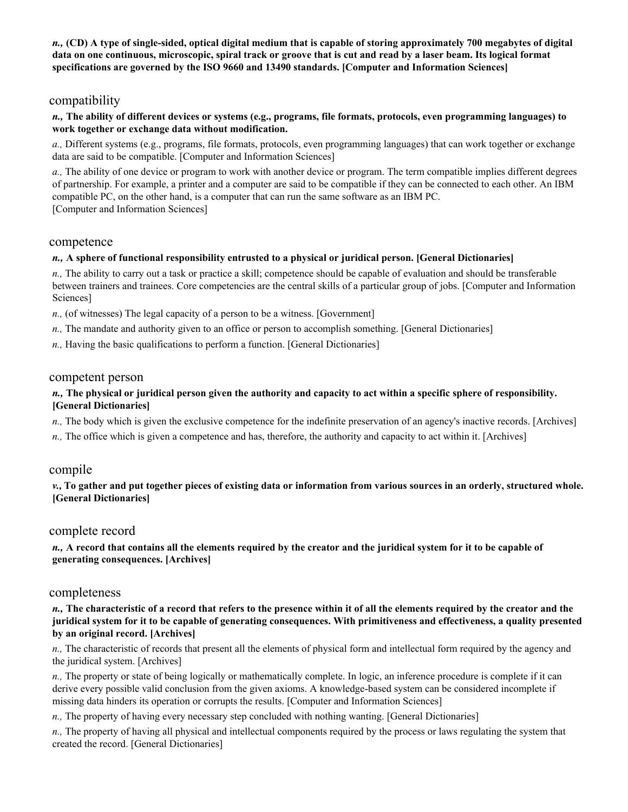*n.,* **(CD) A type of single-sided, optical digital medium that is capable of storing approximately 700 megabytes of digital data on one continuous, microscopic, spiral track or groove that is cut and read by a laser beam. Its logical format specifications are governed by the ISO 9660 and 13490 standards. [Computer and Information Sciences]** 

# compatibility

#### *n.,* **The ability of different devices or systems (e.g., programs, file formats, protocols, even programming languages) to work together or exchange data without modification.**

*a.,* Different systems (e.g., programs, file formats, protocols, even programming languages) that can work together or exchange data are said to be compatible. [Computer and Information Sciences]

*a.,* The ability of one device or program to work with another device or program. The term compatible implies different degrees of partnership. For example, a printer and a computer are said to be compatible if they can be connected to each other. An IBM compatible PC, on the other hand, is a computer that can run the same software as an IBM PC. [Computer and Information Sciences]

#### competence

#### *n.,* **A sphere of functional responsibility entrusted to a physical or juridical person. [General Dictionaries]**

*n.,* The ability to carry out a task or practice a skill; competence should be capable of evaluation and should be transferable between trainers and trainees. Core competencies are the central skills of a particular group of jobs. [Computer and Information Sciences]

*n.,* (of witnesses) The legal capacity of a person to be a witness. [Government]

- *n.,* The mandate and authority given to an office or person to accomplish something. [General Dictionaries]
- *n.,* Having the basic qualifications to perform a function. [General Dictionaries]

#### competent person

#### *n.,* **The physical or juridical person given the authority and capacity to act within a specific sphere of responsibility. [General Dictionaries]**

- *n.*, The body which is given the exclusive competence for the indefinite preservation of an agency's inactive records. [Archives]
- *n.,* The office which is given a competence and has, therefore, the authority and capacity to act within it. [Archives]

### compile

*v.,* **To gather and put together pieces of existing data or information from various sources in an orderly, structured whole. [General Dictionaries]** 

### complete record

#### *n.,* **A record that contains all the elements required by the creator and the juridical system for it to be capable of generating consequences. [Archives]**

### completeness

*n.,* **The characteristic of a record that refers to the presence within it of all the elements required by the creator and the juridical system for it to be capable of generating consequences. With primitiveness and effectiveness, a quality presented by an original record. [Archives]** 

*n.,* The characteristic of records that present all the elements of physical form and intellectual form required by the agency and the juridical system. [Archives]

*n.,* The property or state of being logically or mathematically complete. In logic, an inference procedure is complete if it can derive every possible valid conclusion from the given axioms. A knowledge-based system can be considered incomplete if missing data hinders its operation or corrupts the results. [Computer and Information Sciences]

*n.,* The property of having every necessary step concluded with nothing wanting. [General Dictionaries]

*n.,* The property of having all physical and intellectual components required by the process or laws regulating the system that created the record. [General Dictionaries]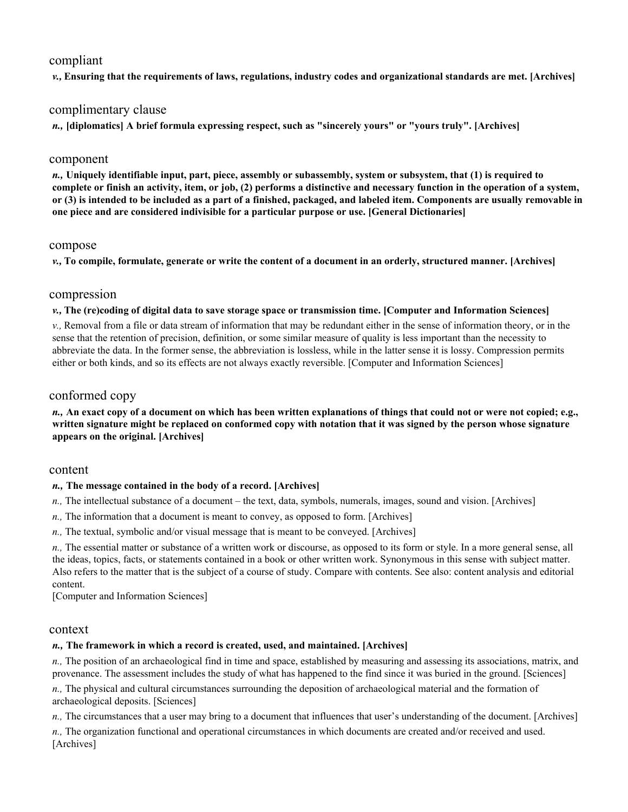### compliant

*v.,* **Ensuring that the requirements of laws, regulations, industry codes and organizational standards are met. [Archives]** 

# complimentary clause

*n.,* **[diplomatics] A brief formula expressing respect, such as "sincerely yours" or "yours truly". [Archives]** 

#### component

*n.,* **Uniquely identifiable input, part, piece, assembly or subassembly, system or subsystem, that (1) is required to complete or finish an activity, item, or job, (2) performs a distinctive and necessary function in the operation of a system, or (3) is intended to be included as a part of a finished, packaged, and labeled item. Components are usually removable in one piece and are considered indivisible for a particular purpose or use. [General Dictionaries]** 

#### compose

*v.,* **To compile, formulate, generate or write the content of a document in an orderly, structured manner. [Archives]** 

### compression

#### *v.,* **The (re)coding of digital data to save storage space or transmission time. [Computer and Information Sciences]**

*v.,* Removal from a file or data stream of information that may be redundant either in the sense of information theory, or in the sense that the retention of precision, definition, or some similar measure of quality is less important than the necessity to abbreviate the data. In the former sense, the abbreviation is lossless, while in the latter sense it is lossy. Compression permits either or both kinds, and so its effects are not always exactly reversible. [Computer and Information Sciences]

### conformed copy

#### *n.,* **An exact copy of a document on which has been written explanations of things that could not or were not copied; e.g., written signature might be replaced on conformed copy with notation that it was signed by the person whose signature appears on the original. [Archives]**

### content

### *n.,* **The message contained in the body of a record. [Archives]**

- *n.,* The intellectual substance of a document the text, data, symbols, numerals, images, sound and vision. [Archives]
- *n.,* The information that a document is meant to convey, as opposed to form. [Archives]
- *n.,* The textual, symbolic and/or visual message that is meant to be conveyed. [Archives]

*n.*, The essential matter or substance of a written work or discourse, as opposed to its form or style. In a more general sense, all the ideas, topics, facts, or statements contained in a book or other written work. Synonymous in this sense with subject matter. Also refers to the matter that is the subject of a course of study. Compare with contents. See also: content analysis and editorial content.

[Computer and Information Sciences]

### context

### *n.,* **The framework in which a record is created, used, and maintained. [Archives]**

*n.,* The position of an archaeological find in time and space, established by measuring and assessing its associations, matrix, and provenance. The assessment includes the study of what has happened to the find since it was buried in the ground. [Sciences]

*n.,* The physical and cultural circumstances surrounding the deposition of archaeological material and the formation of archaeological deposits. [Sciences]

*n.,* The circumstances that a user may bring to a document that influences that user's understanding of the document. [Archives]

*n.,* The organization functional and operational circumstances in which documents are created and/or received and used. [Archives]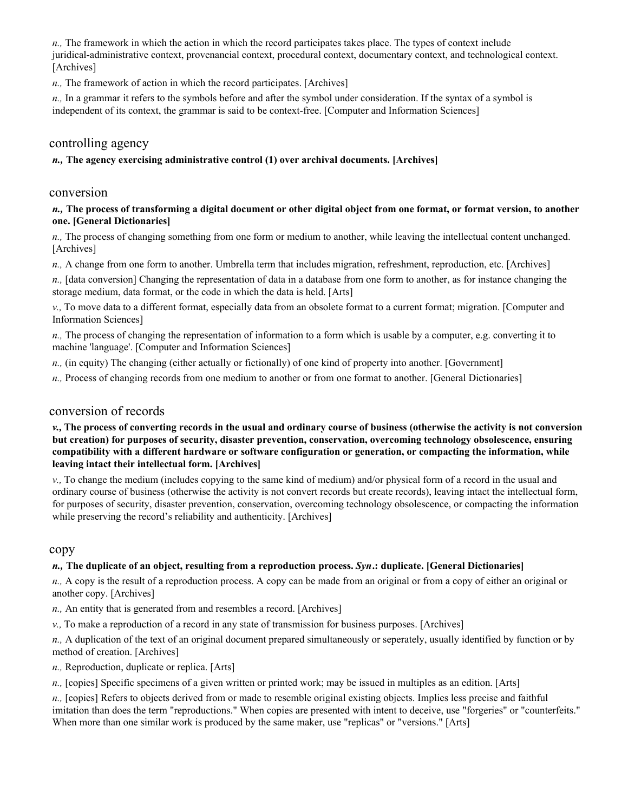*n.,* The framework in which the action in which the record participates takes place. The types of context include juridical-administrative context, provenancial context, procedural context, documentary context, and technological context. [Archives]

*n.,* The framework of action in which the record participates. [Archives]

*n.,* In a grammar it refers to the symbols before and after the symbol under consideration. If the syntax of a symbol is independent of its context, the grammar is said to be context-free. [Computer and Information Sciences]

# controlling agency

#### *n.,* **The agency exercising administrative control (1) over archival documents. [Archives]**

# conversion

#### *n.,* **The process of transforming a digital document or other digital object from one format, or format version, to another one. [General Dictionaries]**

*n.,* The process of changing something from one form or medium to another, while leaving the intellectual content unchanged. [Archives]

*n.,* A change from one form to another. Umbrella term that includes migration, refreshment, reproduction, etc. [Archives]

*n.,* [data conversion] Changing the representation of data in a database from one form to another, as for instance changing the storage medium, data format, or the code in which the data is held. [Arts]

*v.,* To move data to a different format, especially data from an obsolete format to a current format; migration. [Computer and Information Sciences]

*n.,* The process of changing the representation of information to a form which is usable by a computer, e.g. converting it to machine 'language'. [Computer and Information Sciences]

*n.,* (in equity) The changing (either actually or fictionally) of one kind of property into another. [Government]

*n.*, Process of changing records from one medium to another or from one format to another. [General Dictionaries]

### conversion of records

#### *v.,* **The process of converting records in the usual and ordinary course of business (otherwise the activity is not conversion but creation) for purposes of security, disaster prevention, conservation, overcoming technology obsolescence, ensuring compatibility with a different hardware or software configuration or generation, or compacting the information, while leaving intact their intellectual form. [Archives]**

*v.,* To change the medium (includes copying to the same kind of medium) and/or physical form of a record in the usual and ordinary course of business (otherwise the activity is not convert records but create records), leaving intact the intellectual form, for purposes of security, disaster prevention, conservation, overcoming technology obsolescence, or compacting the information while preserving the record's reliability and authenticity. [Archives]

#### copy

#### *n.,* **The duplicate of an object, resulting from a reproduction process.** *Syn***.: duplicate. [General Dictionaries]**

*n.,* A copy is the result of a reproduction process. A copy can be made from an original or from a copy of either an original or another copy. [Archives]

- *n.,* An entity that is generated from and resembles a record. [Archives]
- *v.,* To make a reproduction of a record in any state of transmission for business purposes. [Archives]

*n.,* A duplication of the text of an original document prepared simultaneously or seperately, usually identified by function or by method of creation. [Archives]

*n.,* Reproduction, duplicate or replica. [Arts]

*n.,* [copies] Specific specimens of a given written or printed work; may be issued in multiples as an edition. [Arts]

*n.,* [copies] Refers to objects derived from or made to resemble original existing objects. Implies less precise and faithful imitation than does the term "reproductions." When copies are presented with intent to deceive, use "forgeries" or "counterfeits." When more than one similar work is produced by the same maker, use "replicas" or "versions." [Arts]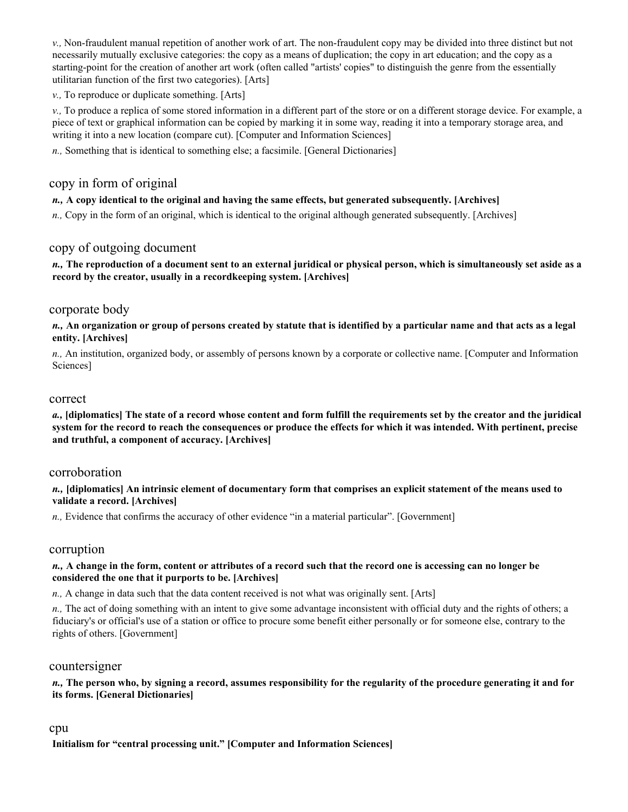*v.,* Non-fraudulent manual repetition of another work of art. The non-fraudulent copy may be divided into three distinct but not necessarily mutually exclusive categories: the copy as a means of duplication; the copy in art education; and the copy as a starting-point for the creation of another art work (often called "artists' copies" to distinguish the genre from the essentially utilitarian function of the first two categories). [Arts]

*v.,* To reproduce or duplicate something. [Arts]

*v.,* To produce a replica of some stored information in a different part of the store or on a different storage device. For example, a piece of text or graphical information can be copied by marking it in some way, reading it into a temporary storage area, and writing it into a new location (compare cut). [Computer and Information Sciences]

*n.,* Something that is identical to something else; a facsimile. [General Dictionaries]

# copy in form of original

#### *n.,* **A copy identical to the original and having the same effects, but generated subsequently. [Archives]**

*n.,* Copy in the form of an original, which is identical to the original although generated subsequently. [Archives]

### copy of outgoing document

*n.,* **The reproduction of a document sent to an external juridical or physical person, which is simultaneously set aside as a record by the creator, usually in a recordkeeping system. [Archives]** 

### corporate body

*n.,* **An organization or group of persons created by statute that is identified by a particular name and that acts as a legal entity. [Archives]** 

*n.,* An institution, organized body, or assembly of persons known by a corporate or collective name. [Computer and Information Sciences]

#### correct

*a.,* **[diplomatics] The state of a record whose content and form fulfill the requirements set by the creator and the juridical system for the record to reach the consequences or produce the effects for which it was intended. With pertinent, precise and truthful, a component of accuracy. [Archives]** 

#### corroboration

*n.,* **[diplomatics] An intrinsic element of documentary form that comprises an explicit statement of the means used to validate a record. [Archives]** 

*n.,* Evidence that confirms the accuracy of other evidence "in a material particular". [Government]

### corruption

#### *n.,* **A change in the form, content or attributes of a record such that the record one is accessing can no longer be considered the one that it purports to be. [Archives]**

*n.,* A change in data such that the data content received is not what was originally sent. [Arts]

*n.,* The act of doing something with an intent to give some advantage inconsistent with official duty and the rights of others; a fiduciary's or official's use of a station or office to procure some benefit either personally or for someone else, contrary to the rights of others. [Government]

#### countersigner

*n.,* **The person who, by signing a record, assumes responsibility for the regularity of the procedure generating it and for its forms. [General Dictionaries]** 

#### cpu

**Initialism for "central processing unit." [Computer and Information Sciences]**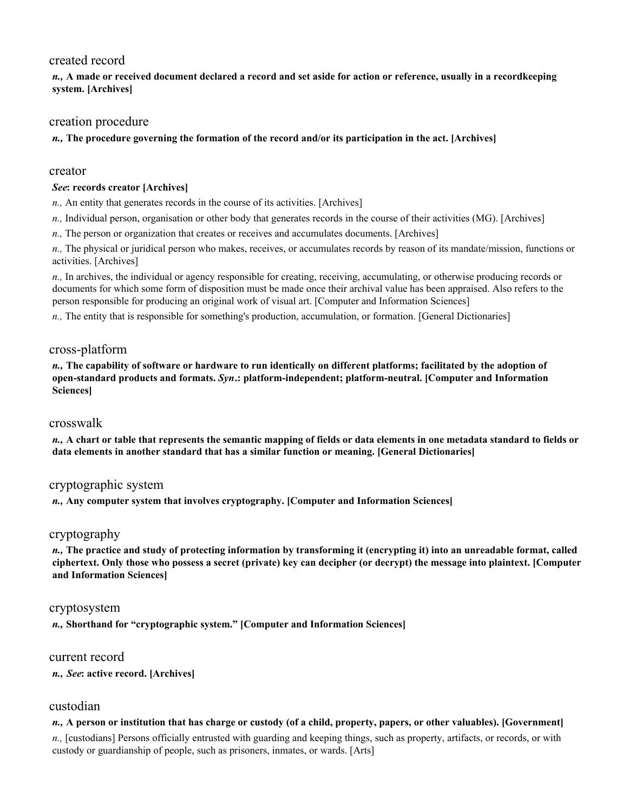# created record

*n.,* **A made or received document declared a record and set aside for action or reference, usually in a recordkeeping system. [Archives]** 

# creation procedure

*n.,* **The procedure governing the formation of the record and/or its participation in the act. [Archives]** 

### creator

### *See***: records creator [Archives]**

*n.,* An entity that generates records in the course of its activities. [Archives]

- *n.,* Individual person, organisation or other body that generates records in the course of their activities (MG). [Archives]
- *n.,* The person or organization that creates or receives and accumulates documents. [Archives]

*n.,* The physical or juridical person who makes, receives, or accumulates records by reason of its mandate/mission, functions or activities. [Archives]

*n.,* In archives, the individual or agency responsible for creating, receiving, accumulating, or otherwise producing records or documents for which some form of disposition must be made once their archival value has been appraised. Also refers to the person responsible for producing an original work of visual art. [Computer and Information Sciences]

*n.,* The entity that is responsible for something's production, accumulation, or formation. [General Dictionaries]

# cross-platform

*n.,* **The capability of software or hardware to run identically on different platforms; facilitated by the adoption of open-standard products and formats.** *Syn***.: platform-independent; platform-neutral. [Computer and Information Sciences]** 

### crosswalk

*n.,* **A chart or table that represents the semantic mapping of fields or data elements in one metadata standard to fields or data elements in another standard that has a similar function or meaning. [General Dictionaries]** 

# cryptographic system

*n.,* **Any computer system that involves cryptography. [Computer and Information Sciences]** 

### cryptography

*n.,* **The practice and study of protecting information by transforming it (encrypting it) into an unreadable format, called ciphertext. Only those who possess a secret (private) key can decipher (or decrypt) the message into plaintext. [Computer and Information Sciences]** 

### cryptosystem

*n.,* **Shorthand for "cryptographic system." [Computer and Information Sciences]** 

### current record

*n., See***: active record. [Archives]** 

# custodian

*n.,* **A person or institution that has charge or custody (of a child, property, papers, or other valuables). [Government]**  *n.,* [custodians] Persons officially entrusted with guarding and keeping things, such as property, artifacts, or records, or with custody or guardianship of people, such as prisoners, inmates, or wards. [Arts]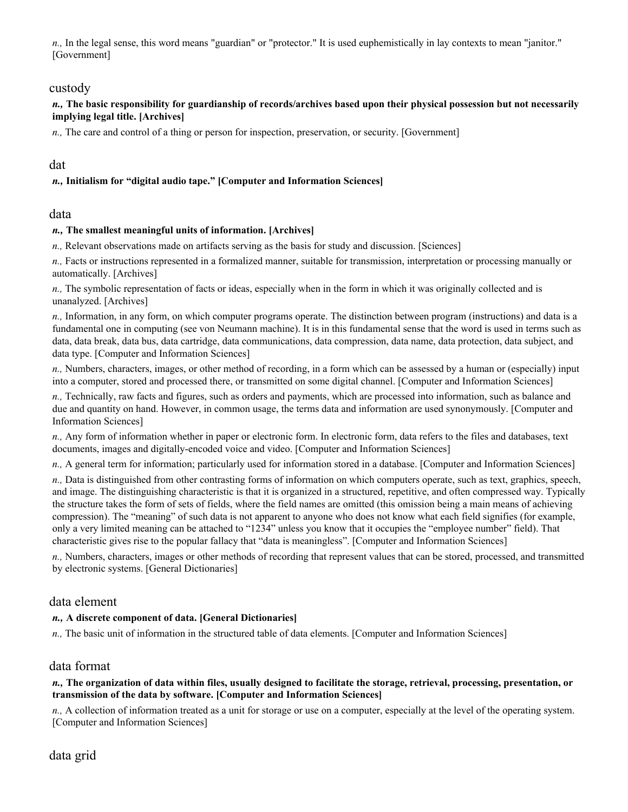*n.,* In the legal sense, this word means "guardian" or "protector." It is used euphemistically in lay contexts to mean "janitor." [Government]

### custody

### *n.,* **The basic responsibility for guardianship of records/archives based upon their physical possession but not necessarily implying legal title. [Archives]**

*n.,* The care and control of a thing or person for inspection, preservation, or security. [Government]

### dat

### *n.,* **Initialism for "digital audio tape." [Computer and Information Sciences]**

### data

#### *n.,* **The smallest meaningful units of information. [Archives]**

*n.,* Relevant observations made on artifacts serving as the basis for study and discussion. [Sciences]

*n.,* Facts or instructions represented in a formalized manner, suitable for transmission, interpretation or processing manually or automatically. [Archives]

*n.,* The symbolic representation of facts or ideas, especially when in the form in which it was originally collected and is unanalyzed. [Archives]

*n.,* Information, in any form, on which computer programs operate. The distinction between program (instructions) and data is a fundamental one in computing (see von Neumann machine). It is in this fundamental sense that the word is used in terms such as data, data break, data bus, data cartridge, data communications, data compression, data name, data protection, data subject, and data type. [Computer and Information Sciences]

*n.,* Numbers, characters, images, or other method of recording, in a form which can be assessed by a human or (especially) input into a computer, stored and processed there, or transmitted on some digital channel. [Computer and Information Sciences]

*n.,* Technically, raw facts and figures, such as orders and payments, which are processed into information, such as balance and due and quantity on hand. However, in common usage, the terms data and information are used synonymously. [Computer and Information Sciences]

*n.,* Any form of information whether in paper or electronic form. In electronic form, data refers to the files and databases, text documents, images and digitally-encoded voice and video. [Computer and Information Sciences]

*n.,* A general term for information; particularly used for information stored in a database. [Computer and Information Sciences]

*n.,* Data is distinguished from other contrasting forms of information on which computers operate, such as text, graphics, speech, and image. The distinguishing characteristic is that it is organized in a structured, repetitive, and often compressed way. Typically the structure takes the form of sets of fields, where the field names are omitted (this omission being a main means of achieving compression). The "meaning" of such data is not apparent to anyone who does not know what each field signifies (for example, only a very limited meaning can be attached to "1234" unless you know that it occupies the "employee number" field). That characteristic gives rise to the popular fallacy that "data is meaningless". [Computer and Information Sciences]

*n.,* Numbers, characters, images or other methods of recording that represent values that can be stored, processed, and transmitted by electronic systems. [General Dictionaries]

# data element

### *n.,* **A discrete component of data. [General Dictionaries]**

*n.,* The basic unit of information in the structured table of data elements. [Computer and Information Sciences]

### data format

#### *n.,* **The organization of data within files, usually designed to facilitate the storage, retrieval, processing, presentation, or transmission of the data by software. [Computer and Information Sciences]**

*n.,* A collection of information treated as a unit for storage or use on a computer, especially at the level of the operating system. [Computer and Information Sciences]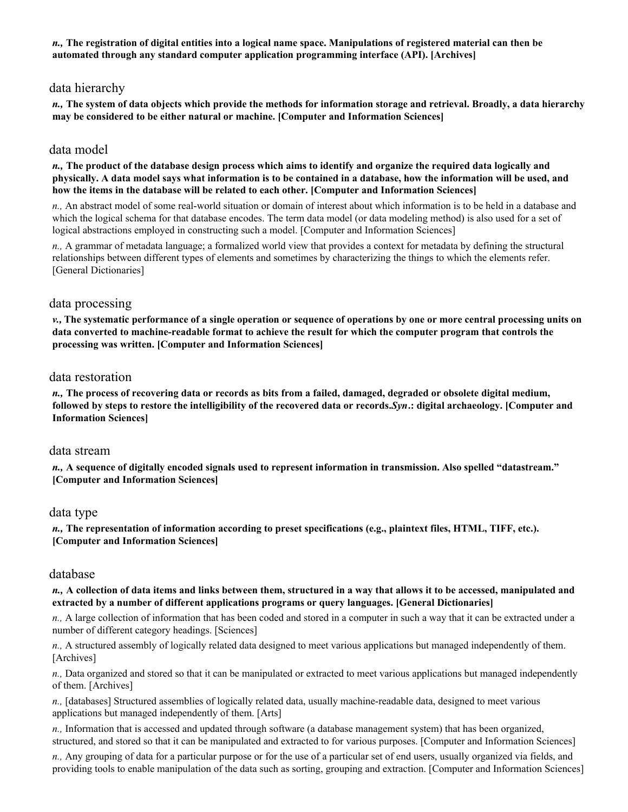*n.,* **The registration of digital entities into a logical name space. Manipulations of registered material can then be automated through any standard computer application programming interface (API). [Archives]** 

# data hierarchy

*n.,* **The system of data objects which provide the methods for information storage and retrieval. Broadly, a data hierarchy may be considered to be either natural or machine. [Computer and Information Sciences]** 

### data model

*n.,* **The product of the database design process which aims to identify and organize the required data logically and physically. A data model says what information is to be contained in a database, how the information will be used, and how the items in the database will be related to each other. [Computer and Information Sciences]** 

*n.,* An abstract model of some real-world situation or domain of interest about which information is to be held in a database and which the logical schema for that database encodes. The term data model (or data modeling method) is also used for a set of logical abstractions employed in constructing such a model. [Computer and Information Sciences]

*n.,* A grammar of metadata language; a formalized world view that provides a context for metadata by defining the structural relationships between different types of elements and sometimes by characterizing the things to which the elements refer. [General Dictionaries]

#### data processing

*v.,* **The systematic performance of a single operation or sequence of operations by one or more central processing units on data converted to machine-readable format to achieve the result for which the computer program that controls the processing was written. [Computer and Information Sciences]** 

#### data restoration

*n.,* **The process of recovering data or records as bits from a failed, damaged, degraded or obsolete digital medium, followed by steps to restore the intelligibility of the recovered data or records.** *Syn***.: digital archaeology. [Computer and Information Sciences]** 

#### data stream

*n.,* **A sequence of digitally encoded signals used to represent information in transmission. Also spelled "datastream." [Computer and Information Sciences]** 

### data type

*n.,* **The representation of information according to preset specifications (e.g., plaintext files, HTML, TIFF, etc.). [Computer and Information Sciences]** 

#### database

#### *n.,* **A collection of data items and links between them, structured in a way that allows it to be accessed, manipulated and extracted by a number of different applications programs or query languages. [General Dictionaries]**

*n.,* A large collection of information that has been coded and stored in a computer in such a way that it can be extracted under a number of different category headings. [Sciences]

*n.,* A structured assembly of logically related data designed to meet various applications but managed independently of them. [Archives]

*n.,* Data organized and stored so that it can be manipulated or extracted to meet various applications but managed independently of them. [Archives]

*n.,* [databases] Structured assemblies of logically related data, usually machine-readable data, designed to meet various applications but managed independently of them. [Arts]

*n.,* Information that is accessed and updated through software (a database management system) that has been organized, structured, and stored so that it can be manipulated and extracted to for various purposes. [Computer and Information Sciences]

*n.,* Any grouping of data for a particular purpose or for the use of a particular set of end users, usually organized via fields, and providing tools to enable manipulation of the data such as sorting, grouping and extraction. [Computer and Information Sciences]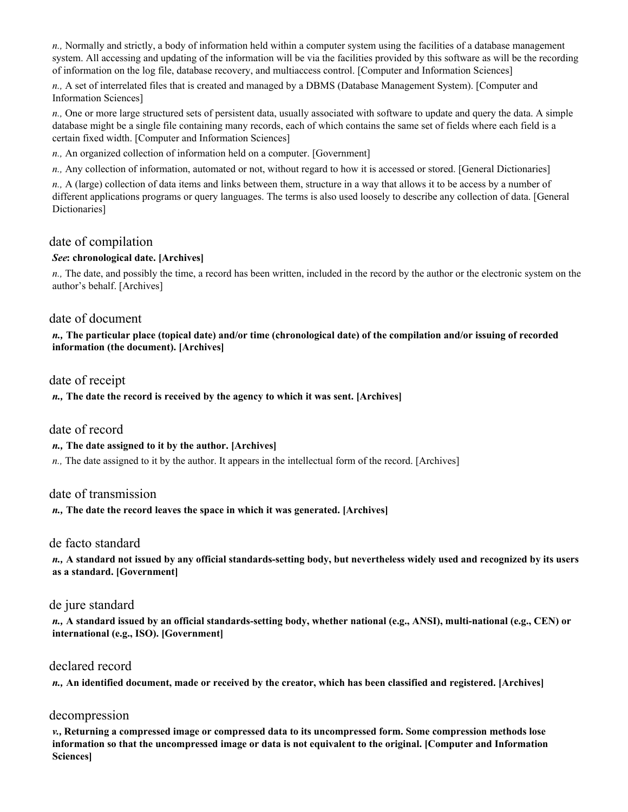*n.,* Normally and strictly, a body of information held within a computer system using the facilities of a database management system. All accessing and updating of the information will be via the facilities provided by this software as will be the recording of information on the log file, database recovery, and multiaccess control. [Computer and Information Sciences]

*n.,* A set of interrelated files that is created and managed by a DBMS (Database Management System). [Computer and Information Sciences]

*n.,* One or more large structured sets of persistent data, usually associated with software to update and query the data. A simple database might be a single file containing many records, each of which contains the same set of fields where each field is a certain fixed width. [Computer and Information Sciences]

*n.,* An organized collection of information held on a computer. [Government]

*n.,* Any collection of information, automated or not, without regard to how it is accessed or stored. [General Dictionaries]

*n.,* A (large) collection of data items and links between them, structure in a way that allows it to be access by a number of different applications programs or query languages. The terms is also used loosely to describe any collection of data. [General Dictionaries]

### date of compilation

### *See***: chronological date. [Archives]**

*n.,* The date, and possibly the time, a record has been written, included in the record by the author or the electronic system on the author's behalf. [Archives]

### date of document

*n.,* **The particular place (topical date) and/or time (chronological date) of the compilation and/or issuing of recorded information (the document). [Archives]** 

### date of receipt

*n.,* **The date the record is received by the agency to which it was sent. [Archives]** 

### date of record

### *n.,* **The date assigned to it by the author. [Archives]**

*n.*, The date assigned to it by the author. It appears in the intellectual form of the record. [Archives]

### date of transmission

### *n.,* **The date the record leaves the space in which it was generated. [Archives]**

### de facto standard

*n.,* **A standard not issued by any official standards-setting body, but nevertheless widely used and recognized by its users as a standard. [Government]** 

### de jure standard

*n.,* **A standard issued by an official standards-setting body, whether national (e.g., ANSI), multi-national (e.g., CEN) or international (e.g., ISO). [Government]** 

### declared record

*n.,* **An identified document, made or received by the creator, which has been classified and registered. [Archives]** 

### decompression

*v.,* **Returning a compressed image or compressed data to its uncompressed form. Some compression methods lose information so that the uncompressed image or data is not equivalent to the original. [Computer and Information Sciences]**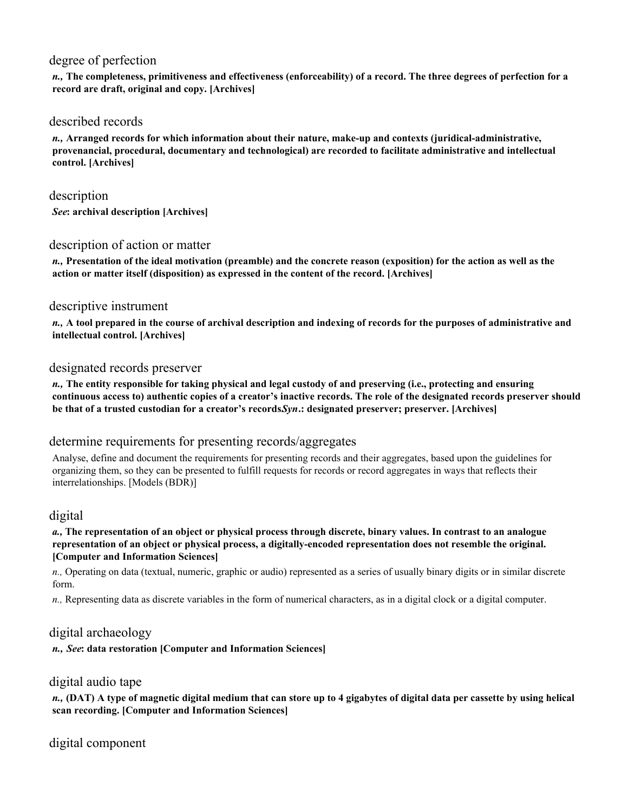# degree of perfection

*n.,* **The completeness, primitiveness and effectiveness (enforceability) of a record. The three degrees of perfection for a record are draft, original and copy. [Archives]** 

# described records

*n.,* **Arranged records for which information about their nature, make-up and contexts (juridical-administrative, provenancial, procedural, documentary and technological) are recorded to facilitate administrative and intellectual control. [Archives]** 

description *See***: archival description [Archives]** 

# description of action or matter

*n.,* **Presentation of the ideal motivation (preamble) and the concrete reason (exposition) for the action as well as the action or matter itself (disposition) as expressed in the content of the record. [Archives]** 

### descriptive instrument

*n.,* **A tool prepared in the course of archival description and indexing of records for the purposes of administrative and intellectual control. [Archives]** 

### designated records preserver

*n.,* **The entity responsible for taking physical and legal custody of and preserving (i.e., protecting and ensuring continuous access to) authentic copies of a creator's inactive records. The role of the designated records preserver should be that of a trusted custodian for a creator's records.** *Syn***.: designated preserver; preserver. [Archives]** 

# determine requirements for presenting records/aggregates

Analyse, define and document the requirements for presenting records and their aggregates, based upon the guidelines for organizing them, so they can be presented to fulfill requests for records or record aggregates in ways that reflects their interrelationships. [Models (BDR)]

# digital

*a.,* **The representation of an object or physical process through discrete, binary values. In contrast to an analogue representation of an object or physical process, a digitally-encoded representation does not resemble the original. [Computer and Information Sciences]** 

*n.,* Operating on data (textual, numeric, graphic or audio) represented as a series of usually binary digits or in similar discrete form.

*n.,* Representing data as discrete variables in the form of numerical characters, as in a digital clock or a digital computer.

# digital archaeology

*n., See***: data restoration [Computer and Information Sciences]** 

# digital audio tape

*n.,* **(DAT) A type of magnetic digital medium that can store up to 4 gigabytes of digital data per cassette by using helical scan recording. [Computer and Information Sciences]** 

digital component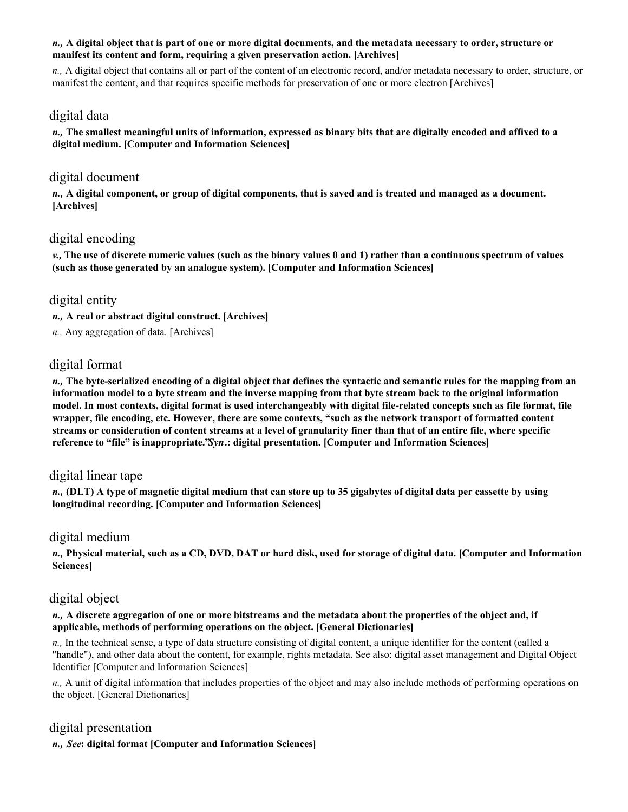#### *n.,* **A digital object that is part of one or more digital documents, and the metadata necessary to order, structure or manifest its content and form, requiring a given preservation action. [Archives]**

*n.,* A digital object that contains all or part of the content of an electronic record, and/or metadata necessary to order, structure, or manifest the content, and that requires specific methods for preservation of one or more electron [Archives]

### digital data

*n.,* **The smallest meaningful units of information, expressed as binary bits that are digitally encoded and affixed to a digital medium. [Computer and Information Sciences]** 

# digital document

*n.,* **A digital component, or group of digital components, that is saved and is treated and managed as a document. [Archives]** 

# digital encoding

*v.,* **The use of discrete numeric values (such as the binary values 0 and 1) rather than a continuous spectrum of values (such as those generated by an analogue system). [Computer and Information Sciences]** 

# digital entity

*n.,* **A real or abstract digital construct. [Archives]** 

*n.,* Any aggregation of data. [Archives]

# digital format

*n.,* **The byte-serialized encoding of a digital object that defines the syntactic and semantic rules for the mapping from an information model to a byte stream and the inverse mapping from that byte stream back to the original information model. In most contexts, digital format is used interchangeably with digital file-related concepts such as file format, file wrapper, file encoding, etc. However, there are some contexts, "such as the network transport of formatted content streams or consideration of content streams at a level of granularity finer than that of an entire file, where specific reference to "file" is inappropriate."** *Syn***.: digital presentation. [Computer and Information Sciences]** 

# digital linear tape

*n.,* **(DLT) A type of magnetic digital medium that can store up to 35 gigabytes of digital data per cassette by using longitudinal recording. [Computer and Information Sciences]** 

# digital medium

*n.,* **Physical material, such as a CD, DVD, DAT or hard disk, used for storage of digital data. [Computer and Information Sciences]** 

# digital object

*n.,* **A discrete aggregation of one or more bitstreams and the metadata about the properties of the object and, if applicable, methods of performing operations on the object. [General Dictionaries]** 

*n.,* In the technical sense, a type of data structure consisting of digital content, a unique identifier for the content (called a "handle"), and other data about the content, for example, rights metadata. See also: digital asset management and Digital Object Identifier [Computer and Information Sciences]

*n.,* A unit of digital information that includes properties of the object and may also include methods of performing operations on the object. [General Dictionaries]

# digital presentation

*n., See***: digital format [Computer and Information Sciences]**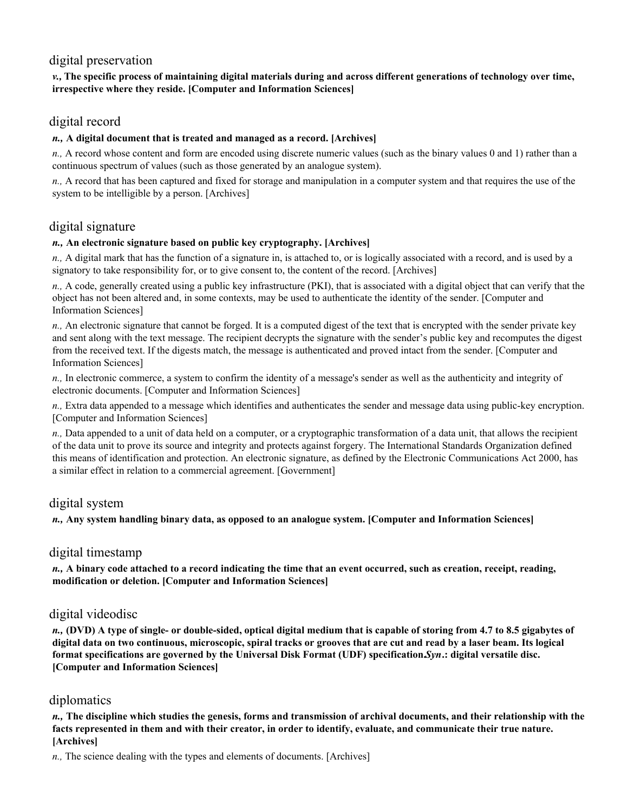# digital preservation

### *v.,* **The specific process of maintaining digital materials during and across different generations of technology over time, irrespective where they reside. [Computer and Information Sciences]**

# digital record

### *n.,* **A digital document that is treated and managed as a record. [Archives]**

*n.,* A record whose content and form are encoded using discrete numeric values (such as the binary values 0 and 1) rather than a continuous spectrum of values (such as those generated by an analogue system).

*n.,* A record that has been captured and fixed for storage and manipulation in a computer system and that requires the use of the system to be intelligible by a person. [Archives]

# digital signature

### *n.,* **An electronic signature based on public key cryptography. [Archives]**

*n.,* A digital mark that has the function of a signature in, is attached to, or is logically associated with a record, and is used by a signatory to take responsibility for, or to give consent to, the content of the record. [Archives]

*n.,* A code, generally created using a public key infrastructure (PKI), that is associated with a digital object that can verify that the object has not been altered and, in some contexts, may be used to authenticate the identity of the sender. [Computer and Information Sciences]

*n.,* An electronic signature that cannot be forged. It is a computed digest of the text that is encrypted with the sender private key and sent along with the text message. The recipient decrypts the signature with the sender's public key and recomputes the digest from the received text. If the digests match, the message is authenticated and proved intact from the sender. [Computer and Information Sciences]

*n.,* In electronic commerce, a system to confirm the identity of a message's sender as well as the authenticity and integrity of electronic documents. [Computer and Information Sciences]

*n.,* Extra data appended to a message which identifies and authenticates the sender and message data using public-key encryption. [Computer and Information Sciences]

*n.,* Data appended to a unit of data held on a computer, or a cryptographic transformation of a data unit, that allows the recipient of the data unit to prove its source and integrity and protects against forgery. The International Standards Organization defined this means of identification and protection. An electronic signature, as defined by the Electronic Communications Act 2000, has a similar effect in relation to a commercial agreement. [Government]

# digital system

*n.,* **Any system handling binary data, as opposed to an analogue system. [Computer and Information Sciences]** 

# digital timestamp

*n.,* **A binary code attached to a record indicating the time that an event occurred, such as creation, receipt, reading, modification or deletion. [Computer and Information Sciences]** 

# digital videodisc

*n.,* **(DVD) A type of single- or double-sided, optical digital medium that is capable of storing from 4.7 to 8.5 gigabytes of digital data on two continuous, microscopic, spiral tracks or grooves that are cut and read by a laser beam. Its logical format specifications are governed by the Universal Disk Format (UDF) specification.** *Syn***.: digital versatile disc. [Computer and Information Sciences]** 

# diplomatics

*n.,* **The discipline which studies the genesis, forms and transmission of archival documents, and their relationship with the facts represented in them and with their creator, in order to identify, evaluate, and communicate their true nature. [Archives]** 

*n.,* The science dealing with the types and elements of documents. [Archives]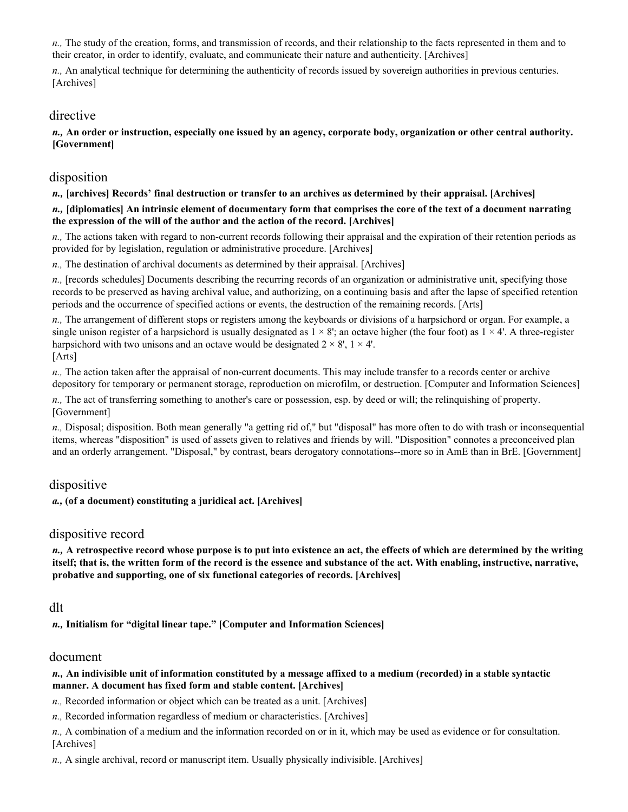*n.,* The study of the creation, forms, and transmission of records, and their relationship to the facts represented in them and to their creator, in order to identify, evaluate, and communicate their nature and authenticity. [Archives]

*n.,* An analytical technique for determining the authenticity of records issued by sovereign authorities in previous centuries. [Archives]

### directive

*n.,* **An order or instruction, especially one issued by an agency, corporate body, organization or other central authority. [Government]** 

# disposition

*n.,* **[archives] Records' final destruction or transfer to an archives as determined by their appraisal. [Archives]** 

#### *n.,* **[diplomatics] An intrinsic element of documentary form that comprises the core of the text of a document narrating the expression of the will of the author and the action of the record. [Archives]**

*n.,* The actions taken with regard to non-current records following their appraisal and the expiration of their retention periods as provided for by legislation, regulation or administrative procedure. [Archives]

*n.,* The destination of archival documents as determined by their appraisal. [Archives]

*n.,* [records schedules] Documents describing the recurring records of an organization or administrative unit, specifying those records to be preserved as having archival value, and authorizing, on a continuing basis and after the lapse of specified retention periods and the occurrence of specified actions or events, the destruction of the remaining records. [Arts]

*n.,* The arrangement of different stops or registers among the keyboards or divisions of a harpsichord or organ. For example, a single unison register of a harpsichord is usually designated as  $1 \times 8$ ; an octave higher (the four foot) as  $1 \times 4$ . A three-register harpsichord with two unisons and an octave would be designated  $2 \times 8'$ ,  $1 \times 4'$ . [Arts]

*n.,* The action taken after the appraisal of non-current documents. This may include transfer to a records center or archive depository for temporary or permanent storage, reproduction on microfilm, or destruction. [Computer and Information Sciences]

*n.,* The act of transferring something to another's care or possession, esp. by deed or will; the relinquishing of property. [Government]

*n.,* Disposal; disposition. Both mean generally "a getting rid of," but "disposal" has more often to do with trash or inconsequential items, whereas "disposition" is used of assets given to relatives and friends by will. "Disposition" connotes a preconceived plan and an orderly arrangement. "Disposal," by contrast, bears derogatory connotations--more so in AmE than in BrE. [Government]

# dispositive

*a.,* **(of a document) constituting a juridical act. [Archives]** 

# dispositive record

*n.,* **A retrospective record whose purpose is to put into existence an act, the effects of which are determined by the writing itself; that is, the written form of the record is the essence and substance of the act. With enabling, instructive, narrative, probative and supporting, one of six functional categories of records. [Archives]** 

### dlt

*n.,* **Initialism for "digital linear tape." [Computer and Information Sciences]** 

### document

#### *n.,* **An indivisible unit of information constituted by a message affixed to a medium (recorded) in a stable syntactic manner. A document has fixed form and stable content. [Archives]**

*n.,* Recorded information or object which can be treated as a unit. [Archives]

*n.,* Recorded information regardless of medium or characteristics. [Archives]

*n.,* A combination of a medium and the information recorded on or in it, which may be used as evidence or for consultation. [Archives]

*n.,* A single archival, record or manuscript item. Usually physically indivisible. [Archives]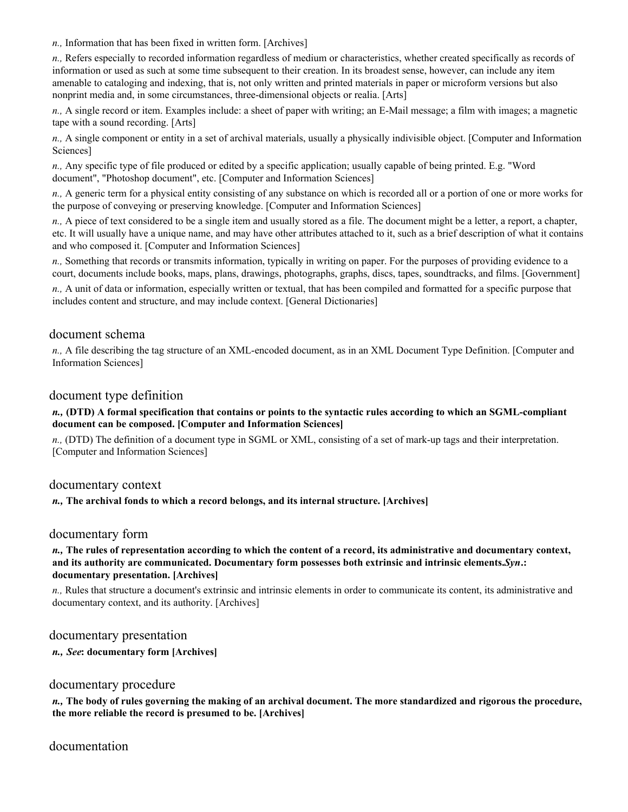*n.,* Information that has been fixed in written form. [Archives]

*n.,* Refers especially to recorded information regardless of medium or characteristics, whether created specifically as records of information or used as such at some time subsequent to their creation. In its broadest sense, however, can include any item amenable to cataloging and indexing, that is, not only written and printed materials in paper or microform versions but also nonprint media and, in some circumstances, three-dimensional objects or realia. [Arts]

*n.,* A single record or item. Examples include: a sheet of paper with writing; an E-Mail message; a film with images; a magnetic tape with a sound recording. [Arts]

*n.,* A single component or entity in a set of archival materials, usually a physically indivisible object. [Computer and Information Sciences]

*n.,* Any specific type of file produced or edited by a specific application; usually capable of being printed. E.g. "Word document", "Photoshop document", etc. [Computer and Information Sciences]

*n.,* A generic term for a physical entity consisting of any substance on which is recorded all or a portion of one or more works for the purpose of conveying or preserving knowledge. [Computer and Information Sciences]

*n.,* A piece of text considered to be a single item and usually stored as a file. The document might be a letter, a report, a chapter, etc. It will usually have a unique name, and may have other attributes attached to it, such as a brief description of what it contains and who composed it. [Computer and Information Sciences]

*n.,* Something that records or transmits information, typically in writing on paper. For the purposes of providing evidence to a court, documents include books, maps, plans, drawings, photographs, graphs, discs, tapes, soundtracks, and films. [Government]

*n.,* A unit of data or information, especially written or textual, that has been compiled and formatted for a specific purpose that includes content and structure, and may include context. [General Dictionaries]

# document schema

*n.,* A file describing the tag structure of an XML-encoded document, as in an XML Document Type Definition. [Computer and Information Sciences]

### document type definition

#### *n.,* **(DTD) A formal specification that contains or points to the syntactic rules according to which an SGML-compliant document can be composed. [Computer and Information Sciences]**

*n.,* (DTD) The definition of a document type in SGML or XML, consisting of a set of mark-up tags and their interpretation. [Computer and Information Sciences]

### documentary context

#### *n.,* **The archival fonds to which a record belongs, and its internal structure. [Archives]**

### documentary form

#### *n.,* **The rules of representation according to which the content of a record, its administrative and documentary context, and its authority are communicated. Documentary form possesses both extrinsic and intrinsic elements.** *Syn***.: documentary presentation. [Archives]**

*n.,* Rules that structure a document's extrinsic and intrinsic elements in order to communicate its content, its administrative and documentary context, and its authority. [Archives]

### documentary presentation

*n., See***: documentary form [Archives]** 

### documentary procedure

*n.,* **The body of rules governing the making of an archival document. The more standardized and rigorous the procedure, the more reliable the record is presumed to be. [Archives]** 

documentation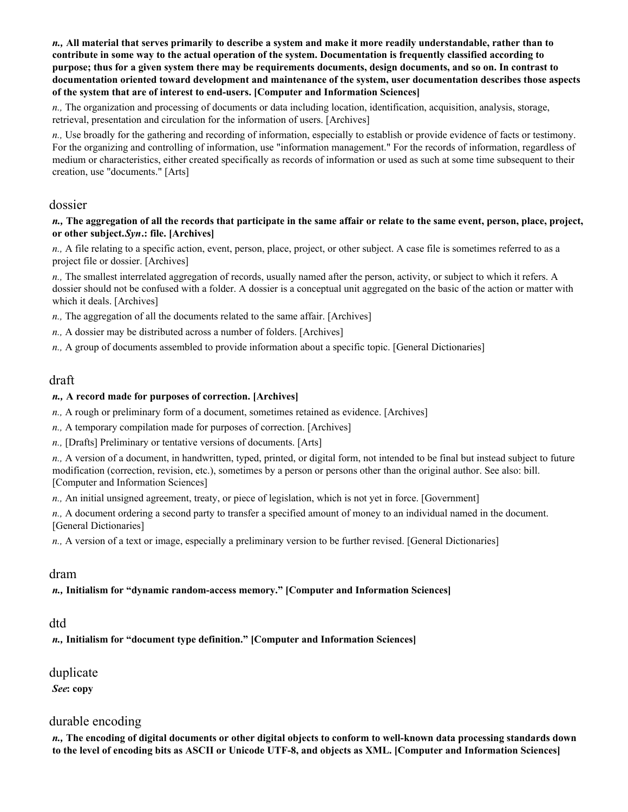*n.,* **All material that serves primarily to describe a system and make it more readily understandable, rather than to contribute in some way to the actual operation of the system. Documentation is frequently classified according to purpose; thus for a given system there may be requirements documents, design documents, and so on. In contrast to documentation oriented toward development and maintenance of the system, user documentation describes those aspects of the system that are of interest to end-users. [Computer and Information Sciences]** 

*n.,* The organization and processing of documents or data including location, identification, acquisition, analysis, storage, retrieval, presentation and circulation for the information of users. [Archives]

*n.,* Use broadly for the gathering and recording of information, especially to establish or provide evidence of facts or testimony. For the organizing and controlling of information, use "information management." For the records of information, regardless of medium or characteristics, either created specifically as records of information or used as such at some time subsequent to their creation, use "documents." [Arts]

### dossier

#### *n.,* **The aggregation of all the records that participate in the same affair or relate to the same event, person, place, project, or other subject.** *Syn***.: file. [Archives]**

*n.,* A file relating to a specific action, event, person, place, project, or other subject. A case file is sometimes referred to as a project file or dossier. [Archives]

*n.,* The smallest interrelated aggregation of records, usually named after the person, activity, or subject to which it refers. A dossier should not be confused with a folder. A dossier is a conceptual unit aggregated on the basic of the action or matter with which it deals. [Archives]

*n.,* The aggregation of all the documents related to the same affair. [Archives]

- *n.,* A dossier may be distributed across a number of folders. [Archives]
- *n.,* A group of documents assembled to provide information about a specific topic. [General Dictionaries]

### draft

#### *n.,* **A record made for purposes of correction. [Archives]**

*n.,* A rough or preliminary form of a document, sometimes retained as evidence. [Archives]

*n.,* A temporary compilation made for purposes of correction. [Archives]

*n.,* [Drafts] Preliminary or tentative versions of documents. [Arts]

*n.,* A version of a document, in handwritten, typed, printed, or digital form, not intended to be final but instead subject to future modification (correction, revision, etc.), sometimes by a person or persons other than the original author. See also: bill. [Computer and Information Sciences]

*n.,* An initial unsigned agreement, treaty, or piece of legislation, which is not yet in force. [Government]

*n.,* A document ordering a second party to transfer a specified amount of money to an individual named in the document. [General Dictionaries]

*n.,* A version of a text or image, especially a preliminary version to be further revised. [General Dictionaries]

### dram

### *n.,* **Initialism for "dynamic random-access memory." [Computer and Information Sciences]**

### dtd

*n.,* **Initialism for "document type definition." [Computer and Information Sciences]** 

# duplicate

*See***: copy** 

# durable encoding

*n.,* **The encoding of digital documents or other digital objects to conform to well-known data processing standards down to the level of encoding bits as ASCII or Unicode UTF-8, and objects as XML. [Computer and Information Sciences]**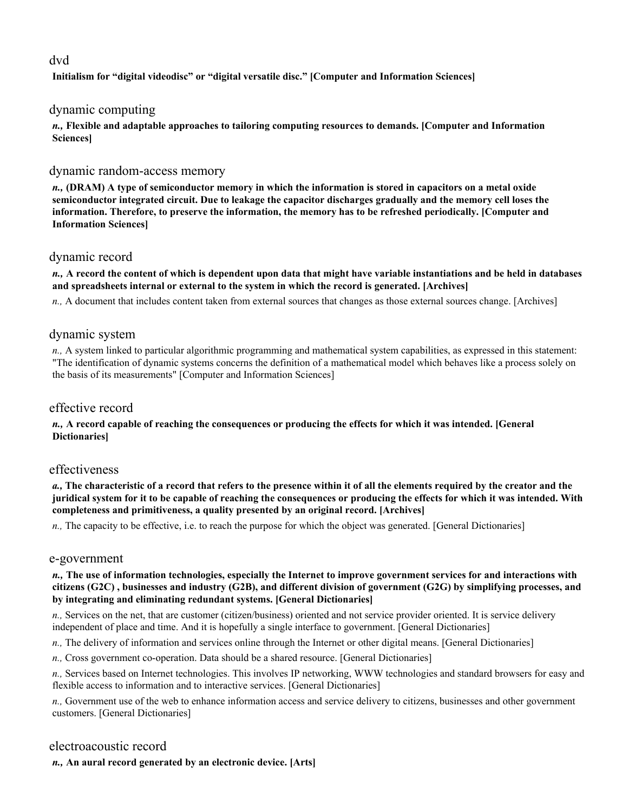# dvd

**Initialism for "digital videodisc" or "digital versatile disc." [Computer and Information Sciences]** 

### dynamic computing

*n.,* **Flexible and adaptable approaches to tailoring computing resources to demands. [Computer and Information Sciences]** 

### dynamic random-access memory

*n.,* **(DRAM) A type of semiconductor memory in which the information is stored in capacitors on a metal oxide semiconductor integrated circuit. Due to leakage the capacitor discharges gradually and the memory cell loses the information. Therefore, to preserve the information, the memory has to be refreshed periodically. [Computer and Information Sciences]** 

### dynamic record

*n.,* **A record the content of which is dependent upon data that might have variable instantiations and be held in databases and spreadsheets internal or external to the system in which the record is generated. [Archives]** 

*n.,* A document that includes content taken from external sources that changes as those external sources change. [Archives]

# dynamic system

*n.,* A system linked to particular algorithmic programming and mathematical system capabilities, as expressed in this statement: "The identification of dynamic systems concerns the definition of a mathematical model which behaves like a process solely on the basis of its measurements" [Computer and Information Sciences]

# effective record

#### *n.,* **A record capable of reaching the consequences or producing the effects for which it was intended. [General Dictionaries]**

### effectiveness

*a.,* **The characteristic of a record that refers to the presence within it of all the elements required by the creator and the juridical system for it to be capable of reaching the consequences or producing the effects for which it was intended. With completeness and primitiveness, a quality presented by an original record. [Archives]** 

*n.,* The capacity to be effective, i.e. to reach the purpose for which the object was generated. [General Dictionaries]

### e-government

#### *n.,* **The use of information technologies, especially the Internet to improve government services for and interactions with citizens (G2C) , businesses and industry (G2B), and different division of government (G2G) by simplifying processes, and by integrating and eliminating redundant systems. [General Dictionaries]**

*n.,* Services on the net, that are customer (citizen/business) oriented and not service provider oriented. It is service delivery independent of place and time. And it is hopefully a single interface to government. [General Dictionaries]

- *n.,* The delivery of information and services online through the Internet or other digital means. [General Dictionaries]
- *n.,* Cross government co-operation. Data should be a shared resource. [General Dictionaries]
- *n.,* Services based on Internet technologies. This involves IP networking, WWW technologies and standard browsers for easy and flexible access to information and to interactive services. [General Dictionaries]

*n.,* Government use of the web to enhance information access and service delivery to citizens, businesses and other government customers. [General Dictionaries]

# electroacoustic record

*n.,* **An aural record generated by an electronic device. [Arts]**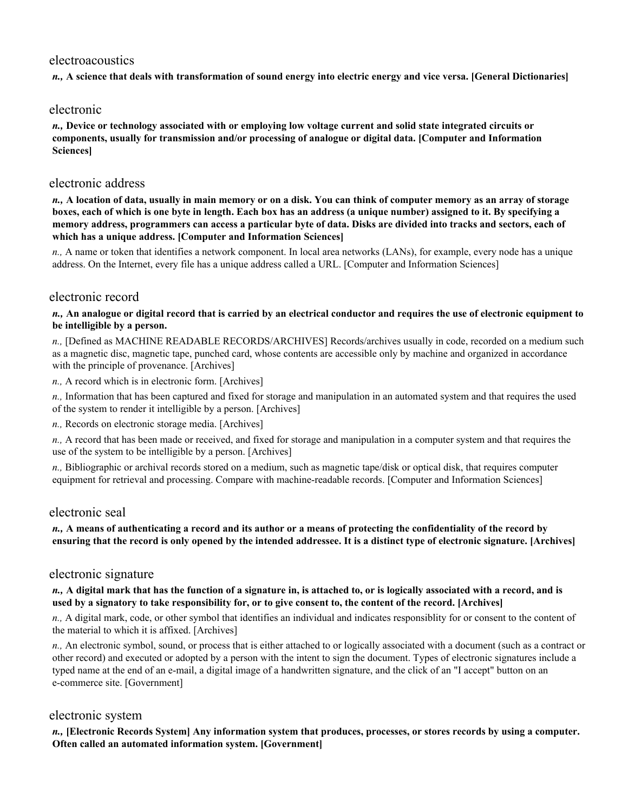## electroacoustics

*n.,* **A science that deals with transformation of sound energy into electric energy and vice versa. [General Dictionaries]** 

### electronic

*n.,* **Device or technology associated with or employing low voltage current and solid state integrated circuits or components, usually for transmission and/or processing of analogue or digital data. [Computer and Information Sciences]** 

# electronic address

*n.,* **A location of data, usually in main memory or on a disk. You can think of computer memory as an array of storage boxes, each of which is one byte in length. Each box has an address (a unique number) assigned to it. By specifying a memory address, programmers can access a particular byte of data. Disks are divided into tracks and sectors, each of which has a unique address. [Computer and Information Sciences]** 

*n.,* A name or token that identifies a network component. In local area networks (LANs), for example, every node has a unique address. On the Internet, every file has a unique address called a URL. [Computer and Information Sciences]

## electronic record

*n.,* **An analogue or digital record that is carried by an electrical conductor and requires the use of electronic equipment to be intelligible by a person.** 

*n.,* [Defined as MACHINE READABLE RECORDS/ARCHIVES] Records/archives usually in code, recorded on a medium such as a magnetic disc, magnetic tape, punched card, whose contents are accessible only by machine and organized in accordance with the principle of provenance. [Archives]

*n.,* A record which is in electronic form. [Archives]

*n.,* Information that has been captured and fixed for storage and manipulation in an automated system and that requires the used of the system to render it intelligible by a person. [Archives]

*n.,* Records on electronic storage media. [Archives]

*n.,* A record that has been made or received, and fixed for storage and manipulation in a computer system and that requires the use of the system to be intelligible by a person. [Archives]

*n.,* Bibliographic or archival records stored on a medium, such as magnetic tape/disk or optical disk, that requires computer equipment for retrieval and processing. Compare with machine-readable records. [Computer and Information Sciences]

### electronic seal

#### *n.,* **A means of authenticating a record and its author or a means of protecting the confidentiality of the record by ensuring that the record is only opened by the intended addressee. It is a distinct type of electronic signature. [Archives]**

### electronic signature

#### *n.,* **A digital mark that has the function of a signature in, is attached to, or is logically associated with a record, and is used by a signatory to take responsibility for, or to give consent to, the content of the record. [Archives]**

*n.,* A digital mark, code, or other symbol that identifies an individual and indicates responsiblity for or consent to the content of the material to which it is affixed. [Archives]

*n.,* An electronic symbol, sound, or process that is either attached to or logically associated with a document (such as a contract or other record) and executed or adopted by a person with the intent to sign the document. Types of electronic signatures include a typed name at the end of an e-mail, a digital image of a handwritten signature, and the click of an "I accept" button on an e-commerce site. [Government]

### electronic system

*n.,* **[Electronic Records System] Any information system that produces, processes, or stores records by using a computer. Often called an automated information system. [Government]**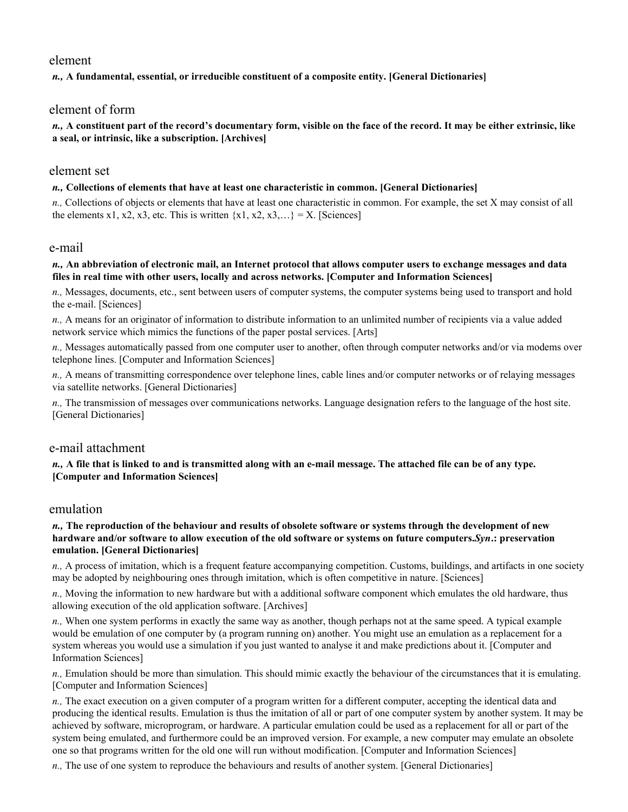### element

*n.,* **A fundamental, essential, or irreducible constituent of a composite entity. [General Dictionaries]** 

## element of form

*n.,* **A constituent part of the record's documentary form, visible on the face of the record. It may be either extrinsic, like a seal, or intrinsic, like a subscription. [Archives]** 

### element set

#### *n.,* **Collections of elements that have at least one characteristic in common. [General Dictionaries]**

*n.,* Collections of objects or elements that have at least one characteristic in common. For example, the set X may consist of all the elements x1, x2, x3, etc. This is written  $\{x1, x2, x3, ...\} = X$ . [Sciences]

### e-mail

#### *n.,* **An abbreviation of electronic mail, an Internet protocol that allows computer users to exchange messages and data files in real time with other users, locally and across networks. [Computer and Information Sciences]**

*n.,* Messages, documents, etc., sent between users of computer systems, the computer systems being used to transport and hold the e-mail. [Sciences]

*n.,* A means for an originator of information to distribute information to an unlimited number of recipients via a value added network service which mimics the functions of the paper postal services. [Arts]

*n.,* Messages automatically passed from one computer user to another, often through computer networks and/or via modems over telephone lines. [Computer and Information Sciences]

*n.,* A means of transmitting correspondence over telephone lines, cable lines and/or computer networks or of relaying messages via satellite networks. [General Dictionaries]

*n.,* The transmission of messages over communications networks. Language designation refers to the language of the host site. [General Dictionaries]

## e-mail attachment

*n.,* **A file that is linked to and is transmitted along with an e-mail message. The attached file can be of any type. [Computer and Information Sciences]** 

### emulation

#### *n.,* **The reproduction of the behaviour and results of obsolete software or systems through the development of new hardware and/or software to allow execution of the old software or systems on future computers.** *Syn***.: preservation emulation. [General Dictionaries]**

*n.,* A process of imitation, which is a frequent feature accompanying competition. Customs, buildings, and artifacts in one society may be adopted by neighbouring ones through imitation, which is often competitive in nature. [Sciences]

*n.,* Moving the information to new hardware but with a additional software component which emulates the old hardware, thus allowing execution of the old application software. [Archives]

*n.,* When one system performs in exactly the same way as another, though perhaps not at the same speed. A typical example would be emulation of one computer by (a program running on) another. You might use an emulation as a replacement for a system whereas you would use a simulation if you just wanted to analyse it and make predictions about it. [Computer and Information Sciences]

*n.,* Emulation should be more than simulation. This should mimic exactly the behaviour of the circumstances that it is emulating. [Computer and Information Sciences]

*n.,* The exact execution on a given computer of a program written for a different computer, accepting the identical data and producing the identical results. Emulation is thus the imitation of all or part of one computer system by another system. It may be achieved by software, microprogram, or hardware. A particular emulation could be used as a replacement for all or part of the system being emulated, and furthermore could be an improved version. For example, a new computer may emulate an obsolete one so that programs written for the old one will run without modification. [Computer and Information Sciences]

*n.,* The use of one system to reproduce the behaviours and results of another system. [General Dictionaries]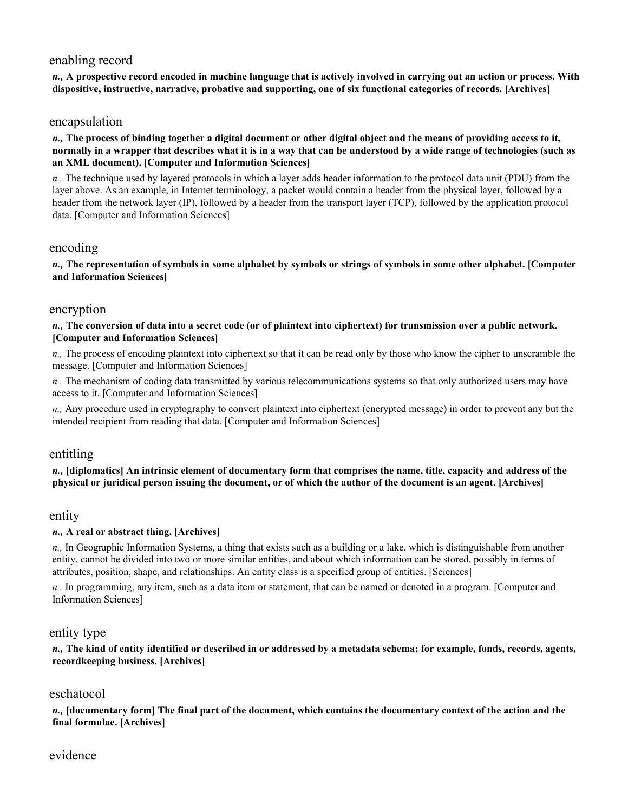# enabling record

*n.,* **A prospective record encoded in machine language that is actively involved in carrying out an action or process. With dispositive, instructive, narrative, probative and supporting, one of six functional categories of records. [Archives]** 

### encapsulation

*n.,* **The process of binding together a digital document or other digital object and the means of providing access to it, normally in a wrapper that describes what it is in a way that can be understood by a wide range of technologies (such as an XML document). [Computer and Information Sciences]** 

*n.,* The technique used by layered protocols in which a layer adds header information to the protocol data unit (PDU) from the layer above. As an example, in Internet terminology, a packet would contain a header from the physical layer, followed by a header from the network layer (IP), followed by a header from the transport layer (TCP), followed by the application protocol data. [Computer and Information Sciences]

### encoding

*n.,* **The representation of symbols in some alphabet by symbols or strings of symbols in some other alphabet. [Computer and Information Sciences]** 

## encryption

*n.,* **The conversion of data into a secret code (or of plaintext into ciphertext) for transmission over a public network. [Computer and Information Sciences]** 

*n.,* The process of encoding plaintext into ciphertext so that it can be read only by those who know the cipher to unscramble the message. [Computer and Information Sciences]

*n.,* The mechanism of coding data transmitted by various telecommunications systems so that only authorized users may have access to it. [Computer and Information Sciences]

*n.,* Any procedure used in cryptography to convert plaintext into ciphertext (encrypted message) in order to prevent any but the intended recipient from reading that data. [Computer and Information Sciences]

### entitling

*n.,* **[diplomatics] An intrinsic element of documentary form that comprises the name, title, capacity and address of the physical or juridical person issuing the document, or of which the author of the document is an agent. [Archives]** 

### entity

### *n.,* **A real or abstract thing. [Archives]**

*n.,* In Geographic Information Systems, a thing that exists such as a building or a lake, which is distinguishable from another entity, cannot be divided into two or more similar entities, and about which information can be stored, possibly in terms of attributes, position, shape, and relationships. An entity class is a specified group of entities. [Sciences]

*n.,* In programming, any item, such as a data item or statement, that can be named or denoted in a program. [Computer and Information Sciences]

### entity type

*n.,* **The kind of entity identified or described in or addressed by a metadata schema; for example, fonds, records, agents, recordkeeping business. [Archives]** 

## eschatocol

*n.,* **[documentary form] The final part of the document, which contains the documentary context of the action and the final formulae. [Archives]** 

## evidence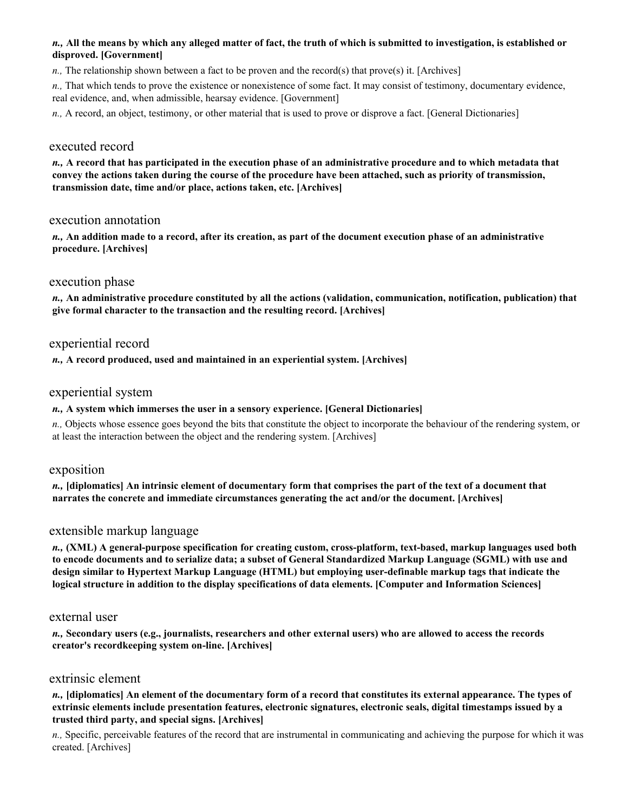### *n.,* **All the means by which any alleged matter of fact, the truth of which is submitted to investigation, is established or disproved. [Government]**

*n.*, The relationship shown between a fact to be proven and the record(s) that prove(s) it. [Archives]

*n.,* That which tends to prove the existence or nonexistence of some fact. It may consist of testimony, documentary evidence, real evidence, and, when admissible, hearsay evidence. [Government]

*n.,* A record, an object, testimony, or other material that is used to prove or disprove a fact. [General Dictionaries]

## executed record

*n.,* **A record that has participated in the execution phase of an administrative procedure and to which metadata that convey the actions taken during the course of the procedure have been attached, such as priority of transmission, transmission date, time and/or place, actions taken, etc. [Archives]** 

### execution annotation

*n.,* **An addition made to a record, after its creation, as part of the document execution phase of an administrative procedure. [Archives]** 

## execution phase

*n.,* **An administrative procedure constituted by all the actions (validation, communication, notification, publication) that give formal character to the transaction and the resulting record. [Archives]** 

## experiential record

*n.,* **A record produced, used and maintained in an experiential system. [Archives]** 

## experiential system

### *n.,* **A system which immerses the user in a sensory experience. [General Dictionaries]**

*n.,* Objects whose essence goes beyond the bits that constitute the object to incorporate the behaviour of the rendering system, or at least the interaction between the object and the rendering system. [Archives]

### exposition

*n.,* **[diplomatics] An intrinsic element of documentary form that comprises the part of the text of a document that narrates the concrete and immediate circumstances generating the act and/or the document. [Archives]** 

## extensible markup language

*n.,* **(XML) A general-purpose specification for creating custom, cross-platform, text-based, markup languages used both to encode documents and to serialize data; a subset of General Standardized Markup Language (SGML) with use and design similar to Hypertext Markup Language (HTML) but employing user-definable markup tags that indicate the logical structure in addition to the display specifications of data elements. [Computer and Information Sciences]** 

### external user

*n.,* **Secondary users (e.g., journalists, researchers and other external users) who are allowed to access the records creator's recordkeeping system on-line. [Archives]** 

# extrinsic element

*n.,* **[diplomatics] An element of the documentary form of a record that constitutes its external appearance. The types of extrinsic elements include presentation features, electronic signatures, electronic seals, digital timestamps issued by a trusted third party, and special signs. [Archives]** 

*n.,* Specific, perceivable features of the record that are instrumental in communicating and achieving the purpose for which it was created. [Archives]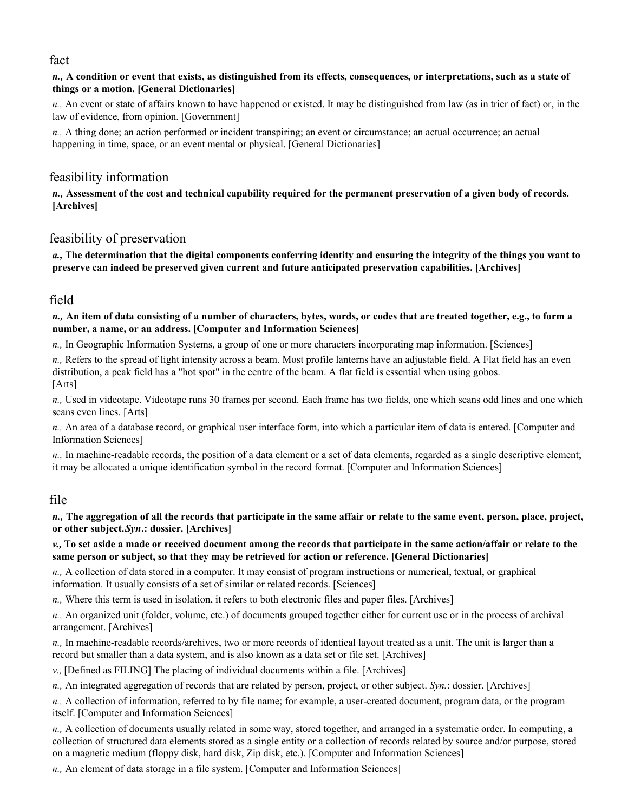## fact

### *n.,* **A condition or event that exists, as distinguished from its effects, consequences, or interpretations, such as a state of things or a motion. [General Dictionaries]**

*n.,* An event or state of affairs known to have happened or existed. It may be distinguished from law (as in trier of fact) or, in the law of evidence, from opinion. [Government]

*n.,* A thing done; an action performed or incident transpiring; an event or circumstance; an actual occurrence; an actual happening in time, space, or an event mental or physical. [General Dictionaries]

# feasibility information

*n.,* **Assessment of the cost and technical capability required for the permanent preservation of a given body of records. [Archives]** 

## feasibility of preservation

*a.,* **The determination that the digital components conferring identity and ensuring the integrity of the things you want to preserve can indeed be preserved given current and future anticipated preservation capabilities. [Archives]** 

# field

### *n.,* **An item of data consisting of a number of characters, bytes, words, or codes that are treated together, e.g., to form a number, a name, or an address. [Computer and Information Sciences]**

*n.,* In Geographic Information Systems, a group of one or more characters incorporating map information. [Sciences]

*n.,* Refers to the spread of light intensity across a beam. Most profile lanterns have an adjustable field. A Flat field has an even distribution, a peak field has a "hot spot" in the centre of the beam. A flat field is essential when using gobos. [Arts]

*n.,* Used in videotape. Videotape runs 30 frames per second. Each frame has two fields, one which scans odd lines and one which scans even lines. [Arts]

*n.,* An area of a database record, or graphical user interface form, into which a particular item of data is entered. [Computer and Information Sciences]

*n.,* In machine-readable records, the position of a data element or a set of data elements, regarded as a single descriptive element; it may be allocated a unique identification symbol in the record format. [Computer and Information Sciences]

# file

*n.,* **The aggregation of all the records that participate in the same affair or relate to the same event, person, place, project, or other subject.** *Syn***.: dossier. [Archives]** 

*v.,* **To set aside a made or received document among the records that participate in the same action/affair or relate to the same person or subject, so that they may be retrieved for action or reference. [General Dictionaries]** 

*n.,* A collection of data stored in a computer. It may consist of program instructions or numerical, textual, or graphical information. It usually consists of a set of similar or related records. [Sciences]

*n.*, Where this term is used in isolation, it refers to both electronic files and paper files. [Archives]

*n.,* An organized unit (folder, volume, etc.) of documents grouped together either for current use or in the process of archival arrangement. [Archives]

*n.,* In machine-readable records/archives, two or more records of identical layout treated as a unit. The unit is larger than a record but smaller than a data system, and is also known as a data set or file set. [Archives]

*v.,* [Defined as FILING] The placing of individual documents within a file. [Archives]

*n.,* An integrated aggregation of records that are related by person, project, or other subject. *Syn.*: dossier. [Archives]

*n.,* A collection of information, referred to by file name; for example, a user-created document, program data, or the program itself. [Computer and Information Sciences]

*n.,* A collection of documents usually related in some way, stored together, and arranged in a systematic order. In computing, a collection of structured data elements stored as a single entity or a collection of records related by source and/or purpose, stored on a magnetic medium (floppy disk, hard disk, Zip disk, etc.). [Computer and Information Sciences]

*n.,* An element of data storage in a file system. [Computer and Information Sciences]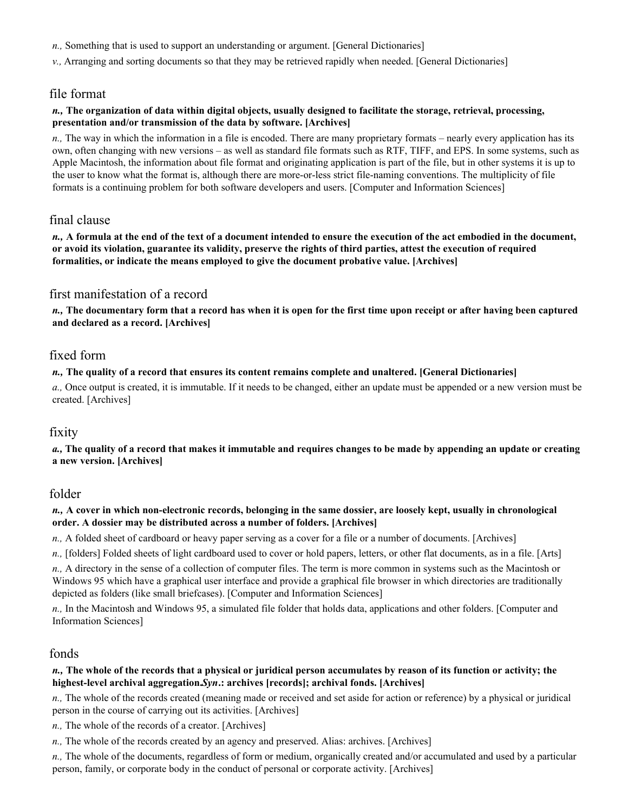- *n.,* Something that is used to support an understanding or argument. [General Dictionaries]
- *v.,* Arranging and sorting documents so that they may be retrieved rapidly when needed. [General Dictionaries]

## file format

#### *n.,* **The organization of data within digital objects, usually designed to facilitate the storage, retrieval, processing, presentation and/or transmission of the data by software. [Archives]**

*n.,* The way in which the information in a file is encoded. There are many proprietary formats – nearly every application has its own, often changing with new versions – as well as standard file formats such as RTF, TIFF, and EPS. In some systems, such as Apple Macintosh, the information about file format and originating application is part of the file, but in other systems it is up to the user to know what the format is, although there are more-or-less strict file-naming conventions. The multiplicity of file formats is a continuing problem for both software developers and users. [Computer and Information Sciences]

## final clause

*n.,* **A formula at the end of the text of a document intended to ensure the execution of the act embodied in the document, or avoid its violation, guarantee its validity, preserve the rights of third parties, attest the execution of required formalities, or indicate the means employed to give the document probative value. [Archives]** 

## first manifestation of a record

*n.,* **The documentary form that a record has when it is open for the first time upon receipt or after having been captured and declared as a record. [Archives]** 

## fixed form

#### *n.,* **The quality of a record that ensures its content remains complete and unaltered. [General Dictionaries]**

*a.,* Once output is created, it is immutable. If it needs to be changed, either an update must be appended or a new version must be created. [Archives]

## fixity

*a.,* **The quality of a record that makes it immutable and requires changes to be made by appending an update or creating a new version. [Archives]** 

### folder

#### *n.,* **A cover in which non-electronic records, belonging in the same dossier, are loosely kept, usually in chronological order. A dossier may be distributed across a number of folders. [Archives]**

*n.,* A folded sheet of cardboard or heavy paper serving as a cover for a file or a number of documents. [Archives]

*n.,* [folders] Folded sheets of light cardboard used to cover or hold papers, letters, or other flat documents, as in a file. [Arts]

*n.,* A directory in the sense of a collection of computer files. The term is more common in systems such as the Macintosh or Windows 95 which have a graphical user interface and provide a graphical file browser in which directories are traditionally depicted as folders (like small briefcases). [Computer and Information Sciences]

*n.,* In the Macintosh and Windows 95, a simulated file folder that holds data, applications and other folders. [Computer and Information Sciences]

### fonds

#### *n.,* **The whole of the records that a physical or juridical person accumulates by reason of its function or activity; the highest-level archival aggregation.** *Syn***.: archives [records]; archival fonds. [Archives]**

*n.,* The whole of the records created (meaning made or received and set aside for action or reference) by a physical or juridical person in the course of carrying out its activities. [Archives]

*n.,* The whole of the records of a creator. [Archives]

*n.*, The whole of the records created by an agency and preserved. Alias: archives. [Archives]

*n.,* The whole of the documents, regardless of form or medium, organically created and/or accumulated and used by a particular person, family, or corporate body in the conduct of personal or corporate activity. [Archives]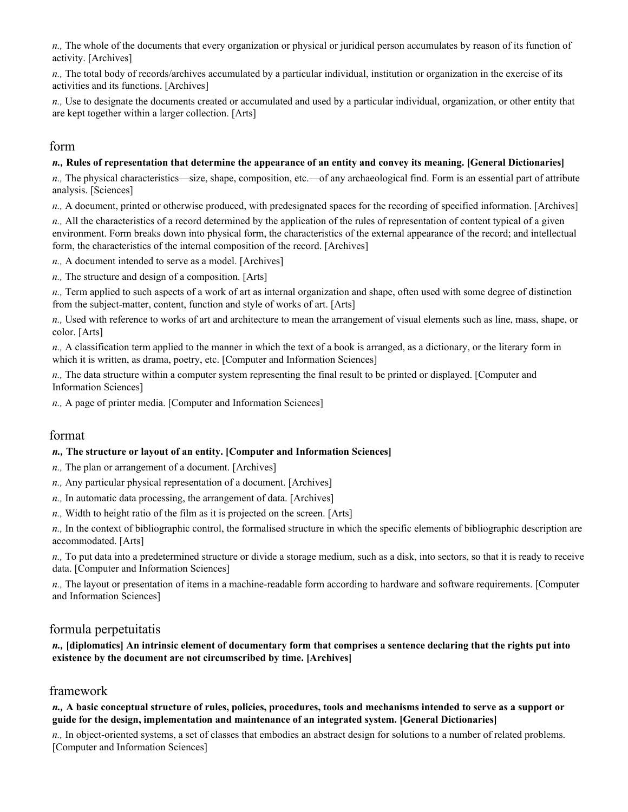*n.,* The whole of the documents that every organization or physical or juridical person accumulates by reason of its function of activity. [Archives]

*n.,* The total body of records/archives accumulated by a particular individual, institution or organization in the exercise of its activities and its functions. [Archives]

*n.,* Use to designate the documents created or accumulated and used by a particular individual, organization, or other entity that are kept together within a larger collection. [Arts]

### form

#### *n.,* **Rules of representation that determine the appearance of an entity and convey its meaning. [General Dictionaries]**

*n.,* The physical characteristics—size, shape, composition, etc.—of any archaeological find. Form is an essential part of attribute analysis. [Sciences]

*n.,* A document, printed or otherwise produced, with predesignated spaces for the recording of specified information. [Archives]

*n.,* All the characteristics of a record determined by the application of the rules of representation of content typical of a given environment. Form breaks down into physical form, the characteristics of the external appearance of the record; and intellectual form, the characteristics of the internal composition of the record. [Archives]

*n.,* A document intended to serve as a model. [Archives]

*n.,* The structure and design of a composition. [Arts]

*n.,* Term applied to such aspects of a work of art as internal organization and shape, often used with some degree of distinction from the subject-matter, content, function and style of works of art. [Arts]

*n.,* Used with reference to works of art and architecture to mean the arrangement of visual elements such as line, mass, shape, or color. [Arts]

*n.,* A classification term applied to the manner in which the text of a book is arranged, as a dictionary, or the literary form in which it is written, as drama, poetry, etc. [Computer and Information Sciences]

*n.,* The data structure within a computer system representing the final result to be printed or displayed. [Computer and Information Sciences]

*n.,* A page of printer media. [Computer and Information Sciences]

## format

#### *n.,* **The structure or layout of an entity. [Computer and Information Sciences]**

- *n.,* The plan or arrangement of a document. [Archives]
- *n.,* Any particular physical representation of a document. [Archives]
- *n.,* In automatic data processing, the arrangement of data. [Archives]
- *n.,* Width to height ratio of the film as it is projected on the screen. [Arts]

*n.,* In the context of bibliographic control, the formalised structure in which the specific elements of bibliographic description are accommodated. [Arts]

*n.,* To put data into a predetermined structure or divide a storage medium, such as a disk, into sectors, so that it is ready to receive data. [Computer and Information Sciences]

*n.,* The layout or presentation of items in a machine-readable form according to hardware and software requirements. [Computer and Information Sciences]

### formula perpetuitatis

#### *n.,* **[diplomatics] An intrinsic element of documentary form that comprises a sentence declaring that the rights put into existence by the document are not circumscribed by time. [Archives]**

### framework

#### *n.,* **A basic conceptual structure of rules, policies, procedures, tools and mechanisms intended to serve as a support or guide for the design, implementation and maintenance of an integrated system. [General Dictionaries]**

*n.,* In object-oriented systems, a set of classes that embodies an abstract design for solutions to a number of related problems. [Computer and Information Sciences]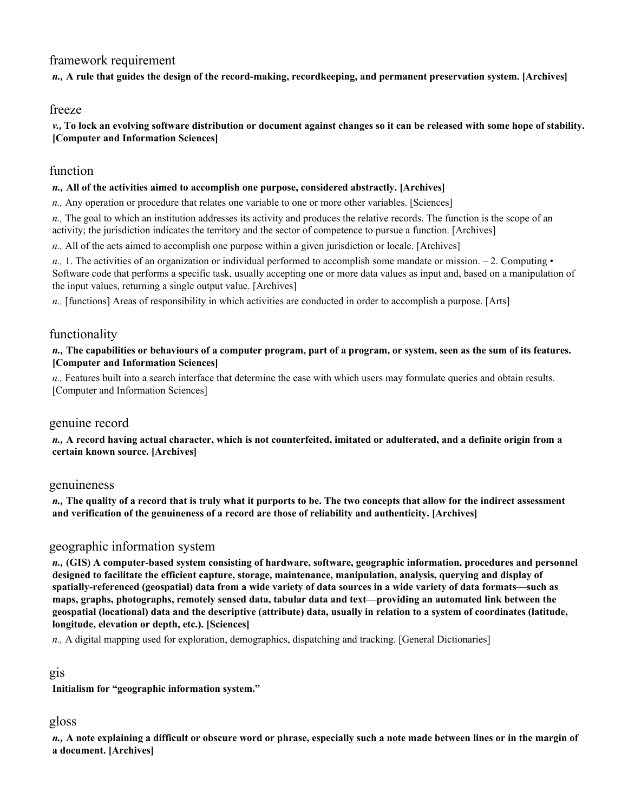# framework requirement

*n.,* **A rule that guides the design of the record-making, recordkeeping, and permanent preservation system. [Archives]** 

## freeze

*v.,* **To lock an evolving software distribution or document against changes so it can be released with some hope of stability. [Computer and Information Sciences]** 

## function

#### *n.,* **All of the activities aimed to accomplish one purpose, considered abstractly. [Archives]**

*n.,* Any operation or procedure that relates one variable to one or more other variables. [Sciences]

*n.,* The goal to which an institution addresses its activity and produces the relative records. The function is the scope of an activity; the jurisdiction indicates the territory and the sector of competence to pursue a function. [Archives]

*n.,* All of the acts aimed to accomplish one purpose within a given jurisdiction or locale. [Archives]

*n.*, 1. The activities of an organization or individual performed to accomplish some mandate or mission.  $-2$ . Computing  $\cdot$ Software code that performs a specific task, usually accepting one or more data values as input and, based on a manipulation of the input values, returning a single output value. [Archives]

*n.,* [functions] Areas of responsibility in which activities are conducted in order to accomplish a purpose. [Arts]

## functionality

*n.,* **The capabilities or behaviours of a computer program, part of a program, or system, seen as the sum of its features. [Computer and Information Sciences]** 

*n.,* Features built into a search interface that determine the ease with which users may formulate queries and obtain results. [Computer and Information Sciences]

### genuine record

*n.,* **A record having actual character, which is not counterfeited, imitated or adulterated, and a definite origin from a certain known source. [Archives]** 

### genuineness

*n.,* **The quality of a record that is truly what it purports to be. The two concepts that allow for the indirect assessment and verification of the genuineness of a record are those of reliability and authenticity. [Archives]** 

### geographic information system

*n.,* **(GIS) A computer-based system consisting of hardware, software, geographic information, procedures and personnel designed to facilitate the efficient capture, storage, maintenance, manipulation, analysis, querying and display of spatially-referenced (geospatial) data from a wide variety of data sources in a wide variety of data formats—such as maps, graphs, photographs, remotely sensed data, tabular data and text—providing an automated link between the geospatial (locational) data and the descriptive (attribute) data, usually in relation to a system of coordinates (latitude, longitude, elevation or depth, etc.). [Sciences]** 

*n.,* A digital mapping used for exploration, demographics, dispatching and tracking. [General Dictionaries]

### gis

**Initialism for "geographic information system."** 

## gloss

*n.,* **A note explaining a difficult or obscure word or phrase, especially such a note made between lines or in the margin of a document. [Archives]**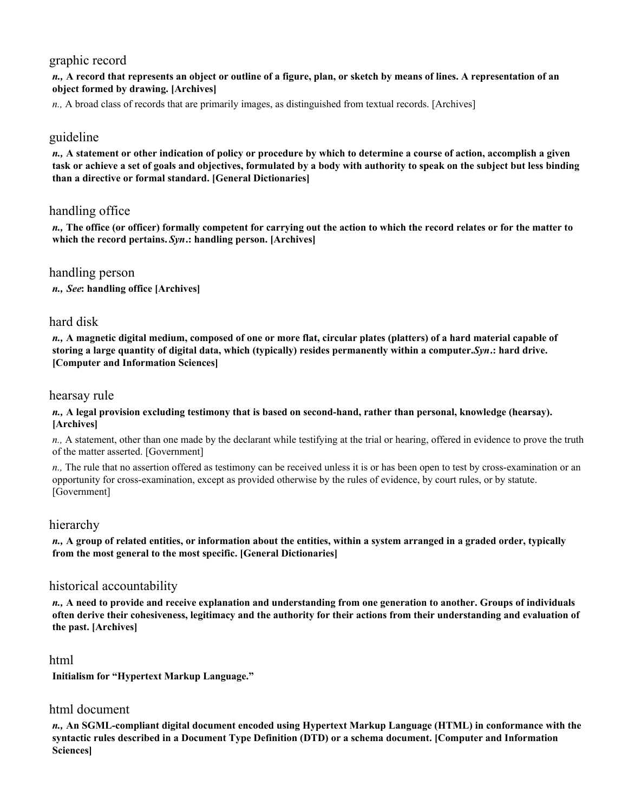# graphic record

*n.,* **A record that represents an object or outline of a figure, plan, or sketch by means of lines. A representation of an object formed by drawing. [Archives]** 

*n.,* A broad class of records that are primarily images, as distinguished from textual records. [Archives]

## guideline

*n.,* **A statement or other indication of policy or procedure by which to determine a course of action, accomplish a given task or achieve a set of goals and objectives, formulated by a body with authority to speak on the subject but less binding than a directive or formal standard. [General Dictionaries]** 

# handling office

*n.,* **The office (or officer) formally competent for carrying out the action to which the record relates or for the matter to which the record pertains.** *Syn***.: handling person. [Archives]** 

## handling person

*n., See***: handling office [Archives]** 

## hard disk

*n.,* **A magnetic digital medium, composed of one or more flat, circular plates (platters) of a hard material capable of storing a large quantity of digital data, which (typically) resides permanently within a computer.** *Syn***.: hard drive. [Computer and Information Sciences]** 

### hearsay rule

#### *n.,* **A legal provision excluding testimony that is based on second-hand, rather than personal, knowledge (hearsay). [Archives]**

*n.,* A statement, other than one made by the declarant while testifying at the trial or hearing, offered in evidence to prove the truth of the matter asserted. [Government]

*n.*, The rule that no assertion offered as testimony can be received unless it is or has been open to test by cross-examination or an opportunity for cross-examination, except as provided otherwise by the rules of evidence, by court rules, or by statute. [Government]

## hierarchy

*n.,* **A group of related entities, or information about the entities, within a system arranged in a graded order, typically from the most general to the most specific. [General Dictionaries]** 

## historical accountability

*n.,* **A need to provide and receive explanation and understanding from one generation to another. Groups of individuals often derive their cohesiveness, legitimacy and the authority for their actions from their understanding and evaluation of the past. [Archives]** 

### html

**Initialism for "Hypertext Markup Language."** 

## html document

*n.,* **An SGML-compliant digital document encoded using Hypertext Markup Language (HTML) in conformance with the syntactic rules described in a Document Type Definition (DTD) or a schema document. [Computer and Information Sciences]**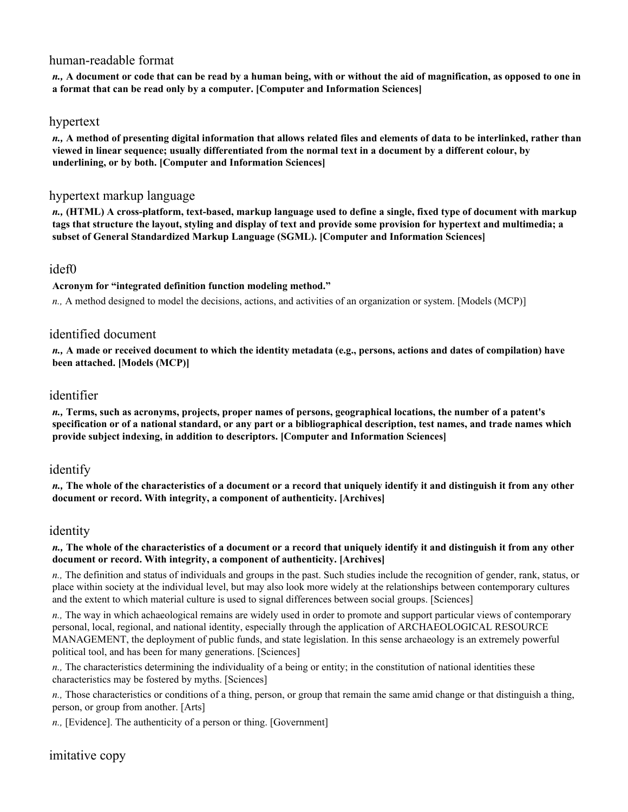## human-readable format

*n.,* **A document or code that can be read by a human being, with or without the aid of magnification, as opposed to one in a format that can be read only by a computer. [Computer and Information Sciences]** 

### hypertext

*n.,* **A method of presenting digital information that allows related files and elements of data to be interlinked, rather than viewed in linear sequence; usually differentiated from the normal text in a document by a different colour, by underlining, or by both. [Computer and Information Sciences]** 

## hypertext markup language

*n.,* **(HTML) A cross-platform, text-based, markup language used to define a single, fixed type of document with markup tags that structure the layout, styling and display of text and provide some provision for hypertext and multimedia; a subset of General Standardized Markup Language (SGML). [Computer and Information Sciences]** 

## idef0

**Acronym for "integrated definition function modeling method."** 

*n.,* A method designed to model the decisions, actions, and activities of an organization or system. [Models (MCP)]

## identified document

*n.,* **A made or received document to which the identity metadata (e.g., persons, actions and dates of compilation) have been attached. [Models (MCP)]** 

## identifier

*n.,* **Terms, such as acronyms, projects, proper names of persons, geographical locations, the number of a patent's specification or of a national standard, or any part or a bibliographical description, test names, and trade names which provide subject indexing, in addition to descriptors. [Computer and Information Sciences]** 

## identify

*n.,* **The whole of the characteristics of a document or a record that uniquely identify it and distinguish it from any other document or record. With integrity, a component of authenticity. [Archives]** 

## identity

#### *n.,* **The whole of the characteristics of a document or a record that uniquely identify it and distinguish it from any other document or record. With integrity, a component of authenticity. [Archives]**

*n.,* The definition and status of individuals and groups in the past. Such studies include the recognition of gender, rank, status, or place within society at the individual level, but may also look more widely at the relationships between contemporary cultures and the extent to which material culture is used to signal differences between social groups. [Sciences]

*n.,* The way in which achaeological remains are widely used in order to promote and support particular views of contemporary personal, local, regional, and national identity, especially through the application of ARCHAEOLOGICAL RESOURCE MANAGEMENT, the deployment of public funds, and state legislation. In this sense archaeology is an extremely powerful political tool, and has been for many generations. [Sciences]

*n.,* The characteristics determining the individuality of a being or entity; in the constitution of national identities these characteristics may be fostered by myths. [Sciences]

*n.,* Those characteristics or conditions of a thing, person, or group that remain the same amid change or that distinguish a thing, person, or group from another. [Arts]

*n.,* [Evidence]. The authenticity of a person or thing. [Government]

# imitative copy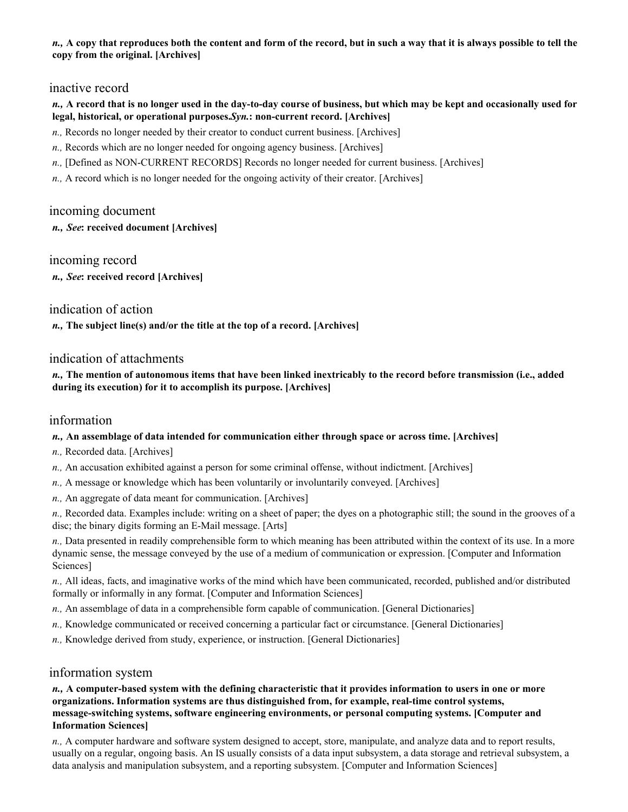### *n.,* **A copy that reproduces both the content and form of the record, but in such a way that it is always possible to tell the copy from the original. [Archives]**

## inactive record

### *n.,* **A record that is no longer used in the day-to-day course of business, but which may be kept and occasionally used for legal, historical, or operational purposes.** *Syn.***: non-current record. [Archives]**

- *n.,* Records no longer needed by their creator to conduct current business. [Archives]
- *n.,* Records which are no longer needed for ongoing agency business. [Archives]
- *n.,* [Defined as NON-CURRENT RECORDS] Records no longer needed for current business. [Archives]
- *n.,* A record which is no longer needed for the ongoing activity of their creator. [Archives]

## incoming document

*n., See***: received document [Archives]** 

incoming record *n., See***: received record [Archives]** 

## indication of action

*n.,* **The subject line(s) and/or the title at the top of a record. [Archives]** 

## indication of attachments

*n.,* **The mention of autonomous items that have been linked inextricably to the record before transmission (i.e., added during its execution) for it to accomplish its purpose. [Archives]** 

## information

### *n.,* **An assemblage of data intended for communication either through space or across time. [Archives]**

- *n.,* Recorded data. [Archives]
- *n.,* An accusation exhibited against a person for some criminal offense, without indictment. [Archives]
- *n.,* A message or knowledge which has been voluntarily or involuntarily conveyed. [Archives]
- *n.,* An aggregate of data meant for communication. [Archives]

*n.,* Recorded data. Examples include: writing on a sheet of paper; the dyes on a photographic still; the sound in the grooves of a disc; the binary digits forming an E-Mail message. [Arts]

*n.,* Data presented in readily comprehensible form to which meaning has been attributed within the context of its use. In a more dynamic sense, the message conveyed by the use of a medium of communication or expression. [Computer and Information Sciences]

*n.,* All ideas, facts, and imaginative works of the mind which have been communicated, recorded, published and/or distributed formally or informally in any format. [Computer and Information Sciences]

- *n.,* An assemblage of data in a comprehensible form capable of communication. [General Dictionaries]
- *n.,* Knowledge communicated or received concerning a particular fact or circumstance. [General Dictionaries]
- *n.,* Knowledge derived from study, experience, or instruction. [General Dictionaries]

## information system

*n.,* **A computer-based system with the defining characteristic that it provides information to users in one or more organizations. Information systems are thus distinguished from, for example, real-time control systems, message-switching systems, software engineering environments, or personal computing systems. [Computer and Information Sciences]** 

*n.,* A computer hardware and software system designed to accept, store, manipulate, and analyze data and to report results, usually on a regular, ongoing basis. An IS usually consists of a data input subsystem, a data storage and retrieval subsystem, a data analysis and manipulation subsystem, and a reporting subsystem. [Computer and Information Sciences]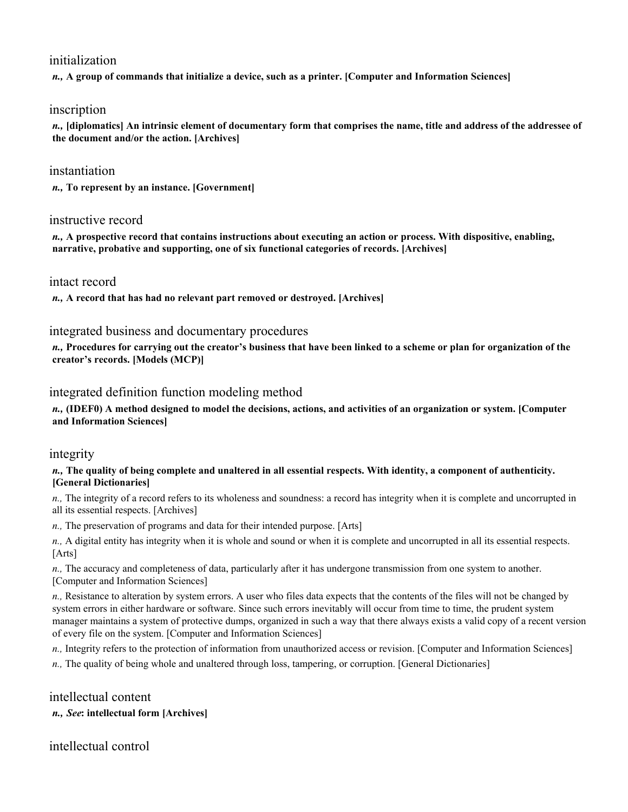# initialization

*n.,* **A group of commands that initialize a device, such as a printer. [Computer and Information Sciences]** 

## inscription

*n.,* **[diplomatics] An intrinsic element of documentary form that comprises the name, title and address of the addressee of the document and/or the action. [Archives]** 

## instantiation

*n.,* **To represent by an instance. [Government]** 

### instructive record

*n.,* **A prospective record that contains instructions about executing an action or process. With dispositive, enabling, narrative, probative and supporting, one of six functional categories of records. [Archives]** 

#### intact record

*n.,* **A record that has had no relevant part removed or destroyed. [Archives]** 

### integrated business and documentary procedures

*n.,* **Procedures for carrying out the creator's business that have been linked to a scheme or plan for organization of the creator's records. [Models (MCP)]** 

### integrated definition function modeling method

*n.,* **(IDEF0) A method designed to model the decisions, actions, and activities of an organization or system. [Computer and Information Sciences]** 

### integrity

#### *n.,* **The quality of being complete and unaltered in all essential respects. With identity, a component of authenticity. [General Dictionaries]**

*n.*, The integrity of a record refers to its wholeness and soundness: a record has integrity when it is complete and uncorrupted in all its essential respects. [Archives]

*n.,* The preservation of programs and data for their intended purpose. [Arts]

*n.,* A digital entity has integrity when it is whole and sound or when it is complete and uncorrupted in all its essential respects. [Arts]

*n.,* The accuracy and completeness of data, particularly after it has undergone transmission from one system to another. [Computer and Information Sciences]

*n.,* Resistance to alteration by system errors. A user who files data expects that the contents of the files will not be changed by system errors in either hardware or software. Since such errors inevitably will occur from time to time, the prudent system manager maintains a system of protective dumps, organized in such a way that there always exists a valid copy of a recent version of every file on the system. [Computer and Information Sciences]

*n.,* Integrity refers to the protection of information from unauthorized access or revision. [Computer and Information Sciences]

*n.,* The quality of being whole and unaltered through loss, tampering, or corruption. [General Dictionaries]

# intellectual content

### *n., See***: intellectual form [Archives]**

intellectual control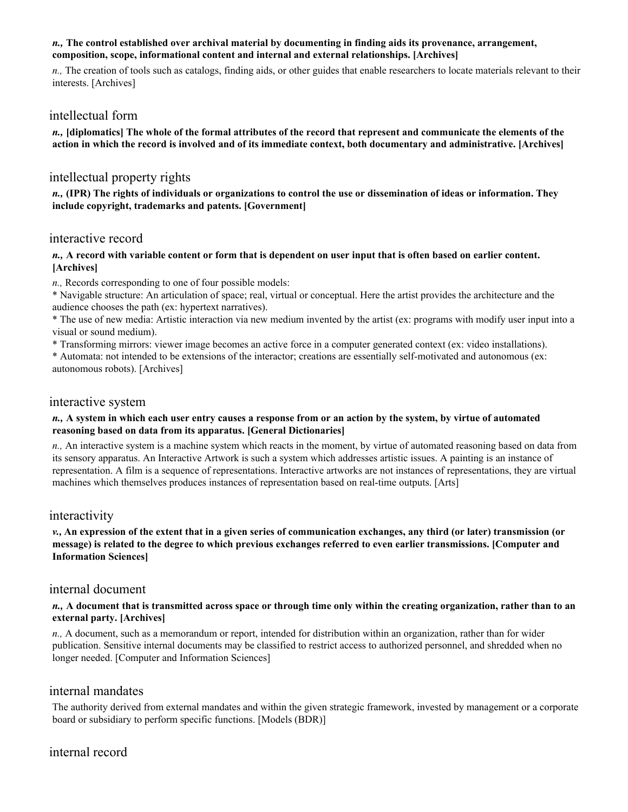### *n.,* **The control established over archival material by documenting in finding aids its provenance, arrangement, composition, scope, informational content and internal and external relationships. [Archives]**

*n.,* The creation of tools such as catalogs, finding aids, or other guides that enable researchers to locate materials relevant to their interests. [Archives]

## intellectual form

*n.,* **[diplomatics] The whole of the formal attributes of the record that represent and communicate the elements of the action in which the record is involved and of its immediate context, both documentary and administrative. [Archives]** 

## intellectual property rights

*n.,* **(IPR) The rights of individuals or organizations to control the use or dissemination of ideas or information. They include copyright, trademarks and patents. [Government]** 

## interactive record

*n.,* **A record with variable content or form that is dependent on user input that is often based on earlier content. [Archives]** 

*n.,* Records corresponding to one of four possible models:

\* Navigable structure: An articulation of space; real, virtual or conceptual. Here the artist provides the architecture and the audience chooses the path (ex: hypertext narratives).

\* The use of new media: Artistic interaction via new medium invented by the artist (ex: programs with modify user input into a visual or sound medium).

\* Transforming mirrors: viewer image becomes an active force in a computer generated context (ex: video installations).

\* Automata: not intended to be extensions of the interactor; creations are essentially self-motivated and autonomous (ex: autonomous robots). [Archives]

### interactive system

#### *n.,* **A system in which each user entry causes a response from or an action by the system, by virtue of automated reasoning based on data from its apparatus. [General Dictionaries]**

*n.,* An interactive system is a machine system which reacts in the moment, by virtue of automated reasoning based on data from its sensory apparatus. An Interactive Artwork is such a system which addresses artistic issues. A painting is an instance of representation. A film is a sequence of representations. Interactive artworks are not instances of representations, they are virtual machines which themselves produces instances of representation based on real-time outputs. [Arts]

### interactivity

*v.,* **An expression of the extent that in a given series of communication exchanges, any third (or later) transmission (or message) is related to the degree to which previous exchanges referred to even earlier transmissions. [Computer and Information Sciences]** 

## internal document

#### *n.,* **A document that is transmitted across space or through time only within the creating organization, rather than to an external party. [Archives]**

*n.,* A document, such as a memorandum or report, intended for distribution within an organization, rather than for wider publication. Sensitive internal documents may be classified to restrict access to authorized personnel, and shredded when no longer needed. [Computer and Information Sciences]

## internal mandates

The authority derived from external mandates and within the given strategic framework, invested by management or a corporate board or subsidiary to perform specific functions. [Models (BDR)]

# internal record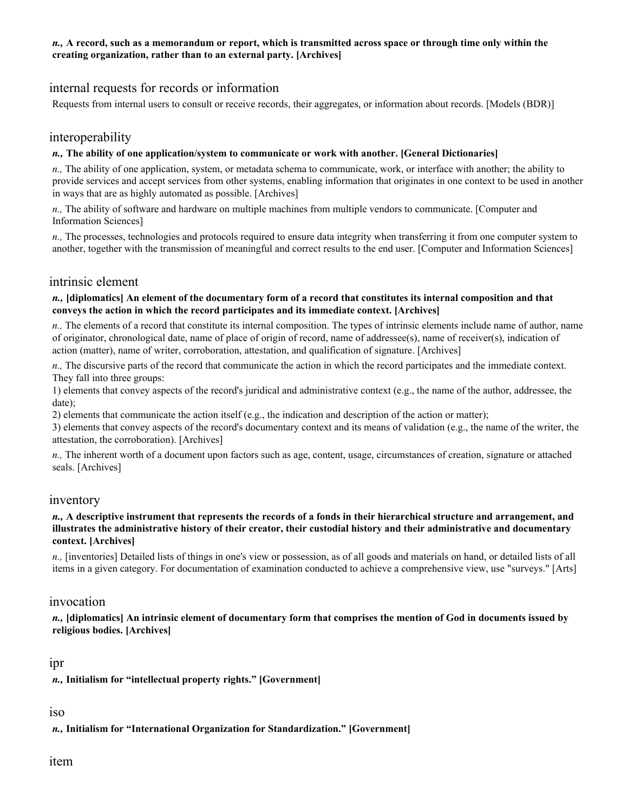### *n.,* **A record, such as a memorandum or report, which is transmitted across space or through time only within the creating organization, rather than to an external party. [Archives]**

# internal requests for records or information

Requests from internal users to consult or receive records, their aggregates, or information about records. [Models (BDR)]

## interoperability

#### *n.,* **The ability of one application/system to communicate or work with another. [General Dictionaries]**

*n.,* The ability of one application, system, or metadata schema to communicate, work, or interface with another; the ability to provide services and accept services from other systems, enabling information that originates in one context to be used in another in ways that are as highly automated as possible. [Archives]

*n.,* The ability of software and hardware on multiple machines from multiple vendors to communicate. [Computer and Information Sciences]

*n.,* The processes, technologies and protocols required to ensure data integrity when transferring it from one computer system to another, together with the transmission of meaningful and correct results to the end user. [Computer and Information Sciences]

## intrinsic element

#### *n.,* **[diplomatics] An element of the documentary form of a record that constitutes its internal composition and that conveys the action in which the record participates and its immediate context. [Archives]**

*n.,* The elements of a record that constitute its internal composition. The types of intrinsic elements include name of author, name of originator, chronological date, name of place of origin of record, name of addressee(s), name of receiver(s), indication of action (matter), name of writer, corroboration, attestation, and qualification of signature. [Archives]

*n.,* The discursive parts of the record that communicate the action in which the record participates and the immediate context. They fall into three groups:

1) elements that convey aspects of the record's juridical and administrative context (e.g., the name of the author, addressee, the date);

2) elements that communicate the action itself (e.g., the indication and description of the action or matter);

3) elements that convey aspects of the record's documentary context and its means of validation (e.g., the name of the writer, the attestation, the corroboration). [Archives]

*n.,* The inherent worth of a document upon factors such as age, content, usage, circumstances of creation, signature or attached seals. [Archives]

### inventory

#### *n.,* **A descriptive instrument that represents the records of a fonds in their hierarchical structure and arrangement, and illustrates the administrative history of their creator, their custodial history and their administrative and documentary context. [Archives]**

*n.,* [inventories] Detailed lists of things in one's view or possession, as of all goods and materials on hand, or detailed lists of all items in a given category. For documentation of examination conducted to achieve a comprehensive view, use "surveys." [Arts]

### invocation

*n.,* **[diplomatics] An intrinsic element of documentary form that comprises the mention of God in documents issued by religious bodies. [Archives]** 

### ipr

*n.,* **Initialism for "intellectual property rights." [Government]** 

# iso

*n.,* **Initialism for "International Organization for Standardization." [Government]** 

# item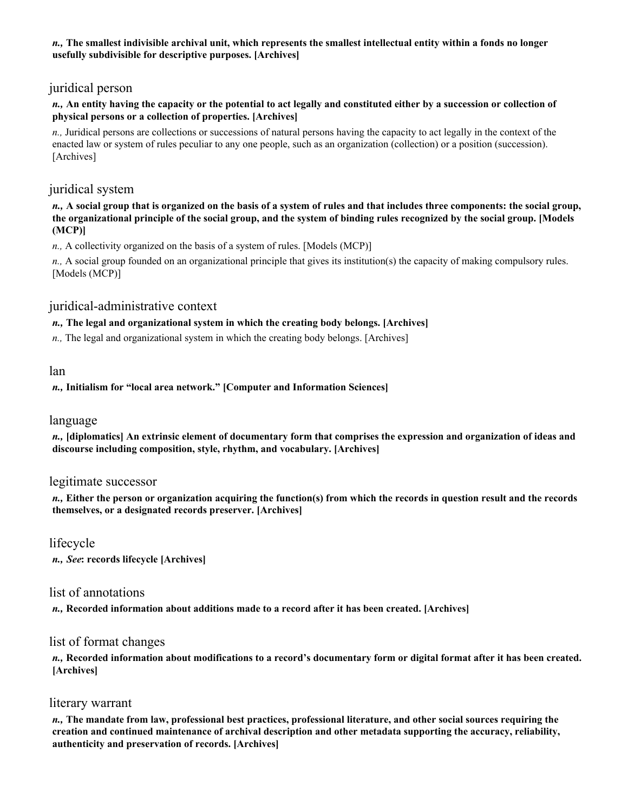### *n.,* **The smallest indivisible archival unit, which represents the smallest intellectual entity within a fonds no longer usefully subdivisible for descriptive purposes. [Archives]**

# juridical person

### *n.,* **An entity having the capacity or the potential to act legally and constituted either by a succession or collection of physical persons or a collection of properties. [Archives]**

*n.*, Juridical persons are collections or successions of natural persons having the capacity to act legally in the context of the enacted law or system of rules peculiar to any one people, such as an organization (collection) or a position (succession). [Archives]

# juridical system

### *n.,* **A social group that is organized on the basis of a system of rules and that includes three components: the social group, the organizational principle of the social group, and the system of binding rules recognized by the social group. [Models (MCP)]**

*n.,* A collectivity organized on the basis of a system of rules. [Models (MCP)]

*n.,* A social group founded on an organizational principle that gives its institution(s) the capacity of making compulsory rules. [Models (MCP)]

# juridical-administrative context

## *n.,* **The legal and organizational system in which the creating body belongs. [Archives]**

*n.,* The legal and organizational system in which the creating body belongs. [Archives]

## lan

## *n.,* **Initialism for "local area network." [Computer and Information Sciences]**

## language

*n.,* **[diplomatics] An extrinsic element of documentary form that comprises the expression and organization of ideas and discourse including composition, style, rhythm, and vocabulary. [Archives]** 

## legitimate successor

*n.,* **Either the person or organization acquiring the function(s) from which the records in question result and the records themselves, or a designated records preserver. [Archives]** 

# lifecycle

*n., See***: records lifecycle [Archives]** 

## list of annotations

*n.,* **Recorded information about additions made to a record after it has been created. [Archives]** 

## list of format changes

*n.,* **Recorded information about modifications to a record's documentary form or digital format after it has been created. [Archives]** 

## literary warrant

*n.,* **The mandate from law, professional best practices, professional literature, and other social sources requiring the creation and continued maintenance of archival description and other metadata supporting the accuracy, reliability, authenticity and preservation of records. [Archives]**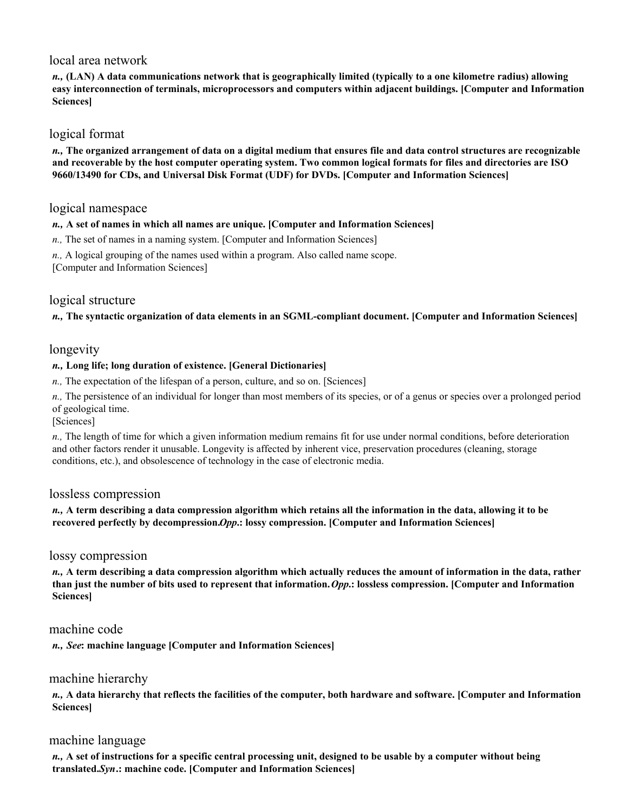## local area network

*n.,* **(LAN) A data communications network that is geographically limited (typically to a one kilometre radius) allowing easy interconnection of terminals, microprocessors and computers within adjacent buildings. [Computer and Information Sciences]** 

## logical format

*n.,* **The organized arrangement of data on a digital medium that ensures file and data control structures are recognizable and recoverable by the host computer operating system. Two common logical formats for files and directories are ISO 9660/13490 for CDs, and Universal Disk Format (UDF) for DVDs. [Computer and Information Sciences]** 

## logical namespace

#### *n.,* **A set of names in which all names are unique. [Computer and Information Sciences]**

*n.,* The set of names in a naming system. [Computer and Information Sciences]

*n.,* A logical grouping of the names used within a program. Also called name scope.

[Computer and Information Sciences]

# logical structure

*n.,* **The syntactic organization of data elements in an SGML-compliant document. [Computer and Information Sciences]** 

## longevity

#### *n.,* **Long life; long duration of existence. [General Dictionaries]**

*n.,* The expectation of the lifespan of a person, culture, and so on. [Sciences]

*n.,* The persistence of an individual for longer than most members of its species, or of a genus or species over a prolonged period of geological time.

[Sciences]

*n.,* The length of time for which a given information medium remains fit for use under normal conditions, before deterioration and other factors render it unusable. Longevity is affected by inherent vice, preservation procedures (cleaning, storage conditions, etc.), and obsolescence of technology in the case of electronic media.

### lossless compression

#### *n.,* **A term describing a data compression algorithm which retains all the information in the data, allowing it to be recovered perfectly by decompression.** *Opp***.: lossy compression. [Computer and Information Sciences]**

### lossy compression

*n.,* **A term describing a data compression algorithm which actually reduces the amount of information in the data, rather than just the number of bits used to represent that information.** *Opp***.: lossless compression. [Computer and Information Sciences]** 

## machine code

*n., See***: machine language [Computer and Information Sciences]** 

## machine hierarchy

*n.,* **A data hierarchy that reflects the facilities of the computer, both hardware and software. [Computer and Information Sciences]** 

### machine language

*n.,* **A set of instructions for a specific central processing unit, designed to be usable by a computer without being translated.** *Syn***.: machine code. [Computer and Information Sciences]**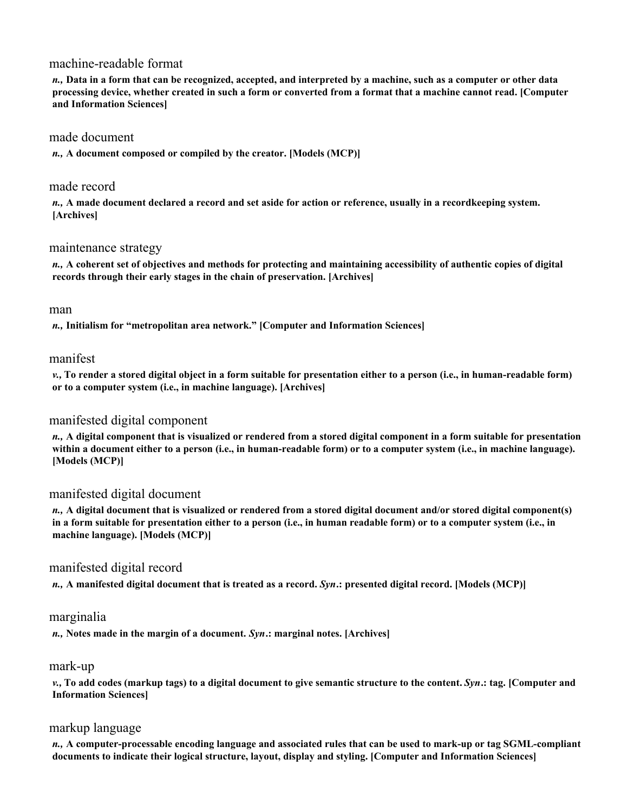## machine-readable format

*n.,* **Data in a form that can be recognized, accepted, and interpreted by a machine, such as a computer or other data processing device, whether created in such a form or converted from a format that a machine cannot read. [Computer and Information Sciences]** 

### made document

*n.,* **A document composed or compiled by the creator. [Models (MCP)]** 

### made record

*n.,* **A made document declared a record and set aside for action or reference, usually in a recordkeeping system. [Archives]** 

## maintenance strategy

*n.,* **A coherent set of objectives and methods for protecting and maintaining accessibility of authentic copies of digital records through their early stages in the chain of preservation. [Archives]** 

### man

*n.,* **Initialism for "metropolitan area network." [Computer and Information Sciences]** 

## manifest

*v.,* **To render a stored digital object in a form suitable for presentation either to a person (i.e., in human-readable form) or to a computer system (i.e., in machine language). [Archives]** 

## manifested digital component

*n.,* **A digital component that is visualized or rendered from a stored digital component in a form suitable for presentation within a document either to a person (i.e., in human-readable form) or to a computer system (i.e., in machine language). [Models (MCP)]** 

## manifested digital document

*n.,* **A digital document that is visualized or rendered from a stored digital document and/or stored digital component(s) in a form suitable for presentation either to a person (i.e., in human readable form) or to a computer system (i.e., in machine language). [Models (MCP)]** 

## manifested digital record

*n.,* **A manifested digital document that is treated as a record.** *Syn***.: presented digital record. [Models (MCP)]** 

### marginalia

*n.,* **Notes made in the margin of a document.** *Syn***.: marginal notes. [Archives]** 

### mark-up

*v.,* **To add codes (markup tags) to a digital document to give semantic structure to the content.** *Syn***.: tag. [Computer and Information Sciences]** 

## markup language

*n.,* **A computer-processable encoding language and associated rules that can be used to mark-up or tag SGML-compliant documents to indicate their logical structure, layout, display and styling. [Computer and Information Sciences]**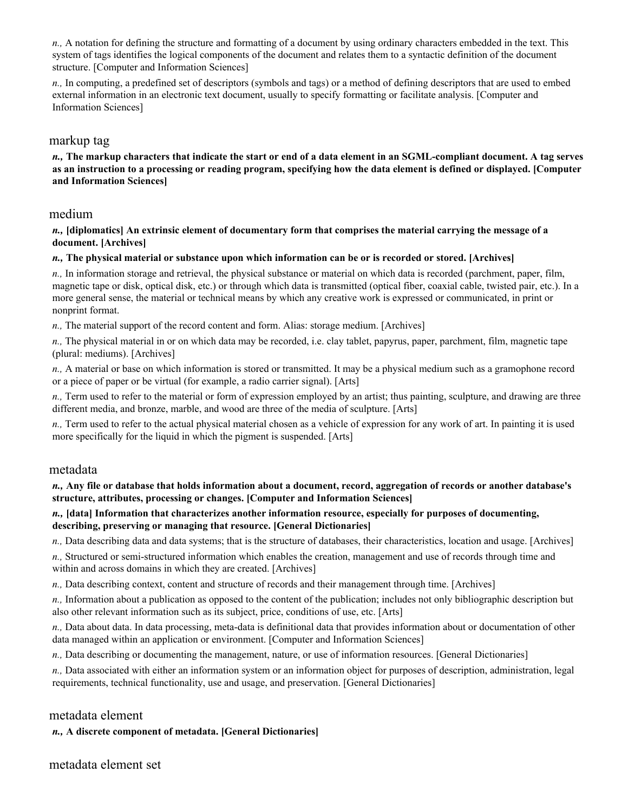*n.,* A notation for defining the structure and formatting of a document by using ordinary characters embedded in the text. This system of tags identifies the logical components of the document and relates them to a syntactic definition of the document structure. [Computer and Information Sciences]

*n.,* In computing, a predefined set of descriptors (symbols and tags) or a method of defining descriptors that are used to embed external information in an electronic text document, usually to specify formatting or facilitate analysis. [Computer and Information Sciences]

### markup tag

*n.,* **The markup characters that indicate the start or end of a data element in an SGML-compliant document. A tag serves as an instruction to a processing or reading program, specifying how the data element is defined or displayed. [Computer and Information Sciences]** 

## medium

*n.,* **[diplomatics] An extrinsic element of documentary form that comprises the material carrying the message of a document. [Archives]** 

#### *n.,* **The physical material or substance upon which information can be or is recorded or stored. [Archives]**

*n.,* In information storage and retrieval, the physical substance or material on which data is recorded (parchment, paper, film, magnetic tape or disk, optical disk, etc.) or through which data is transmitted (optical fiber, coaxial cable, twisted pair, etc.). In a more general sense, the material or technical means by which any creative work is expressed or communicated, in print or nonprint format.

*n.,* The material support of the record content and form. Alias: storage medium. [Archives]

*n.,* The physical material in or on which data may be recorded, i.e. clay tablet, papyrus, paper, parchment, film, magnetic tape (plural: mediums). [Archives]

*n.,* A material or base on which information is stored or transmitted. It may be a physical medium such as a gramophone record or a piece of paper or be virtual (for example, a radio carrier signal). [Arts]

*n.,* Term used to refer to the material or form of expression employed by an artist; thus painting, sculpture, and drawing are three different media, and bronze, marble, and wood are three of the media of sculpture. [Arts]

*n.,* Term used to refer to the actual physical material chosen as a vehicle of expression for any work of art. In painting it is used more specifically for the liquid in which the pigment is suspended. [Arts]

#### metadata

*n.,* **Any file or database that holds information about a document, record, aggregation of records or another database's structure, attributes, processing or changes. [Computer and Information Sciences]** 

#### *n.,* **[data] Information that characterizes another information resource, especially for purposes of documenting, describing, preserving or managing that resource. [General Dictionaries]**

*n.,* Data describing data and data systems; that is the structure of databases, their characteristics, location and usage. [Archives]

*n.,* Structured or semi-structured information which enables the creation, management and use of records through time and within and across domains in which they are created. [Archives]

*n.,* Data describing context, content and structure of records and their management through time. [Archives]

*n.,* Information about a publication as opposed to the content of the publication; includes not only bibliographic description but also other relevant information such as its subject, price, conditions of use, etc. [Arts]

*n.,* Data about data. In data processing, meta-data is definitional data that provides information about or documentation of other data managed within an application or environment. [Computer and Information Sciences]

*n.,* Data describing or documenting the management, nature, or use of information resources. [General Dictionaries]

*n.,* Data associated with either an information system or an information object for purposes of description, administration, legal requirements, technical functionality, use and usage, and preservation. [General Dictionaries]

## metadata element

*n.,* **A discrete component of metadata. [General Dictionaries]**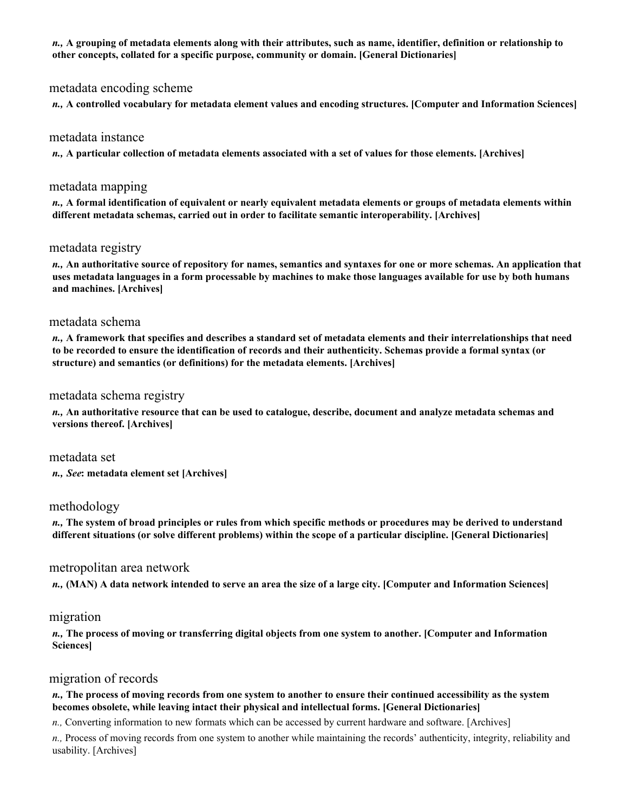*n.,* **A grouping of metadata elements along with their attributes, such as name, identifier, definition or relationship to other concepts, collated for a specific purpose, community or domain. [General Dictionaries]** 

### metadata encoding scheme

*n.,* **A controlled vocabulary for metadata element values and encoding structures. [Computer and Information Sciences]** 

#### metadata instance

*n.,* **A particular collection of metadata elements associated with a set of values for those elements. [Archives]** 

#### metadata mapping

*n.,* **A formal identification of equivalent or nearly equivalent metadata elements or groups of metadata elements within different metadata schemas, carried out in order to facilitate semantic interoperability. [Archives]** 

## metadata registry

*n.,* **An authoritative source of repository for names, semantics and syntaxes for one or more schemas. An application that uses metadata languages in a form processable by machines to make those languages available for use by both humans and machines. [Archives]** 

### metadata schema

*n.,* **A framework that specifies and describes a standard set of metadata elements and their interrelationships that need to be recorded to ensure the identification of records and their authenticity. Schemas provide a formal syntax (or structure) and semantics (or definitions) for the metadata elements. [Archives]** 

### metadata schema registry

*n.,* **An authoritative resource that can be used to catalogue, describe, document and analyze metadata schemas and versions thereof. [Archives]** 

metadata set *n., See***: metadata element set [Archives]** 

### methodology

*n.,* **The system of broad principles or rules from which specific methods or procedures may be derived to understand different situations (or solve different problems) within the scope of a particular discipline. [General Dictionaries]** 

#### metropolitan area network

*n.,* **(MAN) A data network intended to serve an area the size of a large city. [Computer and Information Sciences]** 

### migration

*n.,* **The process of moving or transferring digital objects from one system to another. [Computer and Information Sciences]** 

## migration of records

#### *n.,* **The process of moving records from one system to another to ensure their continued accessibility as the system becomes obsolete, while leaving intact their physical and intellectual forms. [General Dictionaries]**

*n.,* Converting information to new formats which can be accessed by current hardware and software. [Archives]

*n.,* Process of moving records from one system to another while maintaining the records' authenticity, integrity, reliability and usability. [Archives]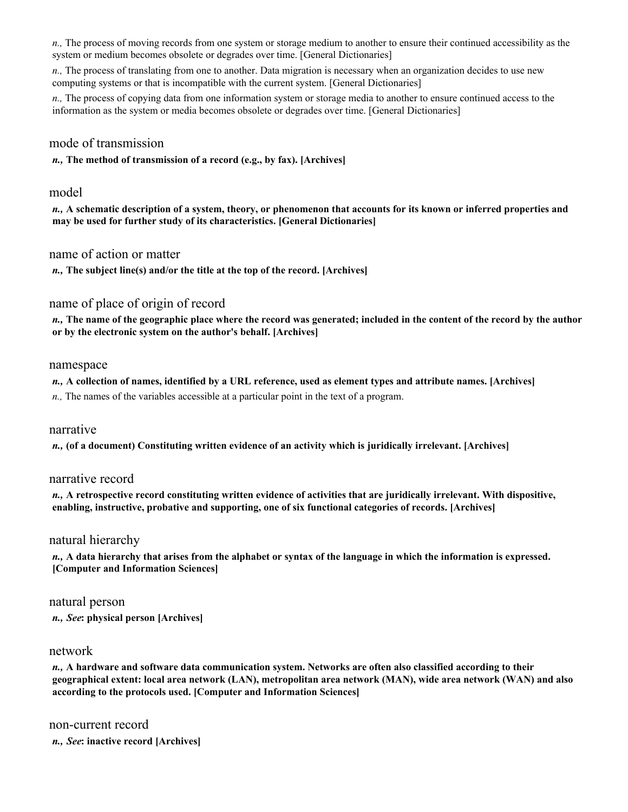*n.,* The process of moving records from one system or storage medium to another to ensure their continued accessibility as the system or medium becomes obsolete or degrades over time. [General Dictionaries]

*n.,* The process of translating from one to another. Data migration is necessary when an organization decides to use new computing systems or that is incompatible with the current system. [General Dictionaries]

*n.,* The process of copying data from one information system or storage media to another to ensure continued access to the information as the system or media becomes obsolete or degrades over time. [General Dictionaries]

### mode of transmission

*n.,* **The method of transmission of a record (e.g., by fax). [Archives]** 

#### model

*n.,* **A schematic description of a system, theory, or phenomenon that accounts for its known or inferred properties and may be used for further study of its characteristics. [General Dictionaries]** 

#### name of action or matter

*n.,* **The subject line(s) and/or the title at the top of the record. [Archives]** 

### name of place of origin of record

*n.,* **The name of the geographic place where the record was generated; included in the content of the record by the author or by the electronic system on the author's behalf. [Archives]** 

#### namespace

*n.,* **A collection of names, identified by a URL reference, used as element types and attribute names. [Archives]** 

*n.,* The names of the variables accessible at a particular point in the text of a program.

#### narrative

*n.,* **(of a document) Constituting written evidence of an activity which is juridically irrelevant. [Archives]** 

#### narrative record

*n.,* **A retrospective record constituting written evidence of activities that are juridically irrelevant. With dispositive, enabling, instructive, probative and supporting, one of six functional categories of records. [Archives]** 

#### natural hierarchy

*n.,* **A data hierarchy that arises from the alphabet or syntax of the language in which the information is expressed. [Computer and Information Sciences]** 

#### natural person

*n., See***: physical person [Archives]** 

#### network

*n.,* **A hardware and software data communication system. Networks are often also classified according to their geographical extent: local area network (LAN), metropolitan area network (MAN), wide area network (WAN) and also according to the protocols used. [Computer and Information Sciences]** 

#### non-current record

*n., See***: inactive record [Archives]**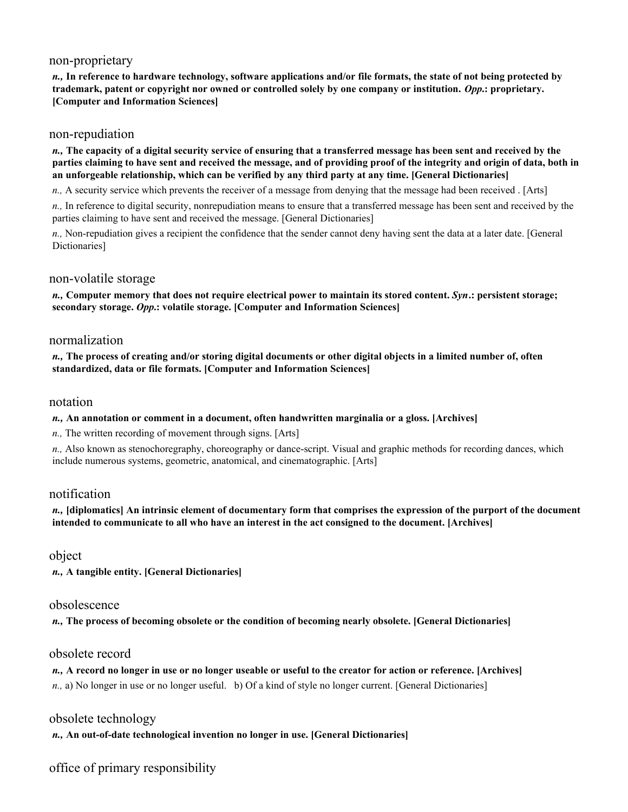### non-proprietary

*n.,* **In reference to hardware technology, software applications and/or file formats, the state of not being protected by trademark, patent or copyright nor owned or controlled solely by one company or institution.** *Opp***.: proprietary. [Computer and Information Sciences]** 

### non-repudiation

*n.,* **The capacity of a digital security service of ensuring that a transferred message has been sent and received by the parties claiming to have sent and received the message, and of providing proof of the integrity and origin of data, both in an unforgeable relationship, which can be verified by any third party at any time. [General Dictionaries]** 

*n.,* A security service which prevents the receiver of a message from denying that the message had been received . [Arts]

*n.,* In reference to digital security, nonrepudiation means to ensure that a transferred message has been sent and received by the parties claiming to have sent and received the message. [General Dictionaries]

*n.,* Non-repudiation gives a recipient the confidence that the sender cannot deny having sent the data at a later date. [General Dictionaries]

#### non-volatile storage

*n.,* **Computer memory that does not require electrical power to maintain its stored content.** *Syn***.: persistent storage; secondary storage.** *Opp***.: volatile storage. [Computer and Information Sciences]** 

### normalization

*n.,* **The process of creating and/or storing digital documents or other digital objects in a limited number of, often standardized, data or file formats. [Computer and Information Sciences]** 

#### notation

#### *n.,* **An annotation or comment in a document, often handwritten marginalia or a gloss. [Archives]**

*n.,* The written recording of movement through signs. [Arts]

*n.,* Also known as stenochoregraphy, choreography or dance-script. Visual and graphic methods for recording dances, which include numerous systems, geometric, anatomical, and cinematographic. [Arts]

### notification

*n.,* **[diplomatics] An intrinsic element of documentary form that comprises the expression of the purport of the document intended to communicate to all who have an interest in the act consigned to the document. [Archives]** 

object

*n.,* **A tangible entity. [General Dictionaries]** 

### obsolescence

*n.,* **The process of becoming obsolete or the condition of becoming nearly obsolete. [General Dictionaries]** 

## obsolete record

*n.,* **A record no longer in use or no longer useable or useful to the creator for action or reference. [Archives]**  *n.,* a) No longer in use or no longer useful. b) Of a kind of style no longer current. [General Dictionaries]

obsolete technology

*n.,* **An out-of-date technological invention no longer in use. [General Dictionaries]** 

office of primary responsibility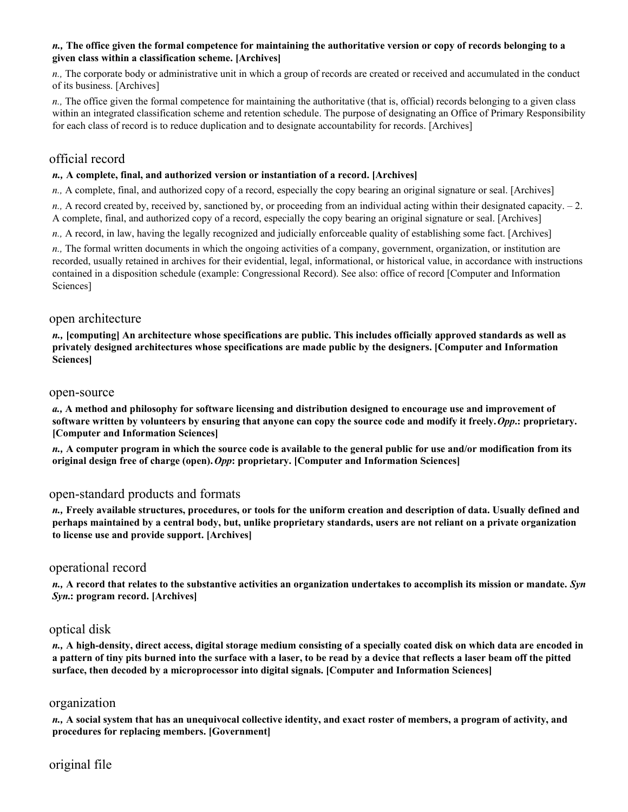#### *n.,* **The office given the formal competence for maintaining the authoritative version or copy of records belonging to a given class within a classification scheme. [Archives]**

*n.,* The corporate body or administrative unit in which a group of records are created or received and accumulated in the conduct of its business. [Archives]

*n.,* The office given the formal competence for maintaining the authoritative (that is, official) records belonging to a given class within an integrated classification scheme and retention schedule. The purpose of designating an Office of Primary Responsibility for each class of record is to reduce duplication and to designate accountability for records. [Archives]

## official record

#### *n.,* **A complete, final, and authorized version or instantiation of a record. [Archives]**

*n.,* A complete, final, and authorized copy of a record, especially the copy bearing an original signature or seal. [Archives]

*n.,* A record created by, received by, sanctioned by, or proceeding from an individual acting within their designated capacity. – 2. A complete, final, and authorized copy of a record, especially the copy bearing an original signature or seal. [Archives]

*n.,* A record, in law, having the legally recognized and judicially enforceable quality of establishing some fact. [Archives]

*n.*, The formal written documents in which the ongoing activities of a company, government, organization, or institution are recorded, usually retained in archives for their evidential, legal, informational, or historical value, in accordance with instructions contained in a disposition schedule (example: Congressional Record). See also: office of record [Computer and Information Sciences]

#### open architecture

*n.,* **[computing] An architecture whose specifications are public. This includes officially approved standards as well as privately designed architectures whose specifications are made public by the designers. [Computer and Information Sciences]** 

#### open-source

*a.,* **A method and philosophy for software licensing and distribution designed to encourage use and improvement of software written by volunteers by ensuring that anyone can copy the source code and modify it freely.** *Opp***.: proprietary. [Computer and Information Sciences]** 

*n.,* **A computer program in which the source code is available to the general public for use and/or modification from its original design free of charge (open).** *Opp***: proprietary. [Computer and Information Sciences]** 

### open-standard products and formats

*n.,* **Freely available structures, procedures, or tools for the uniform creation and description of data. Usually defined and perhaps maintained by a central body, but, unlike proprietary standards, users are not reliant on a private organization to license use and provide support. [Archives]** 

### operational record

*n.,* **A record that relates to the substantive activities an organization undertakes to accomplish its mission or mandate.** *Syn Syn***.: program record. [Archives]** 

### optical disk

*n.,* **A high-density, direct access, digital storage medium consisting of a specially coated disk on which data are encoded in a pattern of tiny pits burned into the surface with a laser, to be read by a device that reflects a laser beam off the pitted surface, then decoded by a microprocessor into digital signals. [Computer and Information Sciences]** 

#### organization

*n.,* **A social system that has an unequivocal collective identity, and exact roster of members, a program of activity, and procedures for replacing members. [Government]** 

## original file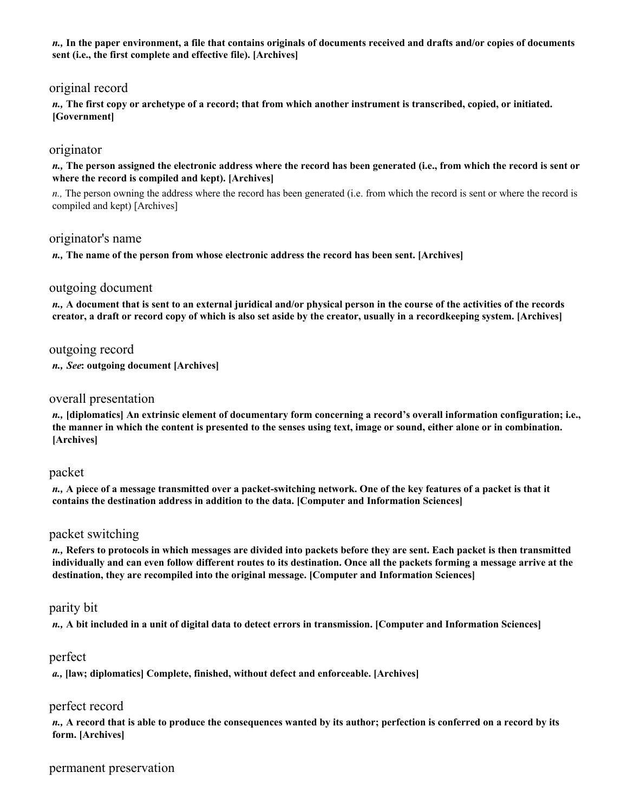*n.,* **In the paper environment, a file that contains originals of documents received and drafts and/or copies of documents sent (i.e., the first complete and effective file). [Archives]** 

## original record

*n.,* **The first copy or archetype of a record; that from which another instrument is transcribed, copied, or initiated. [Government]** 

### originator

*n.,* **The person assigned the electronic address where the record has been generated (i.e., from which the record is sent or where the record is compiled and kept). [Archives]** 

*n.,* The person owning the address where the record has been generated (i.e. from which the record is sent or where the record is compiled and kept) [Archives]

### originator's name

*n.,* **The name of the person from whose electronic address the record has been sent. [Archives]** 

#### outgoing document

*n.,* **A document that is sent to an external juridical and/or physical person in the course of the activities of the records creator, a draft or record copy of which is also set aside by the creator, usually in a recordkeeping system. [Archives]** 

outgoing record

*n., See***: outgoing document [Archives]** 

### overall presentation

*n.,* **[diplomatics] An extrinsic element of documentary form concerning a record's overall information configuration; i.e., the manner in which the content is presented to the senses using text, image or sound, either alone or in combination. [Archives]** 

#### packet

*n.,* **A piece of a message transmitted over a packet-switching network. One of the key features of a packet is that it contains the destination address in addition to the data. [Computer and Information Sciences]** 

#### packet switching

*n.,* **Refers to protocols in which messages are divided into packets before they are sent. Each packet is then transmitted individually and can even follow different routes to its destination. Once all the packets forming a message arrive at the destination, they are recompiled into the original message. [Computer and Information Sciences]** 

#### parity bit

*n.,* **A bit included in a unit of digital data to detect errors in transmission. [Computer and Information Sciences]** 

#### perfect

*a.,* **[law; diplomatics] Complete, finished, without defect and enforceable. [Archives]** 

### perfect record

*n.,* **A record that is able to produce the consequences wanted by its author; perfection is conferred on a record by its form. [Archives]** 

## permanent preservation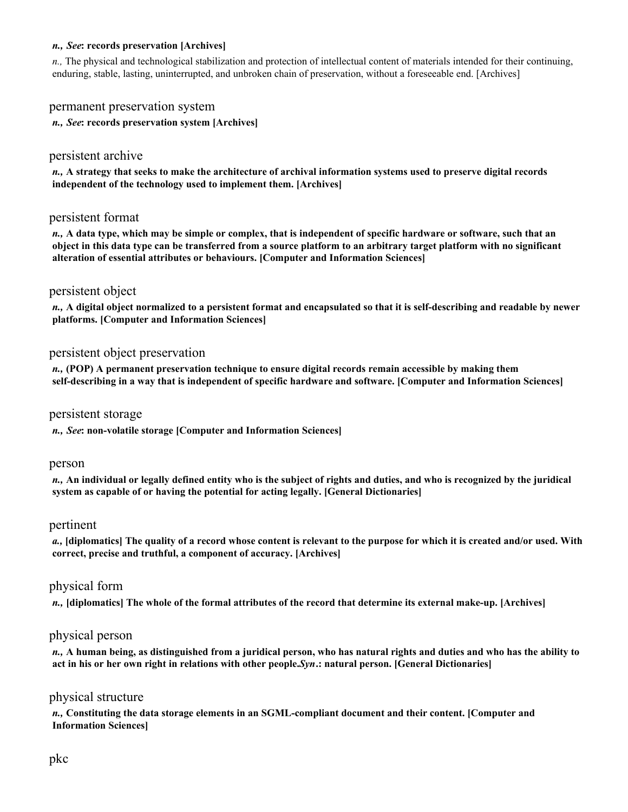#### *n., See***: records preservation [Archives]**

*n.,* The physical and technological stabilization and protection of intellectual content of materials intended for their continuing, enduring, stable, lasting, uninterrupted, and unbroken chain of preservation, without a foreseeable end. [Archives]

### permanent preservation system

*n., See***: records preservation system [Archives]** 

### persistent archive

*n.,* **A strategy that seeks to make the architecture of archival information systems used to preserve digital records independent of the technology used to implement them. [Archives]** 

#### persistent format

*n.,* **A data type, which may be simple or complex, that is independent of specific hardware or software, such that an object in this data type can be transferred from a source platform to an arbitrary target platform with no significant alteration of essential attributes or behaviours. [Computer and Information Sciences]** 

### persistent object

*n.,* **A digital object normalized to a persistent format and encapsulated so that it is self-describing and readable by newer platforms. [Computer and Information Sciences]** 

#### persistent object preservation

*n.,* **(POP) A permanent preservation technique to ensure digital records remain accessible by making them self-describing in a way that is independent of specific hardware and software. [Computer and Information Sciences]** 

#### persistent storage

*n., See***: non-volatile storage [Computer and Information Sciences]** 

#### person

*n.,* **An individual or legally defined entity who is the subject of rights and duties, and who is recognized by the juridical system as capable of or having the potential for acting legally. [General Dictionaries]** 

#### pertinent

*a.,* **[diplomatics] The quality of a record whose content is relevant to the purpose for which it is created and/or used. With correct, precise and truthful, a component of accuracy. [Archives]** 

### physical form

*n.,* **[diplomatics] The whole of the formal attributes of the record that determine its external make-up. [Archives]** 

### physical person

*n.,* **A human being, as distinguished from a juridical person, who has natural rights and duties and who has the ability to act in his or her own right in relations with other people.** *Syn***.: natural person. [General Dictionaries]** 

#### physical structure

*n.,* **Constituting the data storage elements in an SGML-compliant document and their content. [Computer and Information Sciences]**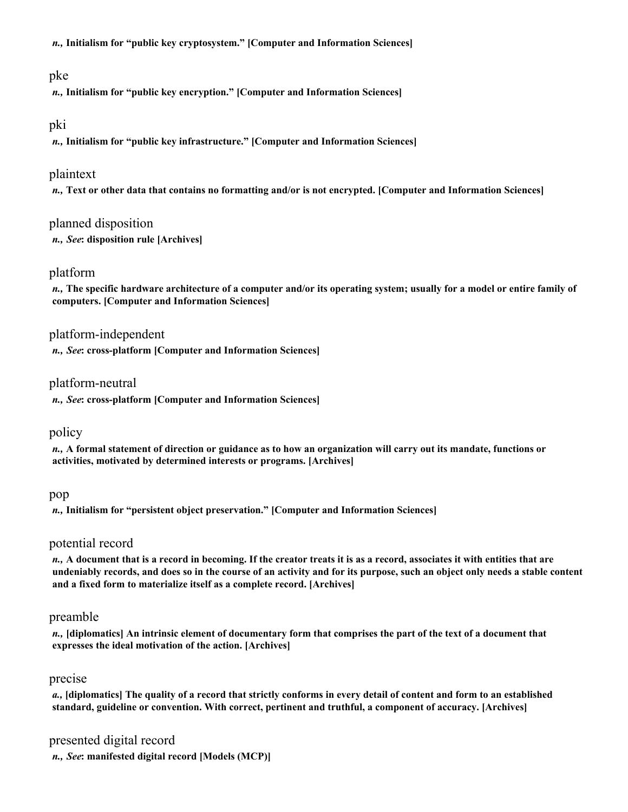*n.,* **Initialism for "public key cryptosystem." [Computer and Information Sciences]** 

## pke

*n.,* **Initialism for "public key encryption." [Computer and Information Sciences]** 

### pki

*n.,* **Initialism for "public key infrastructure." [Computer and Information Sciences]** 

## plaintext

*n.,* **Text or other data that contains no formatting and/or is not encrypted. [Computer and Information Sciences]** 

## planned disposition

*n., See***: disposition rule [Archives]** 

## platform

*n.,* **The specific hardware architecture of a computer and/or its operating system; usually for a model or entire family of computers. [Computer and Information Sciences]** 

## platform-independent

*n., See***: cross-platform [Computer and Information Sciences]** 

## platform-neutral

*n., See***: cross-platform [Computer and Information Sciences]** 

## policy

*n.,* **A formal statement of direction or guidance as to how an organization will carry out its mandate, functions or activities, motivated by determined interests or programs. [Archives]** 

### pop

*n.,* **Initialism for "persistent object preservation." [Computer and Information Sciences]** 

## potential record

*n.,* **A document that is a record in becoming. If the creator treats it is as a record, associates it with entities that are undeniably records, and does so in the course of an activity and for its purpose, such an object only needs a stable content and a fixed form to materialize itself as a complete record. [Archives]** 

# preamble

*n.,* **[diplomatics] An intrinsic element of documentary form that comprises the part of the text of a document that expresses the ideal motivation of the action. [Archives]** 

# precise

*a.,* **[diplomatics] The quality of a record that strictly conforms in every detail of content and form to an established standard, guideline or convention. With correct, pertinent and truthful, a component of accuracy. [Archives]** 

## presented digital record

*n., See***: manifested digital record [Models (MCP)]**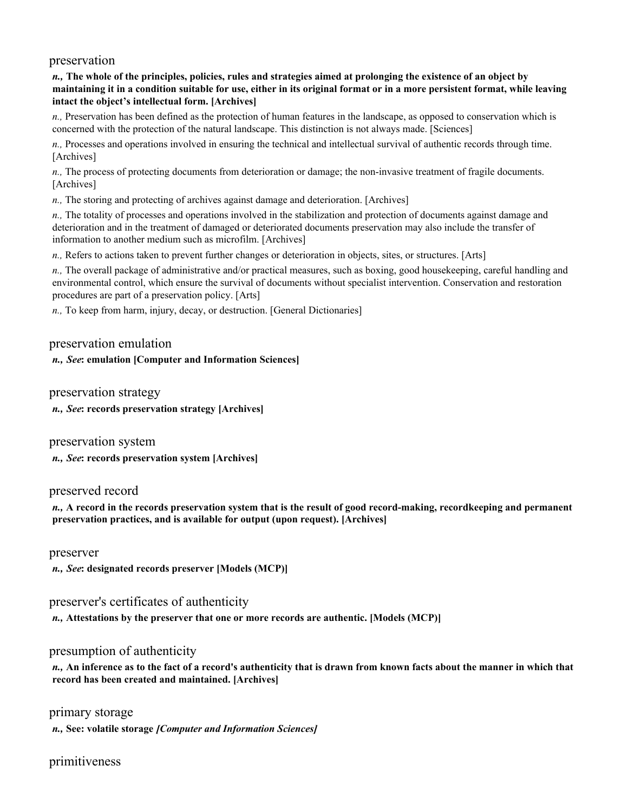#### preservation

#### *n.,* **The whole of the principles, policies, rules and strategies aimed at prolonging the existence of an object by maintaining it in a condition suitable for use, either in its original format or in a more persistent format, while leaving intact the object's intellectual form. [Archives]**

*n.,* Preservation has been defined as the protection of human features in the landscape, as opposed to conservation which is concerned with the protection of the natural landscape. This distinction is not always made. [Sciences]

*n.,* Processes and operations involved in ensuring the technical and intellectual survival of authentic records through time. [Archives]

*n.,* The process of protecting documents from deterioration or damage; the non-invasive treatment of fragile documents. [Archives]

*n.,* The storing and protecting of archives against damage and deterioration. [Archives]

*n.,* The totality of processes and operations involved in the stabilization and protection of documents against damage and deterioration and in the treatment of damaged or deteriorated documents preservation may also include the transfer of information to another medium such as microfilm. [Archives]

*n.,* Refers to actions taken to prevent further changes or deterioration in objects, sites, or structures. [Arts]

*n.,* The overall package of administrative and/or practical measures, such as boxing, good housekeeping, careful handling and environmental control, which ensure the survival of documents without specialist intervention. Conservation and restoration procedures are part of a preservation policy. [Arts]

*n.,* To keep from harm, injury, decay, or destruction. [General Dictionaries]

#### preservation emulation

#### *n., See***: emulation [Computer and Information Sciences]**

preservation strategy

*n., See***: records preservation strategy [Archives]** 

preservation system

*n., See***: records preservation system [Archives]** 

#### preserved record

*n.,* **A record in the records preservation system that is the result of good record-making, recordkeeping and permanent preservation practices, and is available for output (upon request). [Archives]** 

preserver

*n., See***: designated records preserver [Models (MCP)]** 

### preserver's certificates of authenticity

*n.,* **Attestations by the preserver that one or more records are authentic. [Models (MCP)]** 

### presumption of authenticity

*n.,* **An inference as to the fact of a record's authenticity that is drawn from known facts about the manner in which that record has been created and maintained. [Archives]** 

primary storage

*n.,* **See: volatile storage** *[Computer and Information Sciences]* 

## primitiveness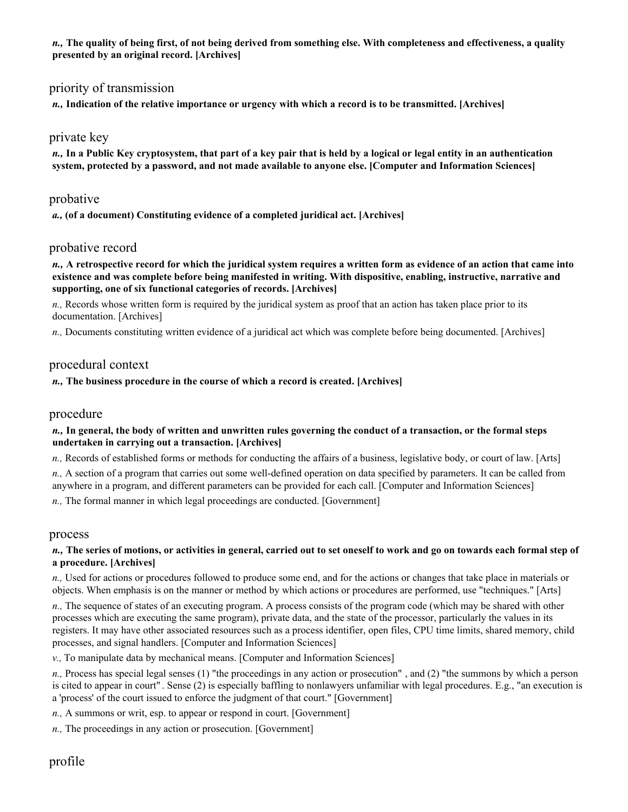*n.,* **The quality of being first, of not being derived from something else. With completeness and effectiveness, a quality presented by an original record. [Archives]** 

## priority of transmission

*n.,* **Indication of the relative importance or urgency with which a record is to be transmitted. [Archives]** 

### private key

*n.,* **In a Public Key cryptosystem, that part of a key pair that is held by a logical or legal entity in an authentication system, protected by a password, and not made available to anyone else. [Computer and Information Sciences]** 

### probative

*a.,* **(of a document) Constituting evidence of a completed juridical act. [Archives]** 

## probative record

*n.,* **A retrospective record for which the juridical system requires a written form as evidence of an action that came into existence and was complete before being manifested in writing. With dispositive, enabling, instructive, narrative and supporting, one of six functional categories of records. [Archives]** 

*n.,* Records whose written form is required by the juridical system as proof that an action has taken place prior to its documentation. [Archives]

*n.,* Documents constituting written evidence of a juridical act which was complete before being documented. [Archives]

## procedural context

#### *n.,* **The business procedure in the course of which a record is created. [Archives]**

### procedure

#### *n.,* **In general, the body of written and unwritten rules governing the conduct of a transaction, or the formal steps undertaken in carrying out a transaction. [Archives]**

*n.,* Records of established forms or methods for conducting the affairs of a business, legislative body, or court of law. [Arts]

*n.,* A section of a program that carries out some well-defined operation on data specified by parameters. It can be called from anywhere in a program, and different parameters can be provided for each call. [Computer and Information Sciences]

*n.,* The formal manner in which legal proceedings are conducted. [Government]

#### process

#### *n.,* **The series of motions, or activities in general, carried out to set oneself to work and go on towards each formal step of a procedure. [Archives]**

*n.,* Used for actions or procedures followed to produce some end, and for the actions or changes that take place in materials or objects. When emphasis is on the manner or method by which actions or procedures are performed, use "techniques." [Arts]

*n.,* The sequence of states of an executing program. A process consists of the program code (which may be shared with other processes which are executing the same program), private data, and the state of the processor, particularly the values in its registers. It may have other associated resources such as a process identifier, open files, CPU time limits, shared memory, child processes, and signal handlers. [Computer and Information Sciences]

*v.,* To manipulate data by mechanical means. [Computer and Information Sciences]

*n.,* Process has special legal senses (1) "the proceedings in any action or prosecution" , and (2) "the summons by which a person is cited to appear in court" . Sense (2) is especially baffling to nonlawyers unfamiliar with legal procedures. E.g., "an execution is a 'process' of the court issued to enforce the judgment of that court." [Government]

*n.,* A summons or writ, esp. to appear or respond in court. [Government]

*n.,* The proceedings in any action or prosecution. [Government]

# profile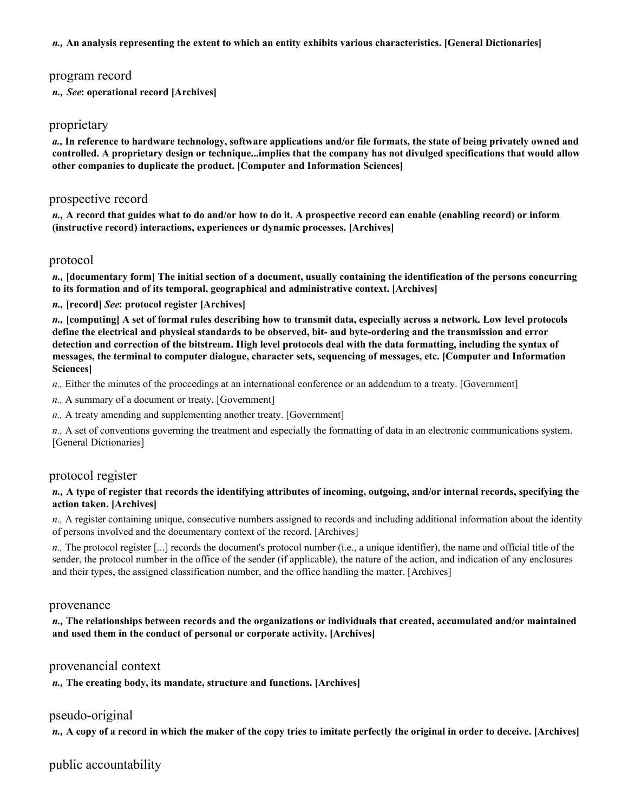*n.,* **An analysis representing the extent to which an entity exhibits various characteristics. [General Dictionaries]** 

### program record

*n., See***: operational record [Archives]** 

### proprietary

*a.,* **In reference to hardware technology, software applications and/or file formats, the state of being privately owned and controlled. A proprietary design or technique...implies that the company has not divulged specifications that would allow other companies to duplicate the product. [Computer and Information Sciences]** 

### prospective record

*n.,* **A record that guides what to do and/or how to do it. A prospective record can enable (enabling record) or inform (instructive record) interactions, experiences or dynamic processes. [Archives]** 

### protocol

*n.,* **[documentary form] The initial section of a document, usually containing the identification of the persons concurring to its formation and of its temporal, geographical and administrative context. [Archives]** 

*n.,* **[record]** *See***: protocol register [Archives]** 

*n.,* **[computing] A set of formal rules describing how to transmit data, especially across a network. Low level protocols define the electrical and physical standards to be observed, bit- and byte-ordering and the transmission and error detection and correction of the bitstream. High level protocols deal with the data formatting, including the syntax of messages, the terminal to computer dialogue, character sets, sequencing of messages, etc. [Computer and Information Sciences]** 

*n.,* Either the minutes of the proceedings at an international conference or an addendum to a treaty. [Government]

*n.,* A summary of a document or treaty. [Government]

*n.,* A treaty amending and supplementing another treaty. [Government]

*n.,* A set of conventions governing the treatment and especially the formatting of data in an electronic communications system. [General Dictionaries]

### protocol register

#### *n.,* **A type of register that records the identifying attributes of incoming, outgoing, and/or internal records, specifying the action taken. [Archives]**

*n.,* A register containing unique, consecutive numbers assigned to records and including additional information about the identity of persons involved and the documentary context of the record. [Archives]

*n.,* The protocol register [...] records the document's protocol number (i.e., a unique identifier), the name and official title of the sender, the protocol number in the office of the sender (if applicable), the nature of the action, and indication of any enclosures and their types, the assigned classification number, and the office handling the matter. [Archives]

#### provenance

*n.,* **The relationships between records and the organizations or individuals that created, accumulated and/or maintained and used them in the conduct of personal or corporate activity. [Archives]** 

### provenancial context

*n.,* **The creating body, its mandate, structure and functions. [Archives]** 

### pseudo-original

*n.,* **A copy of a record in which the maker of the copy tries to imitate perfectly the original in order to deceive. [Archives]** 

public accountability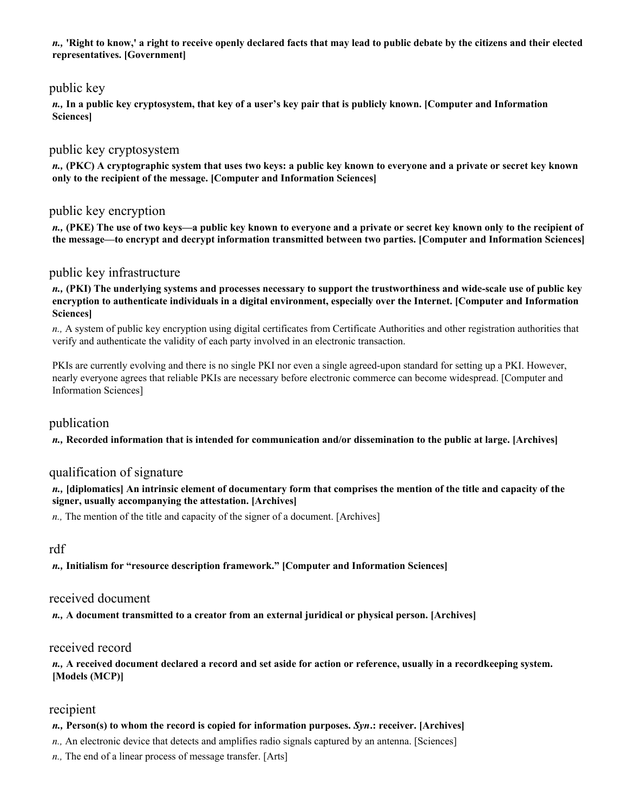*n.,* **'Right to know,' a right to receive openly declared facts that may lead to public debate by the citizens and their elected representatives. [Government]** 

## public key

*n.,* **In a public key cryptosystem, that key of a user's key pair that is publicly known. [Computer and Information Sciences]** 

### public key cryptosystem

*n.,* **(PKC) A cryptographic system that uses two keys: a public key known to everyone and a private or secret key known only to the recipient of the message. [Computer and Information Sciences]** 

## public key encryption

*n.,* **(PKE) The use of two keys—a public key known to everyone and a private or secret key known only to the recipient of the message—to encrypt and decrypt information transmitted between two parties. [Computer and Information Sciences]** 

### public key infrastructure

*n.,* **(PKI) The underlying systems and processes necessary to support the trustworthiness and wide-scale use of public key encryption to authenticate individuals in a digital environment, especially over the Internet. [Computer and Information Sciences]** 

*n.,* A system of public key encryption using digital certificates from Certificate Authorities and other registration authorities that verify and authenticate the validity of each party involved in an electronic transaction.

PKIs are currently evolving and there is no single PKI nor even a single agreed-upon standard for setting up a PKI. However, nearly everyone agrees that reliable PKIs are necessary before electronic commerce can become widespread. [Computer and Information Sciences]

### publication

*n.,* **Recorded information that is intended for communication and/or dissemination to the public at large. [Archives]** 

### qualification of signature

*n.,* **[diplomatics] An intrinsic element of documentary form that comprises the mention of the title and capacity of the signer, usually accompanying the attestation. [Archives]** 

*n.,* The mention of the title and capacity of the signer of a document. [Archives]

### rdf

*n.,* **Initialism for "resource description framework." [Computer and Information Sciences]** 

### received document

*n.,* **A document transmitted to a creator from an external juridical or physical person. [Archives]** 

### received record

*n.,* **A received document declared a record and set aside for action or reference, usually in a recordkeeping system. [Models (MCP)]** 

### recipient

#### *n.,* **Person(s) to whom the record is copied for information purposes.** *Syn***.: receiver. [Archives]**

*n.,* An electronic device that detects and amplifies radio signals captured by an antenna. [Sciences]

*n.,* The end of a linear process of message transfer. [Arts]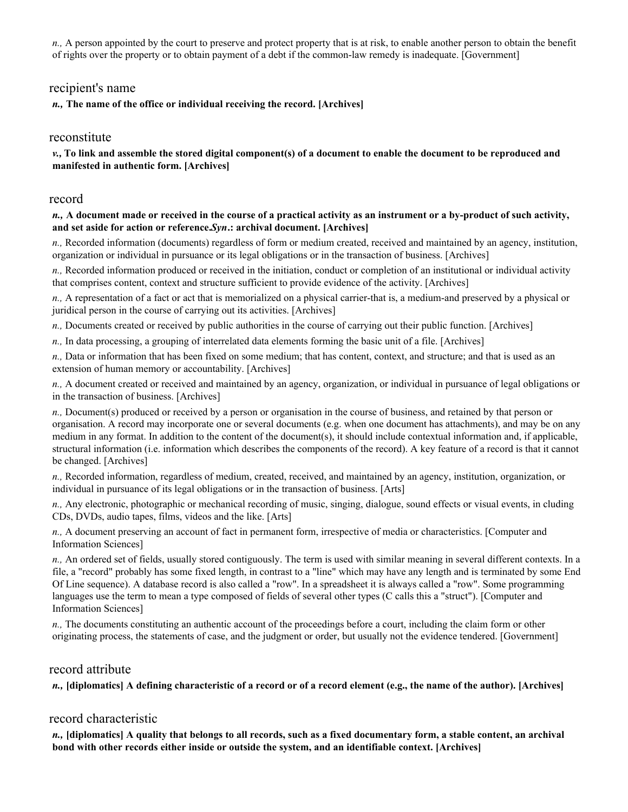*n.,* A person appointed by the court to preserve and protect property that is at risk, to enable another person to obtain the benefit of rights over the property or to obtain payment of a debt if the common-law remedy is inadequate. [Government]

## recipient's name

*n.,* **The name of the office or individual receiving the record. [Archives]** 

### reconstitute

*v.,* **To link and assemble the stored digital component(s) of a document to enable the document to be reproduced and manifested in authentic form. [Archives]** 

#### record

#### *n.,* **A document made or received in the course of a practical activity as an instrument or a by-product of such activity, and set aside for action or reference.** *Syn***.: archival document. [Archives]**

*n.,* Recorded information (documents) regardless of form or medium created, received and maintained by an agency, institution, organization or individual in pursuance or its legal obligations or in the transaction of business. [Archives]

*n.,* Recorded information produced or received in the initiation, conduct or completion of an institutional or individual activity that comprises content, context and structure sufficient to provide evidence of the activity. [Archives]

*n.,* A representation of a fact or act that is memorialized on a physical carrier-that is, a medium-and preserved by a physical or juridical person in the course of carrying out its activities. [Archives]

*n.,* Documents created or received by public authorities in the course of carrying out their public function. [Archives]

*n.,* In data processing, a grouping of interrelated data elements forming the basic unit of a file. [Archives]

*n.,* Data or information that has been fixed on some medium; that has content, context, and structure; and that is used as an extension of human memory or accountability. [Archives]

*n.,* A document created or received and maintained by an agency, organization, or individual in pursuance of legal obligations or in the transaction of business. [Archives]

*n.,* Document(s) produced or received by a person or organisation in the course of business, and retained by that person or organisation. A record may incorporate one or several documents (e.g. when one document has attachments), and may be on any medium in any format. In addition to the content of the document(s), it should include contextual information and, if applicable, structural information (i.e. information which describes the components of the record). A key feature of a record is that it cannot be changed. [Archives]

*n.,* Recorded information, regardless of medium, created, received, and maintained by an agency, institution, organization, or individual in pursuance of its legal obligations or in the transaction of business. [Arts]

*n.,* Any electronic, photographic or mechanical recording of music, singing, dialogue, sound effects or visual events, in cluding CDs, DVDs, audio tapes, films, videos and the like. [Arts]

*n.,* A document preserving an account of fact in permanent form, irrespective of media or characteristics. [Computer and Information Sciences]

*n.,* An ordered set of fields, usually stored contiguously. The term is used with similar meaning in several different contexts. In a file, a "record" probably has some fixed length, in contrast to a "line" which may have any length and is terminated by some End Of Line sequence). A database record is also called a "row". In a spreadsheet it is always called a "row". Some programming languages use the term to mean a type composed of fields of several other types (C calls this a "struct"). [Computer and Information Sciences]

*n.,* The documents constituting an authentic account of the proceedings before a court, including the claim form or other originating process, the statements of case, and the judgment or order, but usually not the evidence tendered. [Government]

## record attribute

*n.,* **[diplomatics] A defining characteristic of a record or of a record element (e.g., the name of the author). [Archives]** 

### record characteristic

*n.,* **[diplomatics] A quality that belongs to all records, such as a fixed documentary form, a stable content, an archival bond with other records either inside or outside the system, and an identifiable context. [Archives]**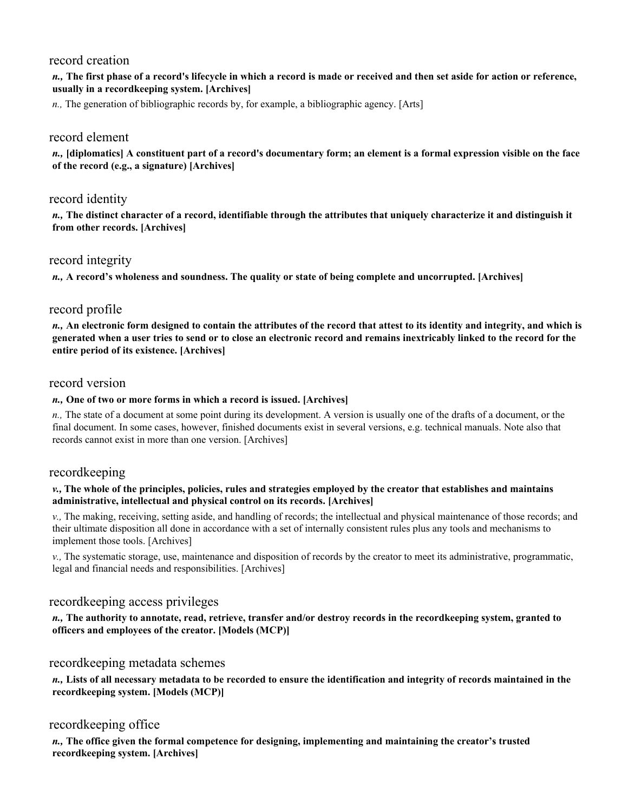## record creation

### *n.,* **The first phase of a record's lifecycle in which a record is made or received and then set aside for action or reference, usually in a recordkeeping system. [Archives]**

*n.,* The generation of bibliographic records by, for example, a bibliographic agency. [Arts]

## record element

*n.,* **[diplomatics] A constituent part of a record's documentary form; an element is a formal expression visible on the face of the record (e.g., a signature) [Archives]** 

## record identity

*n.,* **The distinct character of a record, identifiable through the attributes that uniquely characterize it and distinguish it from other records. [Archives]** 

## record integrity

*n.,* **A record's wholeness and soundness. The quality or state of being complete and uncorrupted. [Archives]** 

# record profile

*n.,* **An electronic form designed to contain the attributes of the record that attest to its identity and integrity, and which is generated when a user tries to send or to close an electronic record and remains inextricably linked to the record for the entire period of its existence. [Archives]** 

## record version

#### *n.,* **One of two or more forms in which a record is issued. [Archives]**

*n.,* The state of a document at some point during its development. A version is usually one of the drafts of a document, or the final document. In some cases, however, finished documents exist in several versions, e.g. technical manuals. Note also that records cannot exist in more than one version. [Archives]

### recordkeeping

#### *v.,* **The whole of the principles, policies, rules and strategies employed by the creator that establishes and maintains administrative, intellectual and physical control on its records. [Archives]**

*v.,* The making, receiving, setting aside, and handling of records; the intellectual and physical maintenance of those records; and their ultimate disposition all done in accordance with a set of internally consistent rules plus any tools and mechanisms to implement those tools. [Archives]

*v.,* The systematic storage, use, maintenance and disposition of records by the creator to meet its administrative, programmatic, legal and financial needs and responsibilities. [Archives]

## recordkeeping access privileges

*n.,* **The authority to annotate, read, retrieve, transfer and/or destroy records in the recordkeeping system, granted to officers and employees of the creator. [Models (MCP)]** 

## recordkeeping metadata schemes

*n.,* **Lists of all necessary metadata to be recorded to ensure the identification and integrity of records maintained in the recordkeeping system. [Models (MCP)]** 

## recordkeeping office

*n.,* **The office given the formal competence for designing, implementing and maintaining the creator's trusted recordkeeping system. [Archives]**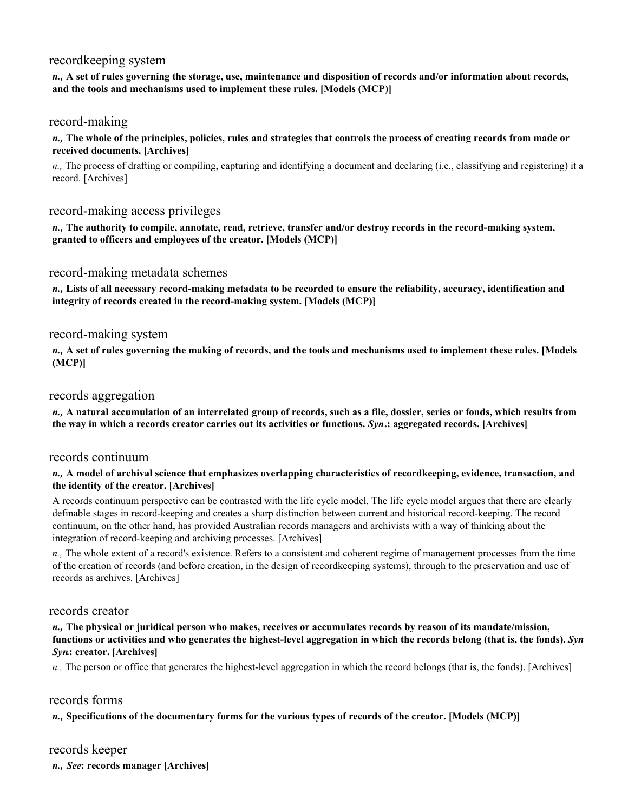## recordkeeping system

*n.,* **A set of rules governing the storage, use, maintenance and disposition of records and/or information about records, and the tools and mechanisms used to implement these rules. [Models (MCP)]** 

### record-making

*n.,* **The whole of the principles, policies, rules and strategies that controls the process of creating records from made or received documents. [Archives]** 

*n.,* The process of drafting or compiling, capturing and identifying a document and declaring (i.e., classifying and registering) it a record. [Archives]

## record-making access privileges

*n.,* **The authority to compile, annotate, read, retrieve, transfer and/or destroy records in the record-making system, granted to officers and employees of the creator. [Models (MCP)]** 

### record-making metadata schemes

*n.,* **Lists of all necessary record-making metadata to be recorded to ensure the reliability, accuracy, identification and integrity of records created in the record-making system. [Models (MCP)]** 

### record-making system

*n.,* **A set of rules governing the making of records, and the tools and mechanisms used to implement these rules. [Models (MCP)]** 

### records aggregation

*n.,* **A natural accumulation of an interrelated group of records, such as a file, dossier, series or fonds, which results from the way in which a records creator carries out its activities or functions.** *Syn***.: aggregated records. [Archives]** 

### records continuum

#### *n.,* **A model of archival science that emphasizes overlapping characteristics of recordkeeping, evidence, transaction, and the identity of the creator. [Archives]**

A records continuum perspective can be contrasted with the life cycle model. The life cycle model argues that there are clearly definable stages in record-keeping and creates a sharp distinction between current and historical record-keeping. The record continuum, on the other hand, has provided Australian records managers and archivists with a way of thinking about the integration of record-keeping and archiving processes. [Archives]

*n.,* The whole extent of a record's existence. Refers to a consistent and coherent regime of management processes from the time of the creation of records (and before creation, in the design of recordkeeping systems), through to the preservation and use of records as archives. [Archives]

## records creator

#### *n.,* **The physical or juridical person who makes, receives or accumulates records by reason of its mandate/mission, functions or activities and who generates the highest-level aggregation in which the records belong (that is, the fonds).** *Syn Syn***.: creator. [Archives]**

*n.*, The person or office that generates the highest-level aggregation in which the record belongs (that is, the fonds). [Archives]

## records forms

#### *n.,* **Specifications of the documentary forms for the various types of records of the creator. [Models (MCP)]**

### records keeper

*n., See***: records manager [Archives]**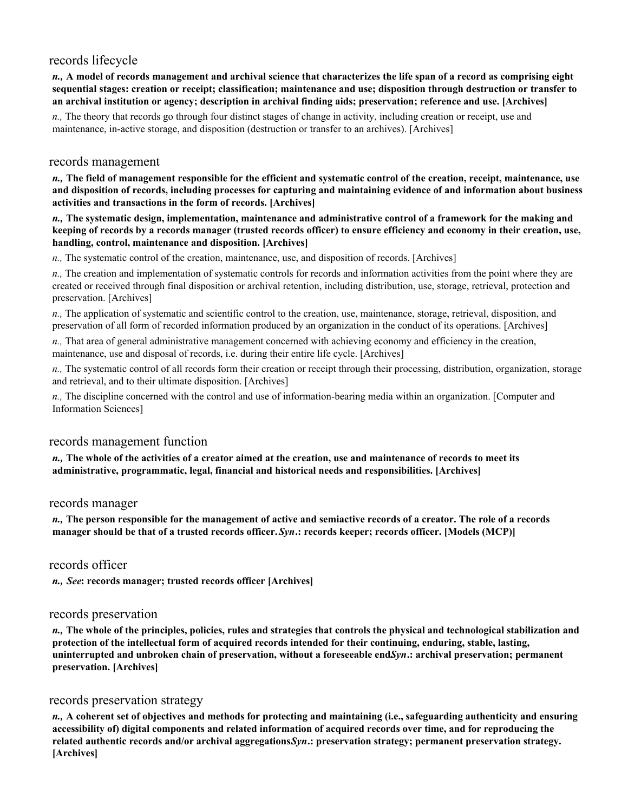# records lifecycle

*n.,* **A model of records management and archival science that characterizes the life span of a record as comprising eight sequential stages: creation or receipt; classification; maintenance and use; disposition through destruction or transfer to an archival institution or agency; description in archival finding aids; preservation; reference and use. [Archives]** 

*n.,* The theory that records go through four distinct stages of change in activity, including creation or receipt, use and maintenance, in-active storage, and disposition (destruction or transfer to an archives). [Archives]

### records management

*n.,* **The field of management responsible for the efficient and systematic control of the creation, receipt, maintenance, use and disposition of records, including processes for capturing and maintaining evidence of and information about business activities and transactions in the form of records. [Archives]** 

*n.,* **The systematic design, implementation, maintenance and administrative control of a framework for the making and keeping of records by a records manager (trusted records officer) to ensure efficiency and economy in their creation, use, handling, control, maintenance and disposition. [Archives]** 

*n.,* The systematic control of the creation, maintenance, use, and disposition of records. [Archives]

*n.,* The creation and implementation of systematic controls for records and information activities from the point where they are created or received through final disposition or archival retention, including distribution, use, storage, retrieval, protection and preservation. [Archives]

*n.,* The application of systematic and scientific control to the creation, use, maintenance, storage, retrieval, disposition, and preservation of all form of recorded information produced by an organization in the conduct of its operations. [Archives]

*n.,* That area of general administrative management concerned with achieving economy and efficiency in the creation, maintenance, use and disposal of records, i.e. during their entire life cycle. [Archives]

*n.,* The systematic control of all records form their creation or receipt through their processing, distribution, organization, storage and retrieval, and to their ultimate disposition. [Archives]

*n.,* The discipline concerned with the control and use of information-bearing media within an organization. [Computer and Information Sciences]

### records management function

*n.,* **The whole of the activities of a creator aimed at the creation, use and maintenance of records to meet its administrative, programmatic, legal, financial and historical needs and responsibilities. [Archives]** 

### records manager

*n.,* **The person responsible for the management of active and semiactive records of a creator. The role of a records manager should be that of a trusted records officer.** *Syn***.: records keeper; records officer. [Models (MCP)]** 

### records officer

*n., See***: records manager; trusted records officer [Archives]** 

## records preservation

*n.,* **The whole of the principles, policies, rules and strategies that controls the physical and technological stabilization and protection of the intellectual form of acquired records intended for their continuing, enduring, stable, lasting, uninterrupted and unbroken chain of preservation, without a foreseeable end.** *Syn***.: archival preservation; permanent preservation. [Archives]** 

# records preservation strategy

*n.,* **A coherent set of objectives and methods for protecting and maintaining (i.e., safeguarding authenticity and ensuring accessibility of) digital components and related information of acquired records over time, and for reproducing the related authentic records and/or archival aggregations.** *Syn***.: preservation strategy; permanent preservation strategy. [Archives]**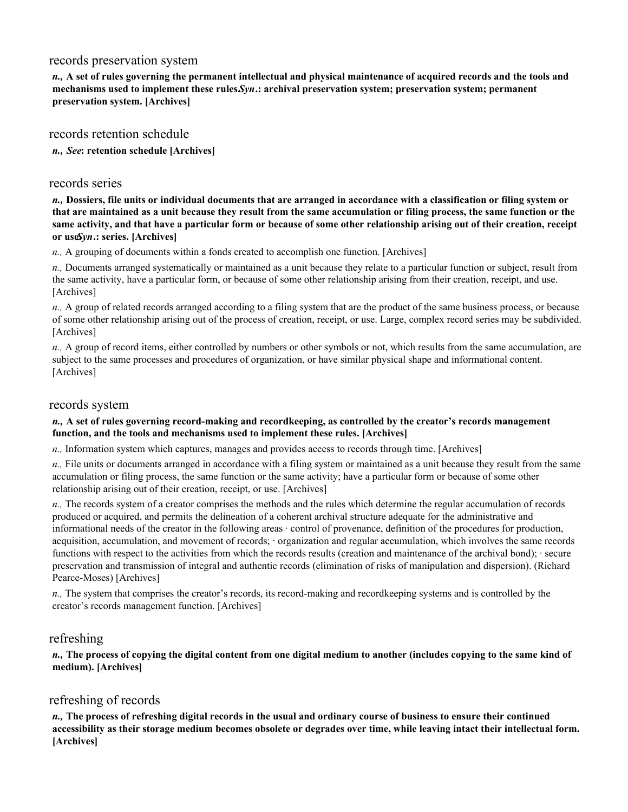## records preservation system

*n.,* **A set of rules governing the permanent intellectual and physical maintenance of acquired records and the tools and mechanisms used to implement these rules.** *Syn***.: archival preservation system; preservation system; permanent preservation system. [Archives]** 

records retention schedule

*n., See***: retention schedule [Archives]** 

## records series

*n.,* **Dossiers, file units or individual documents that are arranged in accordance with a classification or filing system or that are maintained as a unit because they result from the same accumulation or filing process, the same function or the same activity, and that have a particular form or because of some other relationship arising out of their creation, receipt or useSyn.: series.** [Archives]

*n.,* A grouping of documents within a fonds created to accomplish one function. [Archives]

*n.,* Documents arranged systematically or maintained as a unit because they relate to a particular function or subject, result from the same activity, have a particular form, or because of some other relationship arising from their creation, receipt, and use. [Archives]

*n.,* A group of related records arranged according to a filing system that are the product of the same business process, or because of some other relationship arising out of the process of creation, receipt, or use. Large, complex record series may be subdivided. [Archives]

*n.,* A group of record items, either controlled by numbers or other symbols or not, which results from the same accumulation, are subject to the same processes and procedures of organization, or have similar physical shape and informational content. [Archives]

## records system

#### *n.,* **A set of rules governing record-making and recordkeeping, as controlled by the creator's records management function, and the tools and mechanisms used to implement these rules. [Archives]**

*n.,* Information system which captures, manages and provides access to records through time. [Archives]

*n.,* File units or documents arranged in accordance with a filing system or maintained as a unit because they result from the same accumulation or filing process, the same function or the same activity; have a particular form or because of some other relationship arising out of their creation, receipt, or use. [Archives]

*n.,* The records system of a creator comprises the methods and the rules which determine the regular accumulation of records produced or acquired, and permits the delineation of a coherent archival structure adequate for the administrative and informational needs of the creator in the following areas · control of provenance, definition of the procedures for production, acquisition, accumulation, and movement of records; · organization and regular accumulation, which involves the same records functions with respect to the activities from which the records results (creation and maintenance of the archival bond); · secure preservation and transmission of integral and authentic records (elimination of risks of manipulation and dispersion). (Richard Pearce-Moses) [Archives]

*n.,* The system that comprises the creator's records, its record-making and recordkeeping systems and is controlled by the creator's records management function. [Archives]

## refreshing

*n.,* **The process of copying the digital content from one digital medium to another (includes copying to the same kind of medium). [Archives]** 

# refreshing of records

*n.,* **The process of refreshing digital records in the usual and ordinary course of business to ensure their continued accessibility as their storage medium becomes obsolete or degrades over time, while leaving intact their intellectual form. [Archives]**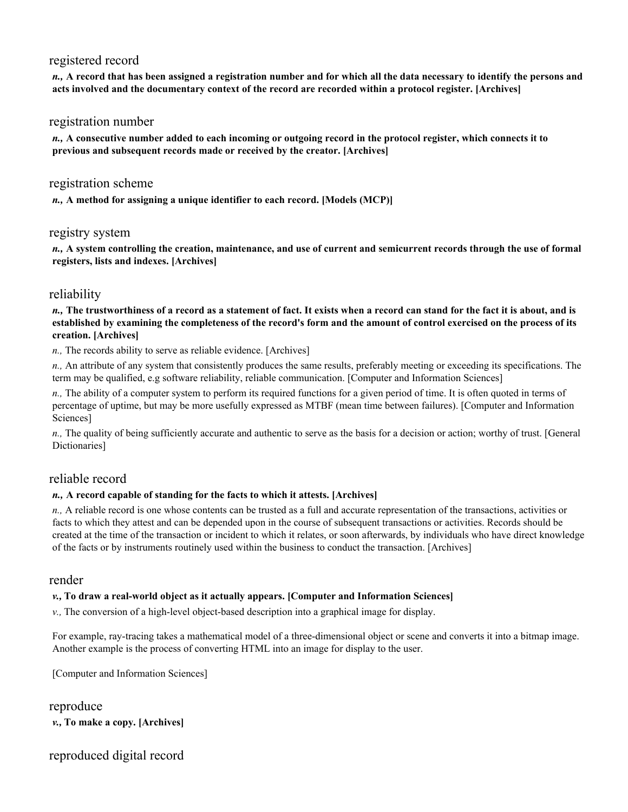# registered record

*n.,* **A record that has been assigned a registration number and for which all the data necessary to identify the persons and acts involved and the documentary context of the record are recorded within a protocol register. [Archives]** 

## registration number

*n.,* **A consecutive number added to each incoming or outgoing record in the protocol register, which connects it to previous and subsequent records made or received by the creator. [Archives]** 

### registration scheme

*n.,* **A method for assigning a unique identifier to each record. [Models (MCP)]** 

### registry system

*n.,* **A system controlling the creation, maintenance, and use of current and semicurrent records through the use of formal registers, lists and indexes. [Archives]** 

# reliability

*n.,* **The trustworthiness of a record as a statement of fact. It exists when a record can stand for the fact it is about, and is established by examining the completeness of the record's form and the amount of control exercised on the process of its creation. [Archives]** 

*n.,* The records ability to serve as reliable evidence. [Archives]

*n.,* An attribute of any system that consistently produces the same results, preferably meeting or exceeding its specifications. The term may be qualified, e.g software reliability, reliable communication. [Computer and Information Sciences]

*n.,* The ability of a computer system to perform its required functions for a given period of time. It is often quoted in terms of percentage of uptime, but may be more usefully expressed as MTBF (mean time between failures). [Computer and Information Sciences]

*n.,* The quality of being sufficiently accurate and authentic to serve as the basis for a decision or action; worthy of trust. [General Dictionaries]

## reliable record

### *n.,* **A record capable of standing for the facts to which it attests. [Archives]**

*n.,* A reliable record is one whose contents can be trusted as a full and accurate representation of the transactions, activities or facts to which they attest and can be depended upon in the course of subsequent transactions or activities. Records should be created at the time of the transaction or incident to which it relates, or soon afterwards, by individuals who have direct knowledge of the facts or by instruments routinely used within the business to conduct the transaction. [Archives]

### render

### *v.,* **To draw a real-world object as it actually appears. [Computer and Information Sciences]**

*v.,* The conversion of a high-level object-based description into a graphical image for display.

For example, ray-tracing takes a mathematical model of a three-dimensional object or scene and converts it into a bitmap image. Another example is the process of converting HTML into an image for display to the user.

[Computer and Information Sciences]

reproduce *v.,* **To make a copy. [Archives]** 

# reproduced digital record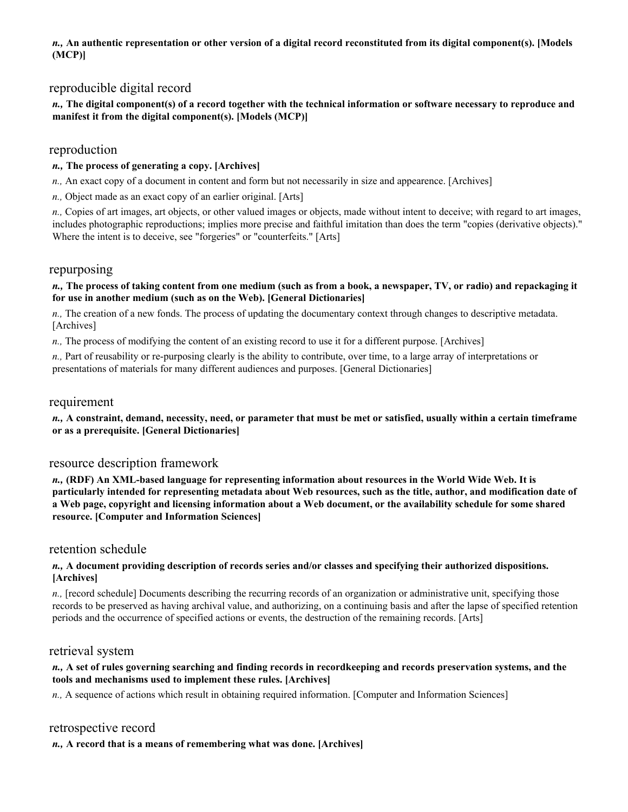*n.,* **An authentic representation or other version of a digital record reconstituted from its digital component(s). [Models (MCP)]** 

## reproducible digital record

### *n.,* **The digital component(s) of a record together with the technical information or software necessary to reproduce and manifest it from the digital component(s). [Models (MCP)]**

## reproduction

### *n.,* **The process of generating a copy. [Archives]**

*n.,* An exact copy of a document in content and form but not necessarily in size and appearence. [Archives]

*n.,* Object made as an exact copy of an earlier original. [Arts]

*n.,* Copies of art images, art objects, or other valued images or objects, made without intent to deceive; with regard to art images, includes photographic reproductions; implies more precise and faithful imitation than does the term "copies (derivative objects)." Where the intent is to deceive, see "forgeries" or "counterfeits." [Arts]

### repurposing

#### *n.,* **The process of taking content from one medium (such as from a book, a newspaper, TV, or radio) and repackaging it for use in another medium (such as on the Web). [General Dictionaries]**

*n.,* The creation of a new fonds. The process of updating the documentary context through changes to descriptive metadata. [Archives]

*n.,* The process of modifying the content of an existing record to use it for a different purpose. [Archives]

*n.,* Part of reusability or re-purposing clearly is the ability to contribute, over time, to a large array of interpretations or presentations of materials for many different audiences and purposes. [General Dictionaries]

### requirement

*n.,* **A constraint, demand, necessity, need, or parameter that must be met or satisfied, usually within a certain timeframe or as a prerequisite. [General Dictionaries]** 

## resource description framework

*n.,* **(RDF) An XML-based language for representing information about resources in the World Wide Web. It is particularly intended for representing metadata about Web resources, such as the title, author, and modification date of a Web page, copyright and licensing information about a Web document, or the availability schedule for some shared resource. [Computer and Information Sciences]** 

### retention schedule

#### *n.,* **A document providing description of records series and/or classes and specifying their authorized dispositions. [Archives]**

*n.,* [record schedule] Documents describing the recurring records of an organization or administrative unit, specifying those records to be preserved as having archival value, and authorizing, on a continuing basis and after the lapse of specified retention periods and the occurrence of specified actions or events, the destruction of the remaining records. [Arts]

### retrieval system

### *n.,* **A set of rules governing searching and finding records in recordkeeping and records preservation systems, and the tools and mechanisms used to implement these rules. [Archives]**

*n.,* A sequence of actions which result in obtaining required information. [Computer and Information Sciences]

### retrospective record

*n.,* **A record that is a means of remembering what was done. [Archives]**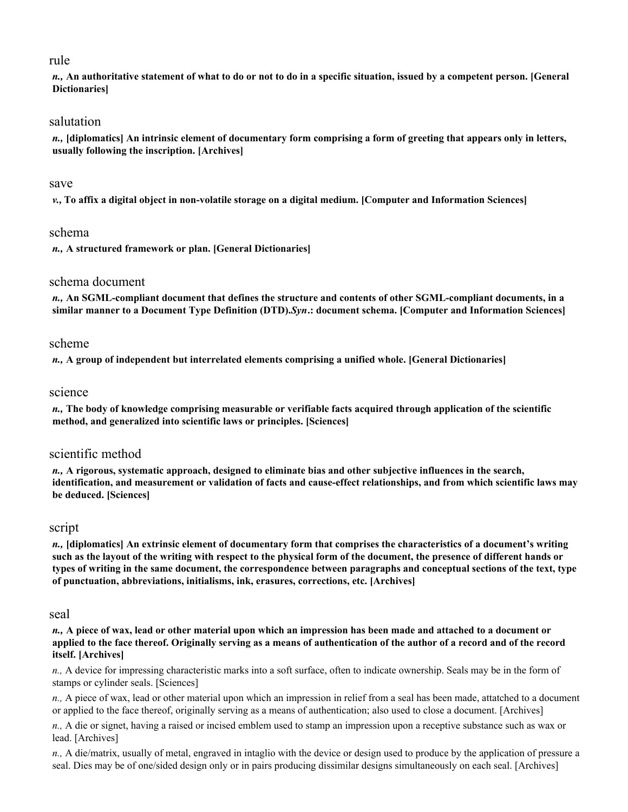# rule

*n.,* **An authoritative statement of what to do or not to do in a specific situation, issued by a competent person. [General Dictionaries]** 

# salutation

*n.,* **[diplomatics] An intrinsic element of documentary form comprising a form of greeting that appears only in letters, usually following the inscription. [Archives]** 

### save

*v.,* **To affix a digital object in non-volatile storage on a digital medium. [Computer and Information Sciences]** 

# schema

*n.,* **A structured framework or plan. [General Dictionaries]** 

# schema document

*n.,* **An SGML-compliant document that defines the structure and contents of other SGML-compliant documents, in a similar manner to a Document Type Definition (DTD).** *Syn***.: document schema. [Computer and Information Sciences]** 

# scheme

*n.,* **A group of independent but interrelated elements comprising a unified whole. [General Dictionaries]** 

# science

*n.,* **The body of knowledge comprising measurable or verifiable facts acquired through application of the scientific method, and generalized into scientific laws or principles. [Sciences]** 

# scientific method

*n.,* **A rigorous, systematic approach, designed to eliminate bias and other subjective influences in the search, identification, and measurement or validation of facts and cause-effect relationships, and from which scientific laws may be deduced. [Sciences]** 

# script

*n.,* **[diplomatics] An extrinsic element of documentary form that comprises the characteristics of a document's writing such as the layout of the writing with respect to the physical form of the document, the presence of different hands or types of writing in the same document, the correspondence between paragraphs and conceptual sections of the text, type of punctuation, abbreviations, initialisms, ink, erasures, corrections, etc. [Archives]** 

### seal

*n.,* **A piece of wax, lead or other material upon which an impression has been made and attached to a document or applied to the face thereof. Originally serving as a means of authentication of the author of a record and of the record itself. [Archives]** 

*n.,* A device for impressing characteristic marks into a soft surface, often to indicate ownership. Seals may be in the form of stamps or cylinder seals. [Sciences]

*n.,* A piece of wax, lead or other material upon which an impression in relief from a seal has been made, attatched to a document or applied to the face thereof, originally serving as a means of authentication; also used to close a document. [Archives]

*n.,* A die or signet, having a raised or incised emblem used to stamp an impression upon a receptive substance such as wax or lead. [Archives]

*n.,* A die/matrix, usually of metal, engraved in intaglio with the device or design used to produce by the application of pressure a seal. Dies may be of one/sided design only or in pairs producing dissimilar designs simultaneously on each seal. [Archives]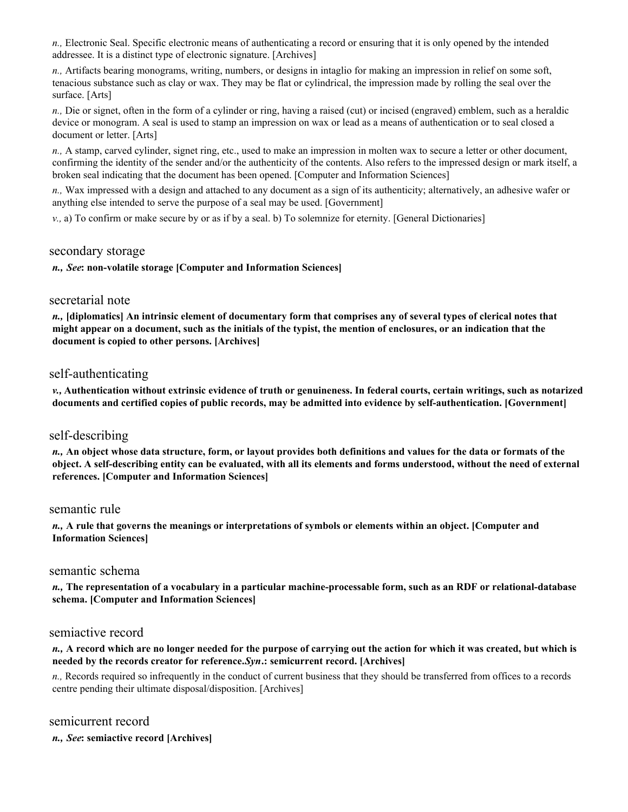*n.,* Electronic Seal. Specific electronic means of authenticating a record or ensuring that it is only opened by the intended addressee. It is a distinct type of electronic signature. [Archives]

*n.,* Artifacts bearing monograms, writing, numbers, or designs in intaglio for making an impression in relief on some soft, tenacious substance such as clay or wax. They may be flat or cylindrical, the impression made by rolling the seal over the surface. [Arts]

*n.,* Die or signet, often in the form of a cylinder or ring, having a raised (cut) or incised (engraved) emblem, such as a heraldic device or monogram. A seal is used to stamp an impression on wax or lead as a means of authentication or to seal closed a document or letter. [Arts]

*n.,* A stamp, carved cylinder, signet ring, etc., used to make an impression in molten wax to secure a letter or other document, confirming the identity of the sender and/or the authenticity of the contents. Also refers to the impressed design or mark itself, a broken seal indicating that the document has been opened. [Computer and Information Sciences]

*n.,* Wax impressed with a design and attached to any document as a sign of its authenticity; alternatively, an adhesive wafer or anything else intended to serve the purpose of a seal may be used. [Government]

*v.,* a) To confirm or make secure by or as if by a seal. b) To solemnize for eternity. [General Dictionaries]

# secondary storage

*n., See***: non-volatile storage [Computer and Information Sciences]** 

### secretarial note

*n.,* **[diplomatics] An intrinsic element of documentary form that comprises any of several types of clerical notes that might appear on a document, such as the initials of the typist, the mention of enclosures, or an indication that the document is copied to other persons. [Archives]** 

# self-authenticating

*v.,* **Authentication without extrinsic evidence of truth or genuineness. In federal courts, certain writings, such as notarized documents and certified copies of public records, may be admitted into evidence by self-authentication. [Government]** 

### self-describing

*n.,* **An object whose data structure, form, or layout provides both definitions and values for the data or formats of the object. A self-describing entity can be evaluated, with all its elements and forms understood, without the need of external references. [Computer and Information Sciences]** 

#### semantic rule

*n.,* **A rule that governs the meanings or interpretations of symbols or elements within an object. [Computer and Information Sciences]** 

### semantic schema

*n.,* **The representation of a vocabulary in a particular machine-processable form, such as an RDF or relational-database schema. [Computer and Information Sciences]** 

### semiactive record

#### *n.,* **A record which are no longer needed for the purpose of carrying out the action for which it was created, but which is needed by the records creator for reference.** *Syn***.: semicurrent record. [Archives]**

*n.,* Records required so infrequently in the conduct of current business that they should be transferred from offices to a records centre pending their ultimate disposal/disposition. [Archives]

# semicurrent record

*n., See***: semiactive record [Archives]**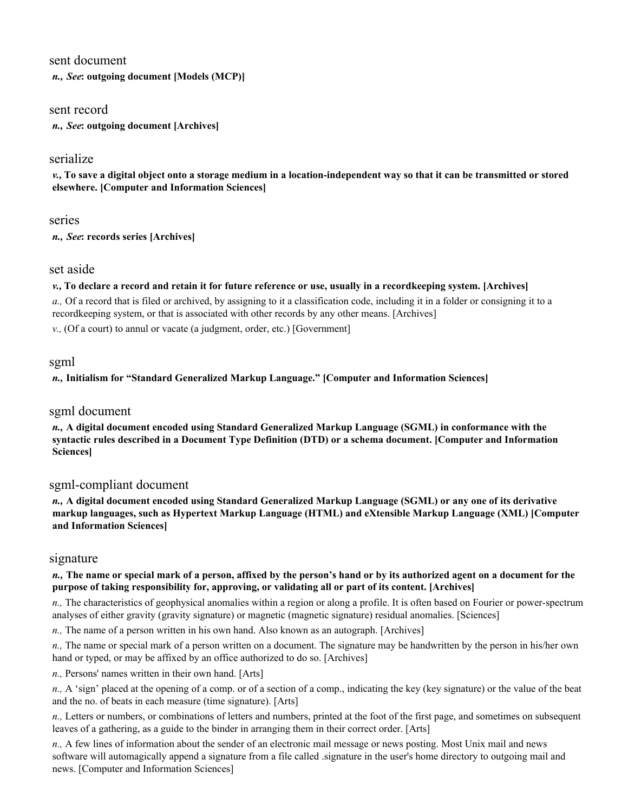### sent document

*n., See***: outgoing document [Models (MCP)]** 

### sent record

*n., See***: outgoing document [Archives]** 

# serialize

*v.,* **To save a digital object onto a storage medium in a location-independent way so that it can be transmitted or stored elsewhere. [Computer and Information Sciences]** 

#### series

*n., See***: records series [Archives]** 

### set aside

#### *v.,* **To declare a record and retain it for future reference or use, usually in a recordkeeping system. [Archives]**

*a.,* Of a record that is filed or archived, by assigning to it a classification code, including it in a folder or consigning it to a recordkeeping system, or that is associated with other records by any other means. [Archives]

*v.,* (Of a court) to annul or vacate (a judgment, order, etc.) [Government]

### sgml

### *n.,* **Initialism for "Standard Generalized Markup Language." [Computer and Information Sciences]**

### sgml document

*n.,* **A digital document encoded using Standard Generalized Markup Language (SGML) in conformance with the syntactic rules described in a Document Type Definition (DTD) or a schema document. [Computer and Information Sciences]** 

# sgml-compliant document

*n.,* **A digital document encoded using Standard Generalized Markup Language (SGML) or any one of its derivative markup languages, such as Hypertext Markup Language (HTML) and eXtensible Markup Language (XML) [Computer and Information Sciences]** 

### signature

#### *n.,* **The name or special mark of a person, affixed by the person's hand or by its authorized agent on a document for the purpose of taking responsibility for, approving, or validating all or part of its content. [Archives]**

*n.,* The characteristics of geophysical anomalies within a region or along a profile. It is often based on Fourier or power-spectrum analyses of either gravity (gravity signature) or magnetic (magnetic signature) residual anomalies. [Sciences]

*n.,* The name of a person written in his own hand. Also known as an autograph. [Archives]

*n.,* The name or special mark of a person written on a document. The signature may be handwritten by the person in his/her own hand or typed, or may be affixed by an office authorized to do so. [Archives]

*n.,* Persons' names written in their own hand. [Arts]

*n.,* A 'sign' placed at the opening of a comp. or of a section of a comp., indicating the key (key signature) or the value of the beat and the no. of beats in each measure (time signature). [Arts]

*n.,* Letters or numbers, or combinations of letters and numbers, printed at the foot of the first page, and sometimes on subsequent leaves of a gathering, as a guide to the binder in arranging them in their correct order. [Arts]

*n.,* A few lines of information about the sender of an electronic mail message or news posting. Most Unix mail and news software will automagically append a signature from a file called .signature in the user's home directory to outgoing mail and news. [Computer and Information Sciences]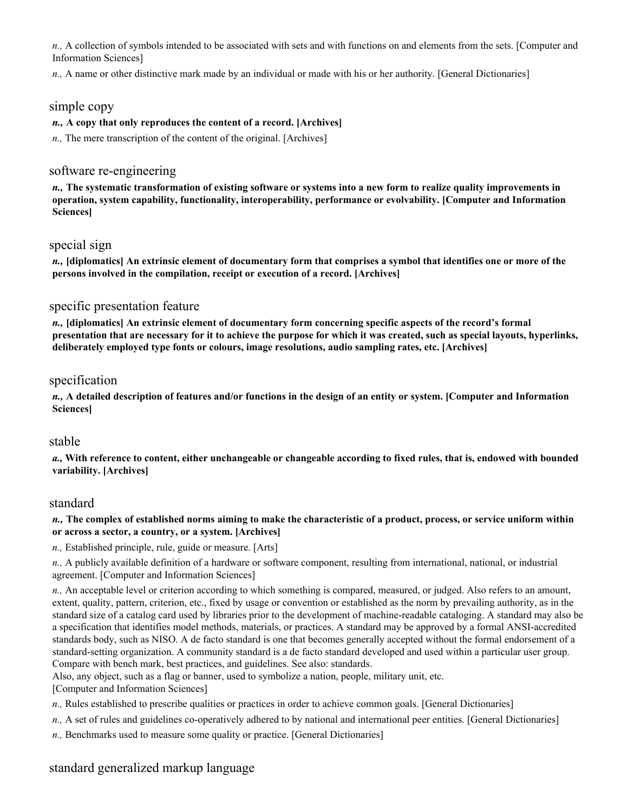*n.,* A collection of symbols intended to be associated with sets and with functions on and elements from the sets. [Computer and Information Sciences]

*n.,* A name or other distinctive mark made by an individual or made with his or her authority. [General Dictionaries]

### simple copy

#### *n.,* **A copy that only reproduces the content of a record. [Archives]**

*n.,* The mere transcription of the content of the original. [Archives]

# software re-engineering

*n.,* **The systematic transformation of existing software or systems into a new form to realize quality improvements in operation, system capability, functionality, interoperability, performance or evolvability. [Computer and Information Sciences]** 

### special sign

*n.,* **[diplomatics] An extrinsic element of documentary form that comprises a symbol that identifies one or more of the persons involved in the compilation, receipt or execution of a record. [Archives]** 

### specific presentation feature

*n.,* **[diplomatics] An extrinsic element of documentary form concerning specific aspects of the record's formal presentation that are necessary for it to achieve the purpose for which it was created, such as special layouts, hyperlinks, deliberately employed type fonts or colours, image resolutions, audio sampling rates, etc. [Archives]** 

# specification

*n.,* **A detailed description of features and/or functions in the design of an entity or system. [Computer and Information Sciences]** 

### stable

*a.,* **With reference to content, either unchangeable or changeable according to fixed rules, that is, endowed with bounded variability. [Archives]** 

### standard

#### *n.,* **The complex of established norms aiming to make the characteristic of a product, process, or service uniform within or across a sector, a country, or a system. [Archives]**

*n.,* Established principle, rule, guide or measure. [Arts]

*n.,* A publicly available definition of a hardware or software component, resulting from international, national, or industrial agreement. [Computer and Information Sciences]

*n.,* An acceptable level or criterion according to which something is compared, measured, or judged. Also refers to an amount, extent, quality, pattern, criterion, etc., fixed by usage or convention or established as the norm by prevailing authority, as in the standard size of a catalog card used by libraries prior to the development of machine-readable cataloging. A standard may also be a specification that identifies model methods, materials, or practices. A standard may be approved by a formal ANSI-accredited standards body, such as NISO. A de facto standard is one that becomes generally accepted without the formal endorsement of a standard-setting organization. A community standard is a de facto standard developed and used within a particular user group. Compare with bench mark, best practices, and guidelines. See also: standards.

Also, any object, such as a flag or banner, used to symbolize a nation, people, military unit, etc.

[Computer and Information Sciences]

- *n.,* Rules established to prescribe qualities or practices in order to achieve common goals. [General Dictionaries]
- *n.,* A set of rules and guidelines co-operatively adhered to by national and international peer entities. [General Dictionaries]
- *n.,* Benchmarks used to measure some quality or practice. [General Dictionaries]

# standard generalized markup language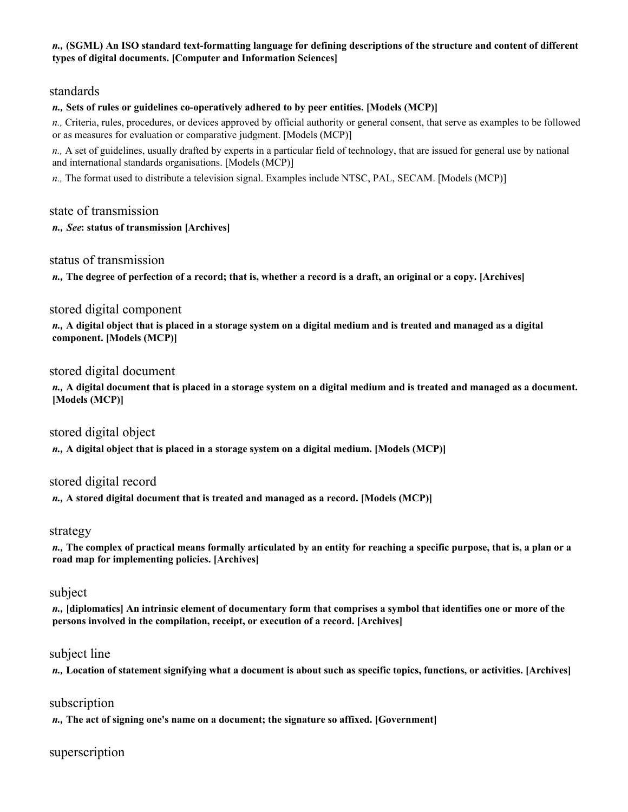#### *n.,* **(SGML) An ISO standard text-formatting language for defining descriptions of the structure and content of different types of digital documents. [Computer and Information Sciences]**

# standards

### *n.,* **Sets of rules or guidelines co-operatively adhered to by peer entities. [Models (MCP)]**

*n.,* Criteria, rules, procedures, or devices approved by official authority or general consent, that serve as examples to be followed or as measures for evaluation or comparative judgment. [Models (MCP)]

*n.,* A set of guidelines, usually drafted by experts in a particular field of technology, that are issued for general use by national and international standards organisations. [Models (MCP)]

*n.,* The format used to distribute a television signal. Examples include NTSC, PAL, SECAM. [Models (MCP)]

# state of transmission

#### *n., See***: status of transmission [Archives]**

### status of transmission

*n.,* **The degree of perfection of a record; that is, whether a record is a draft, an original or a copy. [Archives]** 

# stored digital component

*n.,* **A digital object that is placed in a storage system on a digital medium and is treated and managed as a digital component. [Models (MCP)]** 

# stored digital document

*n.,* **A digital document that is placed in a storage system on a digital medium and is treated and managed as a document. [Models (MCP)]** 

### stored digital object

*n.,* **A digital object that is placed in a storage system on a digital medium. [Models (MCP)]** 

### stored digital record

*n.,* **A stored digital document that is treated and managed as a record. [Models (MCP)]** 

### strategy

*n.,* **The complex of practical means formally articulated by an entity for reaching a specific purpose, that is, a plan or a road map for implementing policies. [Archives]** 

### subject

*n.,* **[diplomatics] An intrinsic element of documentary form that comprises a symbol that identifies one or more of the persons involved in the compilation, receipt, or execution of a record. [Archives]** 

# subject line

*n.,* **Location of statement signifying what a document is about such as specific topics, functions, or activities. [Archives]** 

### subscription

*n.,* **The act of signing one's name on a document; the signature so affixed. [Government]** 

# superscription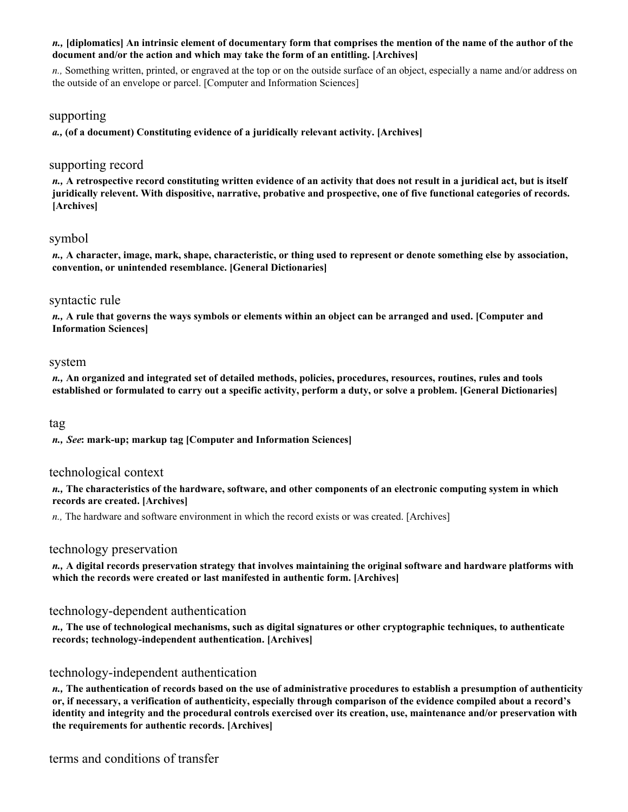### *n.,* **[diplomatics] An intrinsic element of documentary form that comprises the mention of the name of the author of the document and/or the action and which may take the form of an entitling. [Archives]**

*n.,* Something written, printed, or engraved at the top or on the outside surface of an object, especially a name and/or address on the outside of an envelope or parcel. [Computer and Information Sciences]

### supporting

*a.,* **(of a document) Constituting evidence of a juridically relevant activity. [Archives]** 

# supporting record

*n.,* **A retrospective record constituting written evidence of an activity that does not result in a juridical act, but is itself juridically relevent. With dispositive, narrative, probative and prospective, one of five functional categories of records. [Archives]** 

# symbol

*n.,* **A character, image, mark, shape, characteristic, or thing used to represent or denote something else by association, convention, or unintended resemblance. [General Dictionaries]** 

### syntactic rule

*n.,* **A rule that governs the ways symbols or elements within an object can be arranged and used. [Computer and Information Sciences]** 

### system

*n.,* **An organized and integrated set of detailed methods, policies, procedures, resources, routines, rules and tools established or formulated to carry out a specific activity, perform a duty, or solve a problem. [General Dictionaries]** 

tag

*n., See***: mark-up; markup tag [Computer and Information Sciences]** 

### technological context

*n.,* **The characteristics of the hardware, software, and other components of an electronic computing system in which records are created. [Archives]** 

*n.,* The hardware and software environment in which the record exists or was created. [Archives]

# technology preservation

*n.,* **A digital records preservation strategy that involves maintaining the original software and hardware platforms with which the records were created or last manifested in authentic form. [Archives]** 

# technology-dependent authentication

*n.,* **The use of technological mechanisms, such as digital signatures or other cryptographic techniques, to authenticate records; technology-independent authentication. [Archives]** 

# technology-independent authentication

*n.,* **The authentication of records based on the use of administrative procedures to establish a presumption of authenticity or, if necessary, a verification of authenticity, especially through comparison of the evidence compiled about a record's identity and integrity and the procedural controls exercised over its creation, use, maintenance and/or preservation with the requirements for authentic records. [Archives]** 

terms and conditions of transfer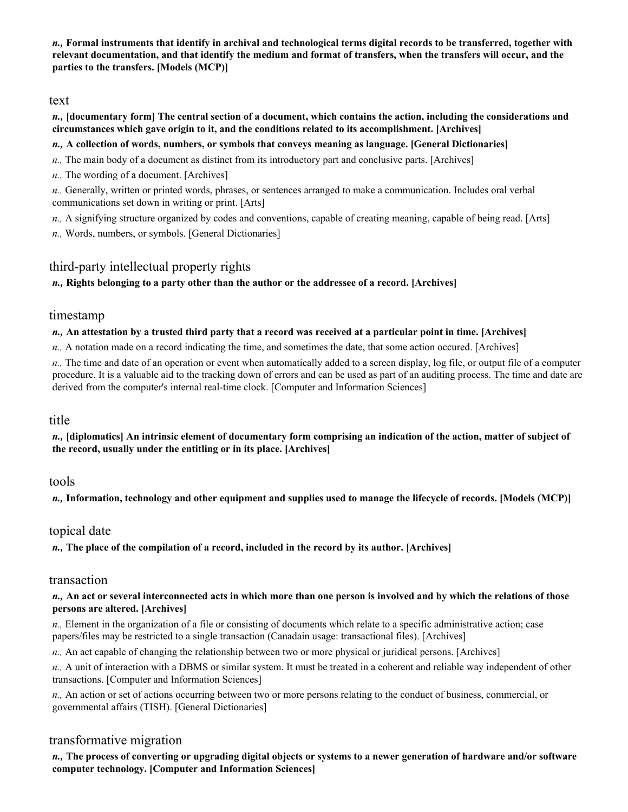*n.,* **Formal instruments that identify in archival and technological terms digital records to be transferred, together with relevant documentation, and that identify the medium and format of transfers, when the transfers will occur, and the parties to the transfers. [Models (MCP)]** 

### text

#### *n.,* **[documentary form] The central section of a document, which contains the action, including the considerations and circumstances which gave origin to it, and the conditions related to its accomplishment. [Archives]**

### *n.,* **A collection of words, numbers, or symbols that conveys meaning as language. [General Dictionaries]**

- *n.,* The main body of a document as distinct from its introductory part and conclusive parts. [Archives]
- *n.,* The wording of a document. [Archives]

*n.,* Generally, written or printed words, phrases, or sentences arranged to make a communication. Includes oral verbal communications set down in writing or print. [Arts]

- *n.,* A signifying structure organized by codes and conventions, capable of creating meaning, capable of being read. [Arts]
- *n.,* Words, numbers, or symbols. [General Dictionaries]

# third-party intellectual property rights

### *n.,* **Rights belonging to a party other than the author or the addressee of a record. [Archives]**

#### timestamp

#### *n.,* **An attestation by a trusted third party that a record was received at a particular point in time. [Archives]**

*n.,* A notation made on a record indicating the time, and sometimes the date, that some action occured. [Archives]

*n.,* The time and date of an operation or event when automatically added to a screen display, log file, or output file of a computer procedure. It is a valuable aid to the tracking down of errors and can be used as part of an auditing process. The time and date are derived from the computer's internal real-time clock. [Computer and Information Sciences]

### title

*n.,* **[diplomatics] An intrinsic element of documentary form comprising an indication of the action, matter of subject of the record, usually under the entitling or in its place. [Archives]** 

### tools

*n.,* **Information, technology and other equipment and supplies used to manage the lifecycle of records. [Models (MCP)]** 

### topical date

*n.,* **The place of the compilation of a record, included in the record by its author. [Archives]** 

#### transaction

#### *n.,* **An act or several interconnected acts in which more than one person is involved and by which the relations of those persons are altered. [Archives]**

*n.,* Element in the organization of a file or consisting of documents which relate to a specific administrative action; case papers/files may be restricted to a single transaction (Canadain usage: transactional files). [Archives]

*n.,* An act capable of changing the relationship between two or more physical or juridical persons. [Archives]

*n.,* A unit of interaction with a DBMS or similar system. It must be treated in a coherent and reliable way independent of other transactions. [Computer and Information Sciences]

*n.,* An action or set of actions occurring between two or more persons relating to the conduct of business, commercial, or governmental affairs (TISH). [General Dictionaries]

# transformative migration

*n.,* **The process of converting or upgrading digital objects or systems to a newer generation of hardware and/or software computer technology. [Computer and Information Sciences]**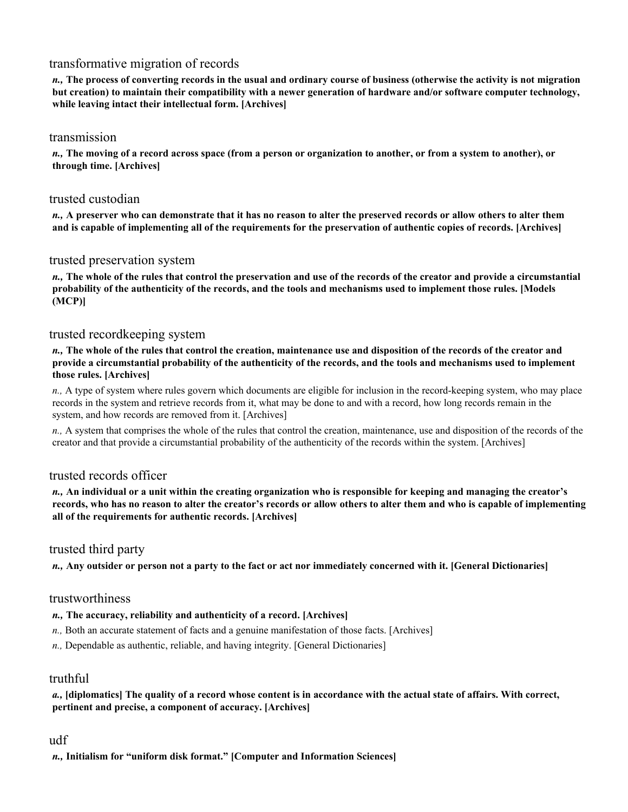# transformative migration of records

*n.,* **The process of converting records in the usual and ordinary course of business (otherwise the activity is not migration but creation) to maintain their compatibility with a newer generation of hardware and/or software computer technology, while leaving intact their intellectual form. [Archives]** 

### transmission

*n.,* **The moving of a record across space (from a person or organization to another, or from a system to another), or through time. [Archives]** 

# trusted custodian

*n.,* **A preserver who can demonstrate that it has no reason to alter the preserved records or allow others to alter them and is capable of implementing all of the requirements for the preservation of authentic copies of records. [Archives]** 

# trusted preservation system

*n.,* **The whole of the rules that control the preservation and use of the records of the creator and provide a circumstantial probability of the authenticity of the records, and the tools and mechanisms used to implement those rules. [Models (MCP)]** 

# trusted recordkeeping system

*n.,* **The whole of the rules that control the creation, maintenance use and disposition of the records of the creator and provide a circumstantial probability of the authenticity of the records, and the tools and mechanisms used to implement those rules. [Archives]** 

*n.,* A type of system where rules govern which documents are eligible for inclusion in the record-keeping system, who may place records in the system and retrieve records from it, what may be done to and with a record, how long records remain in the system, and how records are removed from it. [Archives]

*n.,* A system that comprises the whole of the rules that control the creation, maintenance, use and disposition of the records of the creator and that provide a circumstantial probability of the authenticity of the records within the system. [Archives]

# trusted records officer

*n.,* **An individual or a unit within the creating organization who is responsible for keeping and managing the creator's records, who has no reason to alter the creator's records or allow others to alter them and who is capable of implementing all of the requirements for authentic records. [Archives]** 

# trusted third party

*n.,* **Any outsider or person not a party to the fact or act nor immediately concerned with it. [General Dictionaries]** 

### trustworthiness

### *n.,* **The accuracy, reliability and authenticity of a record. [Archives]**

- *n.,* Both an accurate statement of facts and a genuine manifestation of those facts. [Archives]
- *n.,* Dependable as authentic, reliable, and having integrity. [General Dictionaries]

# truthful

#### *a.,* **[diplomatics] The quality of a record whose content is in accordance with the actual state of affairs. With correct, pertinent and precise, a component of accuracy. [Archives]**

# udf

*n.,* **Initialism for "uniform disk format." [Computer and Information Sciences]**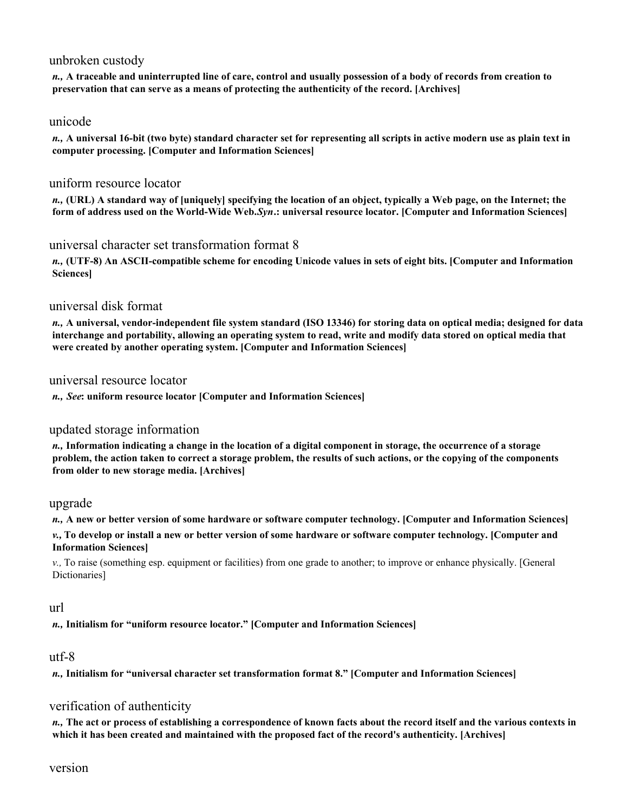# unbroken custody

*n.,* **A traceable and uninterrupted line of care, control and usually possession of a body of records from creation to preservation that can serve as a means of protecting the authenticity of the record. [Archives]** 

### unicode

*n.,* **A universal 16-bit (two byte) standard character set for representing all scripts in active modern use as plain text in computer processing. [Computer and Information Sciences]** 

# uniform resource locator

*n.,* **(URL) A standard way of [uniquely] specifying the location of an object, typically a Web page, on the Internet; the form of address used on the World-Wide Web.** *Syn***.: universal resource locator. [Computer and Information Sciences]** 

# universal character set transformation format 8

*n.,* **(UTF-8) An ASCII-compatible scheme for encoding Unicode values in sets of eight bits. [Computer and Information Sciences]** 

# universal disk format

*n.,* **A universal, vendor-independent file system standard (ISO 13346) for storing data on optical media; designed for data interchange and portability, allowing an operating system to read, write and modify data stored on optical media that were created by another operating system. [Computer and Information Sciences]** 

### universal resource locator

*n., See***: uniform resource locator [Computer and Information Sciences]** 

# updated storage information

*n.,* **Information indicating a change in the location of a digital component in storage, the occurrence of a storage problem, the action taken to correct a storage problem, the results of such actions, or the copying of the components from older to new storage media. [Archives]** 

### upgrade

*n.,* **A new or better version of some hardware or software computer technology. [Computer and Information Sciences]** 

*v.,* **To develop or install a new or better version of some hardware or software computer technology. [Computer and Information Sciences]** 

*v.,* To raise (something esp. equipment or facilities) from one grade to another; to improve or enhance physically. [General Dictionaries]

### url

*n.,* **Initialism for "uniform resource locator." [Computer and Information Sciences]** 

### utf-8

*n.,* **Initialism for "universal character set transformation format 8." [Computer and Information Sciences]** 

# verification of authenticity

*n.,* **The act or process of establishing a correspondence of known facts about the record itself and the various contexts in which it has been created and maintained with the proposed fact of the record's authenticity. [Archives]**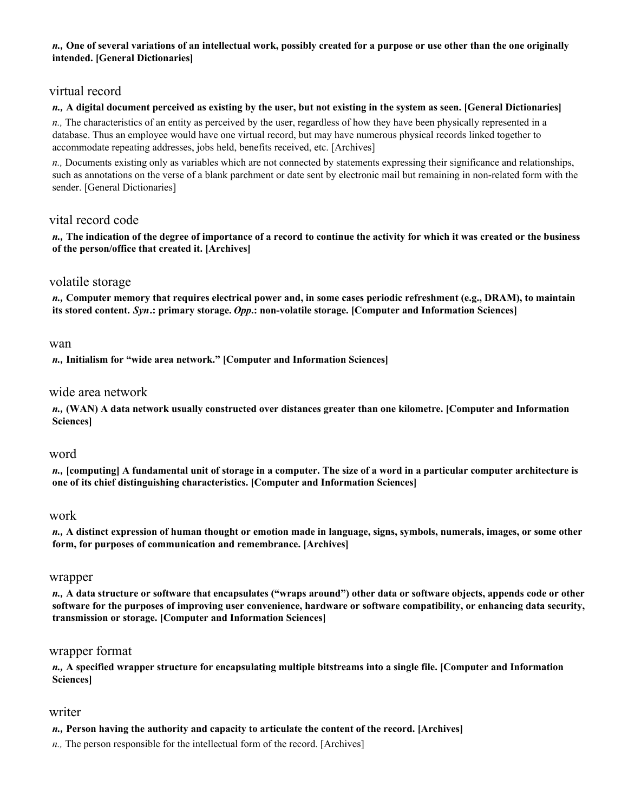#### *n.,* **One of several variations of an intellectual work, possibly created for a purpose or use other than the one originally intended. [General Dictionaries]**

# virtual record

### *n.,* **A digital document perceived as existing by the user, but not existing in the system as seen. [General Dictionaries]**

*n.,* The characteristics of an entity as perceived by the user, regardless of how they have been physically represented in a database. Thus an employee would have one virtual record, but may have numerous physical records linked together to accommodate repeating addresses, jobs held, benefits received, etc. [Archives]

*n.,* Documents existing only as variables which are not connected by statements expressing their significance and relationships, such as annotations on the verse of a blank parchment or date sent by electronic mail but remaining in non-related form with the sender. [General Dictionaries]

# vital record code

*n.,* **The indication of the degree of importance of a record to continue the activity for which it was created or the business of the person/office that created it. [Archives]** 

### volatile storage

*n.,* **Computer memory that requires electrical power and, in some cases periodic refreshment (e.g., DRAM), to maintain its stored content.** *Syn***.: primary storage.** *Opp***.: non-volatile storage. [Computer and Information Sciences]** 

#### wan

*n.,* **Initialism for "wide area network." [Computer and Information Sciences]** 

### wide area network

*n.,* **(WAN) A data network usually constructed over distances greater than one kilometre. [Computer and Information Sciences]** 

### word

*n.,* **[computing] A fundamental unit of storage in a computer. The size of a word in a particular computer architecture is one of its chief distinguishing characteristics. [Computer and Information Sciences]** 

### work

*n.,* **A distinct expression of human thought or emotion made in language, signs, symbols, numerals, images, or some other form, for purposes of communication and remembrance. [Archives]** 

#### wrapper

*n.,* **A data structure or software that encapsulates ("wraps around") other data or software objects, appends code or other software for the purposes of improving user convenience, hardware or software compatibility, or enhancing data security, transmission or storage. [Computer and Information Sciences]** 

### wrapper format

*n.,* **A specified wrapper structure for encapsulating multiple bitstreams into a single file. [Computer and Information Sciences]** 

### writer

*n.,* **Person having the authority and capacity to articulate the content of the record. [Archives]** 

*n.,* The person responsible for the intellectual form of the record. [Archives]